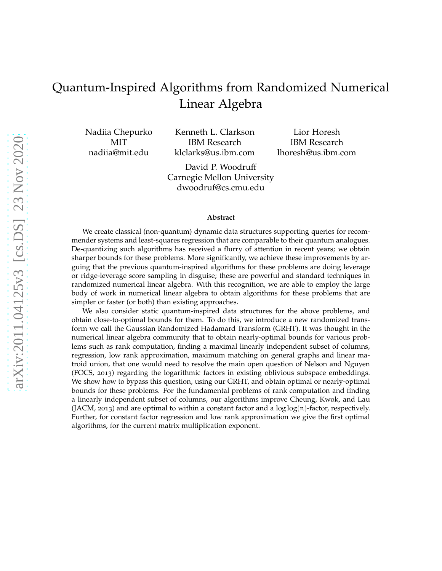# Quantum-Inspired Algorithms from Randomized Numerical Linear Algebra

Nadiia Chepurko MIT nadiia@mit.edu

Kenneth L. Clarkson IBM Research klclarks@us.ibm.com

David P. Woodruff Carnegie Mellon University dwoodruf@cs.cmu.edu

Lior Horesh IBM Research lhoresh@us.ibm.com

#### **Abstract**

We create classical (non-quantum) dynamic data structures supporting queries for recommender systems and least-squares regression that are comparable to their quantum analogues. De-quantizing such algorithms has received a flurry of attention in recent years; we obtain sharper bounds for these problems. More significantly, we achieve these improvements by arguing that the previous quantum-inspired algorithms for these problems are doing leverage or ridge-leverage score sampling in disguise; these are powerful and standard techniques in randomized numerical linear algebra. With this recognition, we are able to employ the large body of work in numerical linear algebra to obtain algorithms for these problems that are simpler or faster (or both) than existing approaches.

We also consider static quantum-inspired data structures for the above problems, and obtain close-to-optimal bounds for them. To do this, we introduce a new randomized transform we call the Gaussian Randomized Hadamard Transform (GRHT). It was thought in the numerical linear algebra community that to obtain nearly-optimal bounds for various problems such as rank computation, finding a maximal linearly independent subset of columns, regression, low rank approximation, maximum matching on general graphs and linear matroid union, that one would need to resolve the main open question of Nelson and Nguyen (FOCS, 2013) regarding the logarithmic factors in existing oblivious subspace embeddings. We show how to bypass this question, using our GRHT, and obtain optimal or nearly-optimal bounds for these problems. For the fundamental problems of rank computation and finding a linearly independent subset of columns, our algorithms improve Cheung, Kwok, and Lau (JACM, 2013) and are optimal to within a constant factor and a  $\log \log(n)$ -factor, respectively. Further, for constant factor regression and low rank approximation we give the first optimal algorithms, for the current matrix multiplication exponent.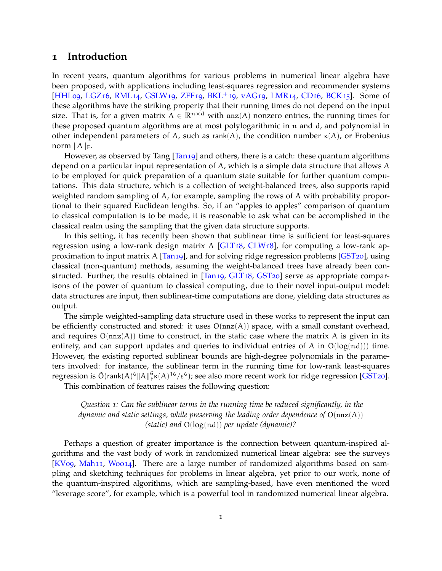### **1 Introduction**

In recent years, quantum algorithms for various problems in numerical linear algebra have been proposed, with applications including least-squares regression and recommender systems [\[HHL](#page-46-0)09, [LGZ](#page-47-0)16, [RML](#page-48-0)14, [GSLW](#page-46-1)19, [ZFF](#page-49-0)19, [BKL](#page-44-0)<sup>+</sup>19, [vAG](#page-48-1)19, [LMR](#page-47-1)14, [CD](#page-45-0)16, [BCK](#page-44-1)15]. Some of these algorithms have the striking property that their running times do not depend on the input size. That is, for a given matrix  $A \in \mathbb{R}^{n \times d}$  with  $nnz(A)$  nonzero entries, the running times for these proposed quantum algorithms are at most polylogarithmic in n and d, and polynomial in other independent parameters of A, such as rank(A), the condition number  $\kappa(A)$ , or Frobenius norm  $||A||_F$ .

However, as observed by Tang [\[Tan](#page-48-2)19] and others, there is a catch: these quantum algorithms depend on a particular input representation of A, which is a simple data structure that allows A to be employed for quick preparation of a quantum state suitable for further quantum computations. This data structure, which is a collection of weight-balanced trees, also supports rapid weighted random sampling of A, for example, sampling the rows of A with probability proportional to their squared Euclidean lengths. So, if an "apples to apples" comparison of quantum to classical computation is to be made, it is reasonable to ask what can be accomplished in the classical realm using the sampling that the given data structure supports.

In this setting, it has recently been shown that sublinear time is sufficient for least-squares regression using a low-rank design matrix A  $\left[ GLT18, CLW18 \right]$ , for computing a low-rank approximation to input matrix A [\[Tan](#page-48-2)19], and for solving ridge regression problems [\[GST](#page-46-3)20], using classical (non-quantum) methods, assuming the weight-balanced trees have already been con-structed. Further, the results obtained in [\[Tan](#page-48-2)19, [GLT](#page-46-2)18, [GST](#page-46-3)20] serve as appropriate comparisons of the power of quantum to classical computing, due to their novel input-output model: data structures are input, then sublinear-time computations are done, yielding data structures as output.

The simple weighted-sampling data structure used in these works to represent the input can be efficiently constructed and stored: it uses  $O(nnz(A))$  space, with a small constant overhead, and requires  $O(nnz(A))$  time to construct, in the static case where the matrix A is given in its entirety, and can support updates and queries to individual entries of A in  $O(log(nd))$  time. However, the existing reported sublinear bounds are high-degree polynomials in the parameters involved: for instance, the sublinear term in the running time for low-rank least-squares regression is  $\tilde{O}(\mathsf{rank}(A)^6\|A\|_F^6 \kappa(A)^{16}/\epsilon^6)$ ; see also more recent work for ridge regression [\[GST](#page-46-3)20].

This combination of features raises the following question:

*Question 1: Can the sublinear terms in the running time be reduced significantly, in the dynamic and static settings, while preserving the leading order dependence of* O(nnz(A)) *(static) and* O(log(nd)) *per update (dynamic)?*

Perhaps a question of greater importance is the connection between quantum-inspired algorithms and the vast body of work in randomized numerical linear algebra: see the surveys [KV09, Mah11, [Woo](#page-49-1)14]. There are a large number of randomized algorithms based on sampling and sketching techniques for problems in linear algebra, yet prior to our work, none of the quantum-inspired algorithms, which are sampling-based, have even mentioned the word "leverage score", for example, which is a powerful tool in randomized numerical linear algebra.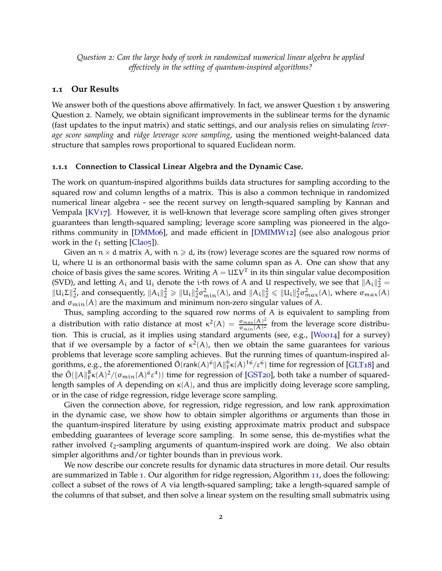*Question 2: Can the large body of work in randomized numerical linear algebra be applied effectively in the setting of quantum-inspired algorithms?*

#### **1.1 Our Results**

We answer both of the questions above affirmatively. In fact, we answer Question 1 by answering Question 2. Namely, we obtain significant improvements in the sublinear terms for the dynamic (fast updates to the input matrix) and static settings, and our analysis relies on simulating *leverage score sampling* and *ridge leverage score sampling*, using the mentioned weight-balanced data structure that samples rows proportional to squared Euclidean norm.

#### **1.1.1 Connection to Classical Linear Algebra and the Dynamic Case.**

The work on quantum-inspired algorithms builds data structures for sampling according to the squared row and column lengths of a matrix. This is also a common technique in randomized numerical linear algebra - see the recent survey on length-squared sampling by Kannan and Vempala  $\left[\frac{K}{17}\right]$ . However, it is well-known that leverage score sampling often gives stronger guarantees than length-squared sampling; leverage score sampling was pioneered in the algorithms community in [\[DMM](#page-46-4)06], and made efficient in [\[DMIMW](#page-46-5)12] (see also analogous prior work in the  $\ell_1$  setting [\[Cla](#page-45-1)o<sub>5</sub>]).

Given an  $n \times d$  matrix A, with  $n \geq d$ , its (row) leverage scores are the squared row norms of U, where U is an orthonormal basis with the same column span as A. One can show that any choice of basis gives the same scores. Writing  $A = U\Sigma V^{\mathsf{T}}$  in its thin singular value decomposition (SVD), and letting  $A_i$  and  $U_i$  denote the *i*-th rows of A and U respectively, we see that  $||A_i||_2^2 =$  $||u_i \Sigma||_2^2$ , and consequently,  $||A_i||_2^2 \ge ||u_i||_2^2 \sigma_{\min}^2(A)$ , and  $||A_i||_2^2 \le ||u_i||_2^2 \sigma_{\max}^2(A)$ , where  $\sigma_{\max}(A)$ and  $\sigma_{\min}(A)$  are the maximum and minimum non-zero singular values of A.

Thus, sampling according to the squared row norms of A is equivalent to sampling from a distribution with ratio distance at most  $\kappa^2(A) = \frac{\sigma_{\max}(A)^2}{\sigma_{\min}(A)^2}$  $\frac{\sigma_{\max(A)}}{\sigma_{\min(A)}^2}$  from the leverage score distribu-tion. This is crucial, as it implies using standard arguments (see, e.g., [\[Woo](#page-49-1)14] for a survey) that if we oversample by a factor of  $\kappa^2(A)$ , then we obtain the same guarantees for various problems that leverage score sampling achieves. But the running times of quantum-inspired algorithms, e.g., the aforementioned  $\tilde{O}(\text{rank}(A)^6||A||_F^6 \kappa(A)^{16}/\epsilon^6)$  time for regression of [\[GLT](#page-46-2)18] and the  $\tilde{O}(\|A\|_F^8 \kappa(A)^2/(\sigma_{\min}(A)^6 \epsilon^4))$  time for regression of [\[GST](#page-46-3)20], both take a number of squaredlength samples of A depending on  $\kappa(A)$ , and thus are implicitly doing leverage score sampling, or in the case of ridge regression, ridge leverage score sampling.

Given the connection above, for regression, ridge regression, and low rank approximation in the dynamic case, we show how to obtain simpler algorithms or arguments than those in the quantum-inspired literature by using existing approximate matrix product and subspace embedding guarantees of leverage score sampling. In some sense, this de-mystifies what the rather involved  $\ell_2$ -sampling arguments of quantum-inspired work are doing. We also obtain simpler algorithms and/or tighter bounds than in previous work.

We now describe our concrete results for dynamic data structures in more detail. Our results are summarized in Table [1](#page-3-0). Our algorithm for ridge regression, Algorithm [11](#page-34-0), does the following: collect a subset of the rows of A via length-squared sampling; take a length-squared sample of the columns of that subset, and then solve a linear system on the resulting small submatrix using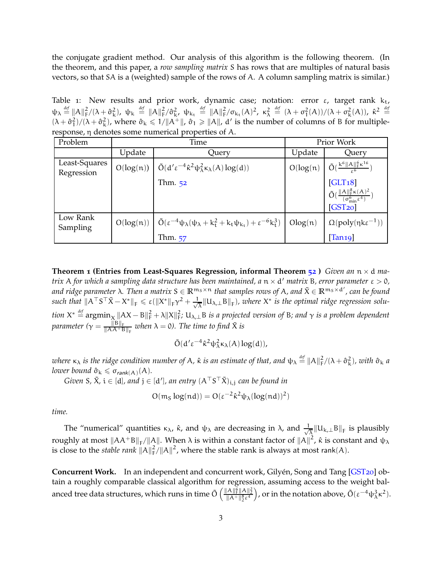the conjugate gradient method. Our analysis of this algorithm is the following theorem. (In the theorem, and this paper, a *row sampling matrix* S has rows that are multiples of natural basis vectors, so that SA is a (weighted) sample of the rows of A. A column sampling matrix is similar.)

<span id="page-3-0"></span>Table 1: New results and prior work, dynamic case; notation: error  $\varepsilon$ , target rank  $k_t$ ,  $\psi_{\lambda} \stackrel{\text{def}}{=} ||A||_F^2/(\lambda + \hat{\sigma}_{\rm k}^2)$ ,  $\psi_{\rm k} \stackrel{\text{def}}{=} ||A||_F^2/\hat{\sigma}_{\rm k}^2$ ,  $\psi_{\rm k_{\rm t}} \stackrel{\text{def}}{=} ||A||_F^2/\sigma_{\rm k_{\rm t}}(A)^2$ ,  $\kappa_{\lambda}^2 \stackrel{\text{def}}{=} (\lambda + \sigma_1^2(A))/(\lambda + \sigma_{\rm k}^2(A))$ ,  $\hat{\kappa}^2 \stackrel{\text{def}}{=}$  $(\lambda + \hat{\sigma}_1^2)/(\lambda + \hat{\sigma}_k^2)$ , where  $\hat{\sigma}_k \le 1/||A^+||$ ,  $\hat{\sigma}_1 \ge ||A||$ , d' is the number of columns of B for multipleresponse, η denotes some numerical properties of A.

| Problem                     | Time   |                                                                                                                                           | Prior Work |                                                                                                                               |
|-----------------------------|--------|-------------------------------------------------------------------------------------------------------------------------------------------|------------|-------------------------------------------------------------------------------------------------------------------------------|
|                             | Update | Query                                                                                                                                     | Update     | Query                                                                                                                         |
| Least-Squares<br>Regression |        | $O(log(n))$ $\int \tilde{O}(d'\epsilon^{-4} \hat{\kappa}^2 \psi_{\lambda}^2 \kappa_{\lambda}(A) \log(d))$                                 | $O(log(n)$ | $\tilde{O}(\frac{k^6\ A\ _F^6\kappa^{16}}{6})$                                                                                |
|                             |        | Thm. $52$                                                                                                                                 |            | $\substack{\text{[GLT18]}}{\tilde{O}(\frac{\ A\ _F^8 \kappa(A)^2}{(\sigma_{\min}^6 \varepsilon^4)})}$<br>[GST <sub>20</sub> ] |
| Low Rank<br>Sampling        |        | $O(log(n))$ $\left[ \tilde{O}(\varepsilon^{-4} \psi_{\lambda}(\psi_{\lambda} + k_t^2 + k_t \psi_{k_t}) + \varepsilon^{-6} k_t^3) \right]$ | Olog(n)    | $\Omega(\text{poly}(\eta k\epsilon^{-1}))$                                                                                    |
|                             |        | Thm. 57                                                                                                                                   |            | $\left[ \text{Tan}19\right]$                                                                                                  |

<span id="page-3-1"></span>**Theorem 1 (Entries from Least-Squares Regression, informal Theorem [52](#page-34-1) )** *Given an* n × d *matrix* A *for which a sampling data structure has been maintained, a* n × d ′ *matrix* B*, error parameter* ε > 0*,* and ridge parameter  $\lambda$ . Then a matrix  $S \in \mathbb{R}^{m_S \times n}$  that samples rows of  $A$ , and  $\tilde{X} \in \mathbb{R}^{m_S \times d'}$ , can be found  $\textit{such that } \| \mathsf{A}^\top \mathsf{S}^\top \tilde{\mathsf{X}} - \mathsf{X}^* \|_{\mathsf{F}} \leqslant \varepsilon (\|\mathsf{X}^*\|_{\mathsf{F}} \gamma^2 + \frac{1}{\sqrt{2}})$  $\frac{1}{\lambda} \|\mathsf{U}_{\lambda,\perp} \mathsf{B} \|_{\mathsf{F}}$ *), where*  $\mathsf{X}^*$  is the optimal ridge regression solu*tion*  $X^* \stackrel{\text{def}}{=} \operatorname{argmin}_X \|AX - B\|_F^2 + \lambda \|X\|_F^2$ ;  $U_{\lambda, \perp}$ B *is a projected version of* B; and  $\gamma$  *is a problem dependent* parameter (γ = <del>||B||<sub>F</sub>|</del>  $\frac{\|B\|_F}{\|AA + B\|_F}$  when  $\lambda = 0$ ). The time to find  $\tilde{X}$  is

$$
\tilde{O}(d'\epsilon^{-4}\hat{\kappa}^2\psi_\lambda^2\kappa_\lambda(A)\log(d)),
$$

where  $\kappa_\lambda$  is the ridge condition number of A,  $\hat\kappa$  is an estimate of that, and  $\psi_\lambda\stackrel{def}{=}\|A\|_F^2/(\lambda+\hat\sigma^2_\kappa)$ , with  $\hat\sigma_\kappa$  a *lower bound*  $\hat{\sigma}_k \leqslant \sigma_{\mathsf{rank}(A)}(A)$ .

*Given S,*  $\tilde{X}$ *, i*  $\in$  [d]*, and*  $j$   $\in$  [d']*, an entry*  $(A^\top S^\top \tilde{X})_{i,j}$  *can be found in* 

$$
O(m_S \log(nd)) = O(\epsilon^{-2} \hat{\kappa}^2 \psi_\lambda (\log(nd))^2)
$$

*time.*

The "numerical" quantities  $\kappa_{\lambda}$ ,  $\hat{\kappa}$ , and  $\psi_{\lambda}$  are decreasing in  $\lambda$ , and  $\frac{1}{\sqrt{\lambda}}$  $\frac{1}{\lambda} \| \mathsf{U}_{\mathsf{k},\perp} \mathsf{B} \|_{\mathsf{F}}$  is plausibly roughly at most  $\|AA^+B\|_F/\|A\|$ . When λ is within a constant factor of  $\|A\|^2$ ,  $\hat{\kappa}$  is constant and  $\psi_\lambda$ is close to the *stable rank*  $||A||_F^2/||A||^2$ , where the stable rank is always at most rank(A).

**Concurrent Work.** In an independent and concurrent work, Gilyén, Song and Tang [[GST](#page-46-3)20] obtain a roughly comparable classical algorithm for regression, assuming access to the weight balanced tree data structures, which runs in time  $\tilde{O}\left(\frac{\|A\|_F^{\tilde{G}}\|A\|_2^2}{\|A^+\|_2^8\epsilon^4}\right)$ ), or in the notation above,  $\tilde{O}(\varepsilon^{-4}\psi_{\lambda}^3\kappa^2)$ .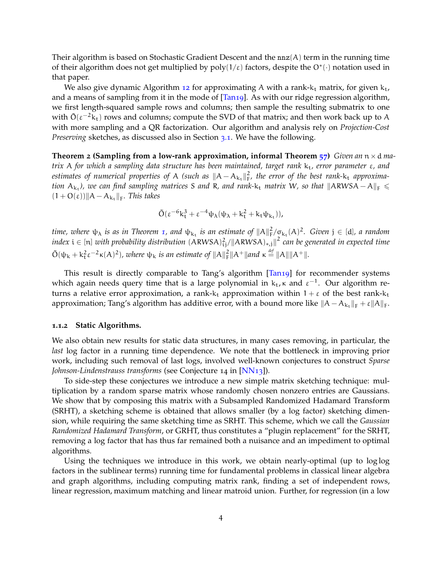Their algorithm is based on Stochastic Gradient Descent and the  $nnz(A)$  term in the running time of their algorithm does not get multiplied by  $\text{poly}(1/\varepsilon)$  factors, despite the  $\text{O}^*(\cdot)$  notation used in that paper.

We also give dynamic Algorithm [12](#page-39-0) for approximating A with a rank- $k_t$  matrix, for given  $k_t$ , and a means of sampling from it in the mode of [\[Tan](#page-48-2)19]. As with our ridge regression algorithm, we first length-squared sample rows and columns; then sample the resulting submatrix to one with  $\tilde{O}(\epsilon^{-2}k_t)$  rows and columns; compute the SVD of that matrix; and then work back up to A with more sampling and a QR factorization. Our algorithm and analysis rely on *Projection-Cost Preserving* sketches, as discussed also in Section [3](#page-15-0).1. We have the following.

**Theorem** 2 (Sampling from a low-rank approximation, informal Theorem  $\frac{57}{7}$  $\frac{57}{7}$  $\frac{57}{7}$ ) *Given an*  $n \times d$  *matrix* A for which a sampling data structure has been maintained, target rank k<sub>t</sub>, error parameter ε, and *estimates of numerical properties of* A (such as  $\|A - A_{k_t}\|_F^2$  $\frac{2}{F}$ , the error of the best rank-k<sub>t</sub> approxima*tion*  $A_{k_t}$ ), we can find sampling matrices S and R, and rank- $k_t$  matrix W, so that  $\|ARWSA - A\|_F \leq$  $(1 + O(\varepsilon))$ || $A - A_{k_t}$ ||<sub>F</sub>. This takes

$$
\tilde{O}(\epsilon^{-6}k_t^3 + \epsilon^{-4}\psi_\lambda(\psi_\lambda + k_t^2 + k_t\psi_{k_t})),
$$

*time, where*  $\psi_{\lambda}$  *is as in Theorem [1](#page-3-1), and*  $\psi_{k_t}$  *is an estimate of*  $||A||_F^2/\sigma_{k_t}(A)^2$ . *Given*  $j \in [d]$ *, a random index*  $i \in [n]$  with probability distribution  $(\text{ARWSA})^2_{ij} / \| \text{ARWSA})_{*,j} \|^2$  can be generated in expected time  $\tilde{O}(\psi_k + k_t^2 \varepsilon^{-2} \kappa(A)^2)$ , where  $\psi_k$  is an estimate of  $||A||_F^2 ||A^+||$  and  $\kappa \stackrel{\text{def}}{=} ||A|| ||A^+||$ .

This result is directly comparable to Tang's algorithm [\[Tan](#page-48-2)19] for recommender systems which again needs query time that is a large polynomial in  $k_t$ ,  $\kappa$  and  $\epsilon^{-1}$ . Our algorithm returns a relative error approximation, a rank- $k_t$  approximation within  $1 + \varepsilon$  of the best rank- $k_t$ approximation; Tang's algorithm has additive error, with a bound more like  $\|A - A_{k_t}\|_F + \varepsilon \|A\|_F$ .

#### **1.1.2 Static Algorithms.**

We also obtain new results for static data structures, in many cases removing, in particular, the *last* log factor in a running time dependence. We note that the bottleneck in improving prior work, including such removal of last logs, involved well-known conjectures to construct *Sparse Johnson-Lindenstrauss transforms* (see Conjecture 14 in [\[NN](#page-48-3)13]).

To side-step these conjectures we introduce a new simple matrix sketching technique: multiplication by a random sparse matrix whose randomly chosen nonzero entries are Gaussians. We show that by composing this matrix with a Subsampled Randomized Hadamard Transform (SRHT), a sketching scheme is obtained that allows smaller (by a log factor) sketching dimension, while requiring the same sketching time as SRHT. This scheme, which we call the *Gaussian Randomized Hadamard Transform*, or GRHT, thus constitutes a "plugin replacement" for the SRHT, removing a log factor that has thus far remained both a nuisance and an impediment to optimal algorithms.

Using the techniques we introduce in this work, we obtain nearly-optimal (up to log log factors in the sublinear terms) running time for fundamental problems in classical linear algebra and graph algorithms, including computing matrix rank, finding a set of independent rows, linear regression, maximum matching and linear matroid union. Further, for regression (in a low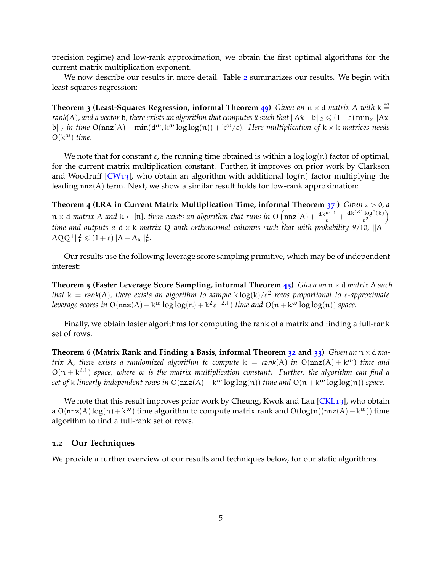precision regime) and low-rank approximation, we obtain the first optimal algorithms for the current matrix multiplication exponent.

We now describe our results in more detail. Table [2](#page-6-0) summarizes our results. We begin with least-squares regression:

**Theorem 3 (Least-Squares Regression, informal Theorem [49](#page-32-0))** *Given an* n × d *matrix* A *with* k *def* = rank(A), and a vector b, there exists an algorithm that computes  $\hat{x}$  *such that*  $\|A\hat{x} - b\|_2 \leq (1+\varepsilon) \min_x \|Ax - b\|_2$ b||<sub>2</sub> *in time*  $O(nnz(A) + min(d^{\omega}, k^{\omega} \log \log(n)) + k^{\omega}/\epsilon)$ *. Here multiplication of*  $k \times k$  *matrices needs*  $O(k^{\omega})$  *time.* 

We note that for constant  $\varepsilon$ , the running time obtained is within a  $\log \log(n)$  factor of optimal, for the current matrix multiplication constant. Further, it improves on prior work by Clarkson and Woodruff  $[CW13]$  $[CW13]$ , who obtain an algorithm with additional  $log(n)$  factor multiplying the leading  $nnz(A)$  term. Next, we show a similar result holds for low-rank approximation:

**Theorem 4 (LRA in Current Matrix Multiplication Time, informal Theorem [37](#page-24-0) )** *Given* ε > 0*, a*  $n \times d$  *matrix* A and  $k \in [n]$ , there exists an algorithm that runs in  $O\left(nnz(A) + \frac{dk^{\omega-1}}{\varepsilon} + \frac{dk^{1.01}log^c(k)}{\varepsilon^2}\right)$ ε2  $\overline{ }$ *time and outputs a*  $d \times k$  *matrix* Q *with orthonormal columns such that with probability* 9/10,  $||A AQQ^{T} \|_{F}^{2} \leqslant (1 + \varepsilon) \| A - A_{k} \|_{F}^{2}.$ 

Our results use the following leverage score sampling primitive, which may be of independent interest:

**Theorem 5 (Faster Leverage Score Sampling, informal Theorem [45](#page-28-0))** *Given an* n×d *matrix* A *such that* k = rank(A)*, there exists an algorithm to sample* k log(k)/ε<sup>2</sup> *rows proportional to* ε*-approximate leverage scores in*  $O(nnz(A) + k^{\omega} \log \log(n) + k^2 \epsilon^{-2.1})$  *time and*  $O(n + k^{\omega} \log \log(n))$  *space.* 

Finally, we obtain faster algorithms for computing the rank of a matrix and finding a full-rank set of rows.

**Theorem 6 (Matrix Rank and Finding a Basis, informal Theorem [32](#page-17-0) and [33](#page-18-0))** *Given an*  $n \times d$  *matrix* A, there exists a randomized algorithm to compute  $k = rank(A)$  *in*  $O(nnz(A) + k^{\omega})$  *time and*  $O(n + k^{2.1})$  space, where  $\omega$  is the matrix multiplication constant. Further, the algorithm can find a *set of* k *linearly independent rows in*  $O(nz(A) + k^{\omega} \log \log(n))$  *time and*  $O(n + k^{\omega} \log \log(n))$  *space.* 

We note that this result improves prior work by Cheung, Kwok and Lau  $[CKL13]$  $[CKL13]$ , who obtain a  $O(nnz(A)log(n) + k^{\omega})$  time algorithm to compute matrix rank and  $O(log(n)(nnz(A) + k^{\omega}))$  time algorithm to find a full-rank set of rows.

#### **1.2 Our Techniques**

We provide a further overview of our results and techniques below, for our static algorithms.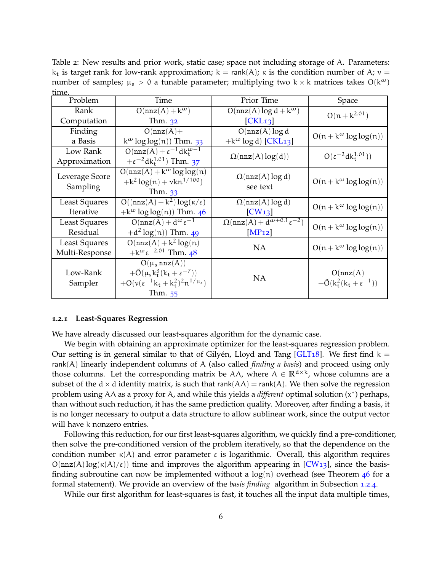<span id="page-6-0"></span>Table 2: New results and prior work, static case; space not including storage of A. Parameters:  $k_t$  is target rank for low-rank approximation; k = rank(A); κ is the condition number of A; ν = number of samples;  $\mu_s > 0$  a tunable parameter; multiplying two k × k matrices takes O(k<sup>ω</sup>) time.

| Problem                    | Time                                                                                                                                   | Prior Time                                               | Space                                                     |  |
|----------------------------|----------------------------------------------------------------------------------------------------------------------------------------|----------------------------------------------------------|-----------------------------------------------------------|--|
| Rank                       | $O(nnz(A) + k^{\omega})$                                                                                                               | $O(nnz(A) \log d + k^{\omega})$                          | $O(n + k^{2.01})$                                         |  |
| Computation                | Thm. $32$                                                                                                                              | [CKL <sub>13</sub> ]                                     |                                                           |  |
| Finding                    | $O(nnz(A)) +$                                                                                                                          | $O(nnz(A) \log d)$                                       | $O(n + k^{\omega} \log \log(n))$                          |  |
| a Basis                    | $k^{\omega}$ log log(n)) Thm. 33                                                                                                       | + $k^{\omega}$ log d) [CKL13]                            |                                                           |  |
| Low Rank                   | $O(nnz(A)+\epsilon^{-1}dk_{\tau}^{\omega-1})$                                                                                          |                                                          | $O(\epsilon^{-2} d k_t^{1.01})$                           |  |
| Approximation              | $+\epsilon^{-2}$ dk <sup>1.01</sup> ) Thm. 37                                                                                          | $\Omega(nnz(A)\log(d))$                                  |                                                           |  |
| Leverage Score<br>Sampling | $O(nnz(A) + k^{\omega} \log \log(n))$<br>$+k^2 \log(n) + \nu k n^{1/100}$<br>Thm. 33                                                   | $\Omega(nnz(A)\log d)$<br>see text                       | $O(n + k^{\omega} \log \log(n))$                          |  |
| <b>Least Squares</b>       | $\overline{O((nnz(A)+k^2)\log(\kappa/\varepsilon)}$                                                                                    | $\Omega(nnz(A)\log d)$                                   | $O(n + k^{\omega} \log \log(n))$                          |  |
| Iterative                  | + $k^{\omega}$ log log(n)) Thm. 46                                                                                                     | [CW13]                                                   |                                                           |  |
| <b>Least Squares</b>       | $O(nnz(A) + d^{\omega}\varepsilon^{-1})$                                                                                               | $\Omega(\text{nnz}(A) + d^{\omega+0.1}\varepsilon^{-2})$ | $O(n + k^{\omega} \log \log(n))$                          |  |
| Residual                   | $+ d^{2} \log(n)$ ) Thm. 49                                                                                                            | [MP12]                                                   |                                                           |  |
| <b>Least Squares</b>       | $O(nnz(A) + k^2 log(n))$                                                                                                               | <b>NA</b>                                                | $O(n + k^{\omega} \log \log(n))$                          |  |
| Multi-Response             | + $k^{\omega} \epsilon^{-2.01}$ Thm. 48                                                                                                |                                                          |                                                           |  |
| Low-Rank<br>Sampler        | $O(\mu_s n\pi z(A))$<br>$+ \tilde{O}(\mu_s k_t^3 (k_t + \varepsilon^{-7}))$<br>$+O(v(\epsilon^{-1}k_t+k_t^2)^2n^{1/\mu_s})$<br>Thm. 55 | <b>NA</b>                                                | O(nnz(A))<br>$+ \tilde{O}(k_t^2(k_t + \varepsilon^{-1}))$ |  |

#### **1.2.1 Least-Squares Regression**

We have already discussed our least-squares algorithm for the dynamic case.

We begin with obtaining an approximate optimizer for the least-squares regression problem. Our setting is in general similar to that of Gilyen, Lloyd and Tang [[GLT](#page-46-2)18]. We first find  $k =$ rank(A) linearly independent columns of A (also called *finding a basis*) and proceed using only those columns. Let the corresponding matrix be  $A\Lambda$ , where  $\Lambda \in \mathbb{R}^{d \times k}$ , whose columns are a subset of the d  $\times$  d identity matrix, is such that rank( $A\Lambda$ ) = rank( $A$ ). We then solve the regression problem using AΛ as a proxy for A, and while this yields a *different* optimal solution (x ∗ ) perhaps, than without such reduction, it has the same prediction quality. Moreover, after finding a basis, it is no longer necessary to output a data structure to allow sublinear work, since the output vector will have k nonzero entries.

Following this reduction, for our first least-squares algorithm, we quickly find a pre-conditioner, then solve the pre-conditioned version of the problem iteratively, so that the dependence on the condition number  $\kappa(A)$  and error parameter  $\varepsilon$  is logarithmic. Overall, this algorithm requires  $O(nnz(A)log(\kappa(A)/\varepsilon))$  time and improves the algorithm appearing in [\[CW](#page-46-6)13], since the basisfinding subroutine can now be implemented without a  $log(n)$  overhead (see Theorem [46](#page-29-0) for a formal statement). We provide an overview of the *basis finding* algorithm in Subsection [1](#page-9-0).2.4.

While our first algorithm for least-squares is fast, it touches all the input data multiple times,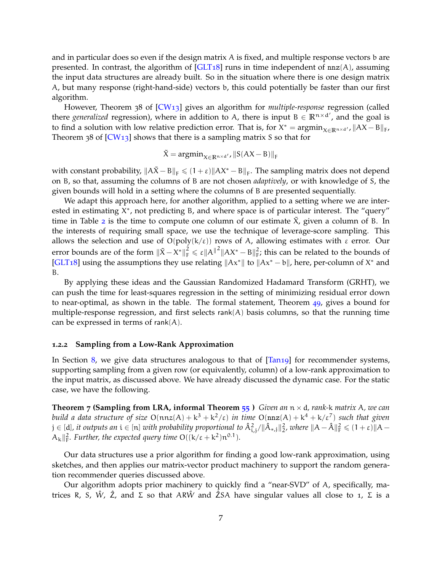and in particular does so even if the design matrix A is fixed, and multiple response vectors b are presented. In contrast, the algorithm of  $\left[GLT_18\right]$  runs in time independent of nnz(A), assuming the input data structures are already built. So in the situation where there is one design matrix A, but many response (right-hand-side) vectors b, this could potentially be faster than our first algorithm.

However, Theorem 38 of [\[CW](#page-46-6)13] gives an algorithm for *multiple-response* regression (called there *generalized* regression), where in addition to A, there is input  $B \in \mathbb{R}^{n \times d'}$ , and the goal is to find a solution with low relative prediction error. That is, for  $X^* = \arg \min_{X \in \mathbb{R}^{n \times d'}} ||AX - B||_F$ , Theorem 38 of  $[CW13]$  shows that there is a sampling matrix S so that for

$$
\tilde{X} = \operatorname{argmin}_{X \in \mathbb{R}^{n \times d'}} ||S(AX - B)||_F
$$

with constant probability,  $||A\tilde{X} - B||_F \le (1 + \varepsilon) ||AX^* - B||_F$ . The sampling matrix does not depend on B, so that, assuming the columns of B are not chosen *adaptively*, or with knowledge of S, the given bounds will hold in a setting where the columns of B are presented sequentially.

We adapt this approach here, for another algorithm, applied to a setting where we are interested in estimating  $X^*$ , not predicting B, and where space is of particular interest. The "query" time in Table [2](#page-6-0) is the time to compute one column of our estimate  $\tilde{X}$ , given a column of B. In the interests of requiring small space, we use the technique of leverage-score sampling. This allows the selection and use of  $O(poly(k/\varepsilon))$  rows of A, allowing estimates with  $\varepsilon$  error. Our error bounds are of the form  $\|\tilde{X}-X^*\|_{\text{F}}^2 \leq \varepsilon \|A\|^2 \|AX^* - B\|_{\text{F}}^2$ ; this can be related to the bounds of [\[GLT](#page-46-2)18] using the assumptions they use relating  $\|Ax^*\|$  to  $\|Ax^* - b\|$ , here, per-column of  $X^*$  and B.

By applying these ideas and the Gaussian Randomized Hadamard Transform (GRHT), we can push the time for least-squares regression in the setting of minimizing residual error down to near-optimal, as shown in the table. The formal statement, Theorem [49](#page-32-0), gives a bound for multiple-response regression, and first selects  $rank(A)$  basis columns, so that the running time can be expressed in terms of rank $(A)$ .

#### **1.2.2 Sampling from a Low-Rank Approximation**

In Section [8](#page-37-0), we give data structures analogous to that of [\[Tan](#page-48-2)19] for recommender systems, supporting sampling from a given row (or equivalently, column) of a low-rank approximation to the input matrix, as discussed above. We have already discussed the dynamic case. For the static case, we have the following.

**Theorem 7 (Sampling from LRA, informal Theorem [55](#page-38-0) )** *Given an* n × d*, rank-*k *matrix* A*, we can build a data structure of size*  $O(nnz(A) + k^3 + k^2/\epsilon)$  *in time*  $O(nnz(A) + k^4 + k/\epsilon^7)$  *such that given*  $j\in [d]$ , it outputs an  $i\in [n]$  with probability proportional to  $\hat{A}_{i,j}^2/\|\hat{A}_{*,j}\|_2^2$ , where  $\|A-\hat{A}\|_F^2\leqslant(1+\varepsilon)\|A-\hat{A}\|_F^2$  $A_k \parallel^2$ *. Further, the expected query time*  $O((k/\epsilon + k^2)n^{0.1})$ *.* 

Our data structures use a prior algorithm for finding a good low-rank approximation, using sketches, and then applies our matrix-vector product machinery to support the random generation recommender queries discussed above.

Our algorithm adopts prior machinery to quickly find a "near-SVD" of A, specifically, matrices R, S, Ŵ,  $\hat{Z}$ , and Σ so that ARŴ and  $\hat{Z}SA$  have singular values all close to 1, Σ is a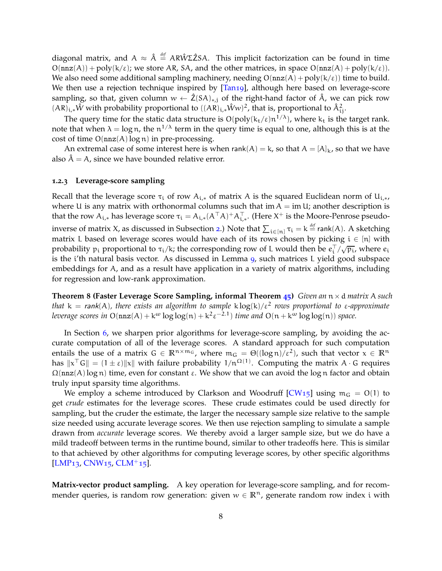diagonal matrix, and  $A \approx \hat{A} \stackrel{\text{def}}{=} AR\hat{W}\Sigma \hat{Z}SA$ . This implicit factorization can be found in time  $O(nnz(A)) + poly(k/\varepsilon)$ ; we store AR, SA, and the other matrices, in space  $O(nnz(A) + poly(k/\varepsilon))$ . We also need some additional sampling machinery, needing  $O(nnz(A) + poly(k/\epsilon))$  time to build. We then use a rejection technique inspired by  $[Tan19]$ , although here based on leverage-score sampling, so that, given column  $w \leftarrow \hat{Z}(SA)_{*,j}$  of the right-hand factor of  $\hat{A}$ , we can pick row  $(AR)_{i,*} \hat{W}$  with probability proportional to  $((AR)_{i,*} \hat{W} w)^2$ , that is, proportional to  $\hat{A}_{i,j}^2$ .

The query time for the static data structure is  $O(poly(k_t/\epsilon)n^{1/\lambda})$ , where  $k_t$  is the target rank. note that when  $\lambda = \log n$ , the  $n^{1/\lambda}$  term in the query time is equal to one, although this is at the cost of time  $O(nnz(A)log n)$  in pre-processing.

An extremal case of some interest here is when rank $(A) = k$ , so that  $A = [A]_k$ , so that we have also  $\hat{A} = A$ , since we have bounded relative error.

#### <span id="page-8-0"></span>**1.2.3 Leverage-score sampling**

Recall that the leverage score  $\tau_i$  of row  $A_{i,*}$  of matrix A is the squared Euclidean norm of  $U_{i,*}$ , where U is any matrix with orthonormal columns such that im  $A = im U$ ; another description is that the row  $A_{i,*}$  has leverage score  $\tau_i = A_{i,*} (A^\top A)^+ A_{i,*}^\top$ . (Here  $X^+$  is the Moore-Penrose pseudo-inverse of matrix X, as discussed in Subsection [2](#page-11-0).) Note that  $\sum_{i\in[n]} \tau_i = k$   $\stackrel{\text{def}}{=}$  rank(A). A sketching matrix L based on leverage scores would have each of its rows chosen by picking  $i \in [n]$  with probability  $p_i$  proportional to  $\tau_i/k$ ; the corresponding row of L would then be  $e_i^{\top}/\sqrt{p_i}$ , where  $e_i$ is the i'th natural basis vector. As discussed in Lemma [9](#page-11-1), such matrices L yield good subspace embeddings for A, and as a result have application in a variety of matrix algorithms, including for regression and low-rank approximation.

**Theorem 8 (Faster Leverage Score Sampling, informal Theorem [45](#page-28-0))** *Given an* n×d *matrix* A *such that* k = rank(A)*, there exists an algorithm to sample* k log(k)/ε<sup>2</sup> *rows proportional to* ε*-approximate leverage scores in*  $O(nnz(A) + k^{\omega} \log \log(n) + k^2 \epsilon^{-2.1})$  *time and*  $O(n + k^{\omega} \log \log(n))$  *space.* 

In Section [6](#page-27-0), we sharpen prior algorithms for leverage-score sampling, by avoiding the accurate computation of all of the leverage scores. A standard approach for such computation entails the use of a matrix  $G \in \mathbb{R}^{n \times m_G}$ , where  $m_G = \Theta((\log n)/\epsilon^2)$ , such that vector  $x \in \mathbb{R}^n$ has  $x^T G \| = (1 \pm \varepsilon) \|x\|$  with failure probability  $1/n^{\Omega(1)}$ . Computing the matrix A  $\cdot$  G requires  $\Omega(\text{nnz}(A) \log n)$  time, even for constant  $\varepsilon$ . We show that we can avoid the log n factor and obtain truly input sparsity time algorithms.

We employ a scheme introduced by Clarkson and Woodruff  $[CW_{15}]$  using  $m_G = O(1)$  to get *crude* estimates for the leverage scores. These crude estimates could be used directly for sampling, but the cruder the estimate, the larger the necessary sample size relative to the sample size needed using accurate leverage scores. We then use rejection sampling to simulate a sample drawn from *accurate* leverage scores. We thereby avoid a larger sample size, but we do have a mild tradeoff between terms in the runtime bound, similar to other tradeoffs here. This is similar to that achieved by other algorithms for computing leverage scores, by other specific algorithms  $[LMP<sub>13</sub>, CNW<sub>15</sub>, CLM<sup>+</sup><sub>15</sub>].$  $[LMP<sub>13</sub>, CNW<sub>15</sub>, CLM<sup>+</sup><sub>15</sub>].$  $[LMP<sub>13</sub>, CNW<sub>15</sub>, CLM<sup>+</sup><sub>15</sub>].$  $[LMP<sub>13</sub>, CNW<sub>15</sub>, CLM<sup>+</sup><sub>15</sub>].$  $[LMP<sub>13</sub>, CNW<sub>15</sub>, CLM<sup>+</sup><sub>15</sub>].$  $[LMP<sub>13</sub>, CNW<sub>15</sub>, CLM<sup>+</sup><sub>15</sub>].$ 

**Matrix-vector product sampling.** A key operation for leverage-score sampling, and for recommender queries, is random row generation: given  $w \in \mathbb{R}^n$ , generate random row index i with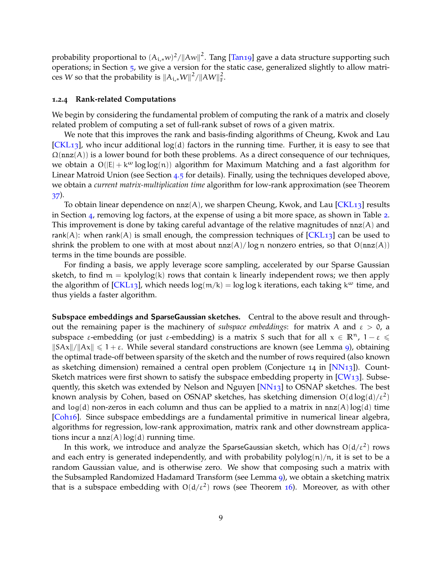probability proportional to  $(A_{i,*}w)^2/\|Aw\|^2$ . Tang [\[Tan](#page-48-2)19] gave a data structure supporting such operations; in Section [5](#page-25-0), we give a version for the static case, generalized slightly to allow matrices W so that the probability is  $\|A_{i,*}W\|^2/\|AW\|_F^2$ .

#### <span id="page-9-0"></span>**1.2.4 Rank-related Computations**

We begin by considering the fundamental problem of computing the rank of a matrix and closely related problem of computing a set of full-rank subset of rows of a given matrix.

We note that this improves the rank and basis-finding algorithms of Cheung, Kwok and Lau  $[CKL<sub>13</sub>]$  $[CKL<sub>13</sub>]$ , who incur additional log(d) factors in the running time. Further, it is easy to see that  $\Omega$ (nnz $(A)$ ) is a lower bound for both these problems. As a direct consequence of our techniques, we obtain a  $O(|E| + k^{\omega} \log \log(n))$  algorithm for Maximum Matching and a fast algorithm for Linear Matroid Union (see Section [4](#page-24-1).5 for details). Finally, using the techniques developed above, we obtain a *current matrix-multiplication time* algorithm for low-rank approximation (see Theorem [37](#page-24-0)).

To obtain linear dependence on  $nnz(A)$ , we sharpen Cheung, Kwok, and Lau [\[CKL](#page-45-2)13] results in Section [4](#page-16-0), removing log factors, at the expense of using a bit more space, as shown in Table [2](#page-6-0). This improvement is done by taking careful advantage of the relative magnitudes of  $nnz(A)$  and rank(A): when rank(A) is small enough, the compression techniques of  $[CKL<sub>13</sub>]$  $[CKL<sub>13</sub>]$  can be used to shrink the problem to one with at most about  $nnz(A)/log n$  nonzero entries, so that  $O(nnz(A))$ terms in the time bounds are possible.

For finding a basis, we apply leverage score sampling, accelerated by our Sparse Gaussian sketch, to find  $m = kpolylog(k)$  rows that contain k linearly independent rows; we then apply the algorithm of  $[CKL_{13}]$ , which needs  $log(m/k) = log log k$  iterations, each taking  $k^{\omega}$  time, and thus yields a faster algorithm.

**Subspace embeddings and** SparseGaussian **sketches.** Central to the above result and throughout the remaining paper is the machinery of *subspace embeddings*: for matrix A and  $\varepsilon > 0$ , a subspace  $\varepsilon$ -embedding (or just  $\varepsilon$ -embedding) is a matrix S such that for all  $x \in \mathbb{R}^n$ ,  $1 - \varepsilon \leq$  $\|S Ax\|/\|Ax\| \leq 1 + \varepsilon$ . While several standard constructions are known (see Lemma [9](#page-11-1)), obtaining the optimal trade-off between sparsity of the sketch and the number of rows required (also known as sketching dimension) remained a central open problem (Conjecture 14 in [\[NN](#page-48-3)13]). Count-Sketch matrices were first shown to satisfy the subspace embedding property in  $[CW13]$ . Subse-quently, this sketch was extended by Nelson and Nguyen [\[NN](#page-48-3)13] to OSNAP sketches. The best known analysis by Cohen, based on OSNAP sketches, has sketching dimension  $O(d \log(d)/\epsilon^2)$ and  $log(d)$  non-zeros in each column and thus can be applied to a matrix in  $nnz(A)log(d)$  time [\[Coh](#page-45-5)16]. Since subspace embeddings are a fundamental primitive in numerical linear algebra, algorithms for regression, low-rank approximation, matrix rank and other downstream applications incur a  $nnz(A)log(d)$  running time.

In this work, we introduce and analyze the SparseGaussian sketch, which has  $O(d/\epsilon^2)$  rows and each entry is generated independently, and with probability  $polylog(n)/n$ , it is set to be a random Gaussian value, and is otherwise zero. We show that composing such a matrix with the Subsampled Randomized Hadamard Transform (see Lemma [9](#page-11-1)), we obtain a sketching matrix that is a subspace embedding with  $O(d/\epsilon^2)$  rows (see Theorem [16](#page-14-0)). Moreover, as with other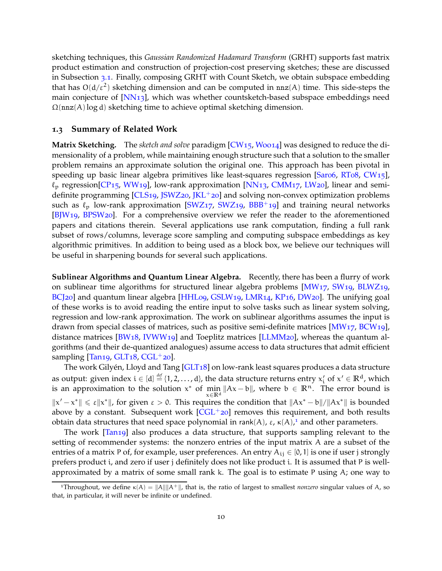sketching techniques, this *Gaussian Randomized Hadamard Transform* (GRHT) supports fast matrix product estimation and construction of projection-cost preserving sketches; these are discussed in Subsection [3](#page-15-0).1. Finally, composing GRHT with Count Sketch, we obtain subspace embedding that has  $O(d/\epsilon^2)$  sketching dimension and can be computed in nnz(A) time. This side-steps the main conjecture of  $[NN13]$ , which was whether countsketch-based subspace embeddings need  $\Omega$ (nnz(A)log d) sketching time to achieve optimal sketching dimension.

#### **1.3 Summary of Related Work**

**Matrix Sketching.** The *sketch and solve* paradigm [\[CW](#page-46-7)15, [Woo](#page-49-1)14] was designed to reduce the dimensionality of a problem, while maintaining enough structure such that a solution to the smaller problem remains an approximate solution the original one. This approach has been pivotal in speeding up basic linear algebra primitives like least-squares regression [\[Sar](#page-48-4)06, [RT](#page-48-5)08, [CW](#page-46-7)15],  $\ell_p$  regression[\[CP](#page-46-8)<sub>15</sub>, [WW](#page-49-2)<sub>19</sub>], low-rank approximation [\[NN](#page-48-3)<sub>13</sub>, [CMM](#page-45-6)<sub>17</sub>, [LW](#page-47-5)<sub>20</sub>], linear and semidefinite programming  $[CLS19, JSWZ20, JKL+20]$  $[CLS19, JSWZ20, JKL+20]$  $[CLS19, JSWZ20, JKL+20]$  $[CLS19, JSWZ20, JKL+20]$  $[CLS19, JSWZ20, JKL+20]$  and solving non-convex optimization problems such as  $\ell_p$  low-rank approximation [\[SWZ](#page-48-6)17, [SWZ](#page-48-7)19, [BBB](#page-44-2)+19] and training neural networks [\[BJW](#page-44-3)19, [BPSW](#page-44-4)20]. For a comprehensive overview we refer the reader to the aforementioned papers and citations therein. Several applications use rank computation, finding a full rank subset of rows/columns, leverage score sampling and computing subspace embeddings as key algorithmic primitives. In addition to being used as a block box, we believe our techniques will be useful in sharpening bounds for several such applications.

**Sublinear Algorithms and Quantum Linear Algebra.** Recently, there has been a flurry of work on sublinear time algorithms for structured linear algebra problems [\[MW](#page-47-8)17, [SW](#page-48-8)19, [BLWZ](#page-44-5)19, [BCJ](#page-44-6)20] and quantum linear algebra [\[HHL](#page-46-0)09, [GSLW](#page-46-1)19, [LMR](#page-47-1)14, [KP](#page-47-9)16, [DW](#page-46-9)20]. The unifying goal of these works is to avoid reading the entire input to solve tasks such as linear system solving, regression and low-rank approximation. The work on sublinear algorithms assumes the input is drawn from special classes of matrices, such as positive semi-definite matrices [\[MW](#page-47-8)17, [BCW](#page-44-7)19], distance matrices [\[BW](#page-44-8)18, [IVWW](#page-46-10)19] and Toeplitz matrices [\[LLMM](#page-47-10)20], whereas the quantum algorithms (and their de-quantized analogues) assume access to data structures that admit efficient sampling  $\left[ \text{Tan19}, \text{GLT18}, \text{CGL}^+ \text{20} \right]$  $\left[ \text{Tan19}, \text{GLT18}, \text{CGL}^+ \text{20} \right]$  $\left[ \text{Tan19}, \text{GLT18}, \text{CGL}^+ \text{20} \right]$  $\left[ \text{Tan19}, \text{GLT18}, \text{CGL}^+ \text{20} \right]$  $\left[ \text{Tan19}, \text{GLT18}, \text{CGL}^+ \text{20} \right]$ .

The work Gilyén, Lloyd and Tang [[GLT](#page-46-2)18] on low-rank least squares produces a data structure as output: given index  $i \in [d] \stackrel{\text{def}}{=} \{1,2,\ldots,d\}$ , the data structure returns entry  $x'_i$  of  $x' \in \mathbb{R}^d$ , which is an approximation to the solution  $x^*$  of  $\min_{x \in \mathbb{R}^d} ||Ax - b||$ , where  $b \in \mathbb{R}^n$ . The error bound is <sup>x</sup>∈**R**<sup>d</sup>  $||x'-x^*|| \le \varepsilon ||x^*||$ , for given  $\varepsilon > 0$ . This requires the condition that  $||Ax^* - b|| / ||Ax^*||$  is bounded above by a constant. Subsequent work  $[CGL+20]$  $[CGL+20]$  removes this requirement, and both results obtain data structures that need space polynomial in rank(A),  $\varepsilon$ ,  $\kappa(A)$ ,<sup>[1](#page-10-0)</sup> and other parameters.

The work [\[Tan](#page-48-2)19] also produces a data structure, that supports sampling relevant to the setting of recommender systems: the nonzero entries of the input matrix A are a subset of the entries of a matrix P of, for example, user preferences. An entry  $A_{ij} \in [0, 1]$  is one if user j strongly prefers product i, and zero if user j definitely does not like product i. It is assumed that P is wellapproximated by a matrix of some small rank k. The goal is to estimate P using  $A$ ; one way to

<span id="page-10-0"></span><sup>&</sup>lt;sup>1</sup>Throughout, we define  $\kappa(A) = ||A|| ||A^+||$ , that is, the ratio of largest to smallest *nonzero* singular values of A, so that, in particular, it will never be infinite or undefined.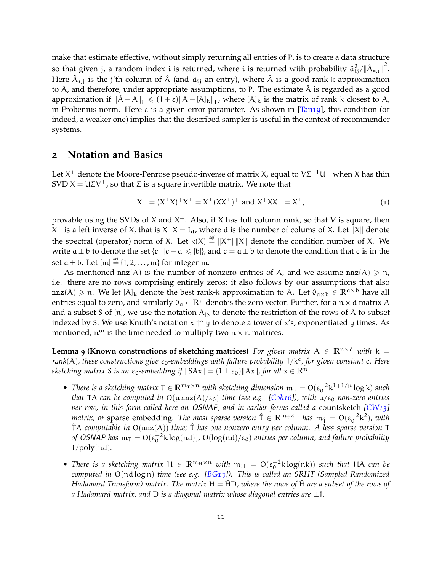make that estimate effective, without simply returning all entries of P, is to create a data structure so that given j, a random index i is returned, where i is returned with probability  $\hat{a}_{ij}^2/\|\hat{A}_{*,j}\|^2$ . Here  $\hat{A}_{*,j}$  is the j'th column of  $\hat{A}$  (and  $\hat{a}_{ij}$  an entry), where  $\hat{A}$  is a good rank-k approximation to A, and therefore, under appropriate assumptions, to P. The estimate  $\hat{A}$  is regarded as a good approximation if  $\|\hat{A} - A\|_F \leq (1 + \varepsilon) \|A - [A]_k\|_F$ , where  $[A]_k$  is the matrix of rank k closest to A, in Frobenius norm. Here  $\varepsilon$  is a given error parameter. As shown in [\[Tan](#page-48-2)19], this condition (or indeed, a weaker one) implies that the described sampler is useful in the context of recommender systems.

### <span id="page-11-0"></span>**2 Notation and Basics**

Let X<sup>+</sup> denote the Moore-Penrose pseudo-inverse of matrix X, equal to VΣ $^{-1}$ U $^{\top}$  when X has thin SVD  $X = U\Sigma V^{\top}$ , so that Σ is a square invertible matrix. We note that

$$
X^{+} = (X^{\top}X)^{+}X^{\top} = X^{\top}(XX^{\top})^{+} \text{ and } X^{+}XX^{\top} = X^{\top},
$$
\n(1)

provable using the SVDs of X and  $X^+$ . Also, if X has full column rank, so that V is square, then  $X^+$  is a left inverse of X, that is  $X^+X = I_d$ , where d is the number of colums of X. Let  $||X||$  denote the spectral (operator) norm of X. Let  $\kappa(X) \stackrel{\text{def}}{=} ||X^+|| ||X||$  denote the condition number of X. We write  $a \pm b$  to denote the set  $\{c \mid |c-a| \leq |b|\}$ , and  $c = a \pm b$  to denote the condition that c is in the set  $a \pm b$ . Let  $[m] \stackrel{\text{\it def}}{=} \{1, 2, ..., m\}$  for integer m.

As mentioned  $nnz(A)$  is the number of nonzero entries of A, and we assume  $nnz(A) \geq n$ , i.e. there are no rows comprising entirely zeros; it also follows by our assumptions that also nnz(A) ≥ n. We let  $[A]_k$  denote the best rank-k approximation to A. Let  $0_{\alpha \times b} \in \mathbb{R}^{\alpha \times b}$  have all entries equal to zero, and similarly  $0_a \in \mathbb{R}^a$  denotes the zero vector. Further, for a  $n \times d$  matrix A and a subset S of [n], we use the notation  $A_{\vert S}$  to denote the restriction of the rows of A to subset indexed by S. We use Knuth's notation  $x \uparrow \uparrow y$  to denote a tower of x's, exponentiated y times. As mentioned,  $n^{\omega}$  is the time needed to multiply two  $n \times n$  matrices.

<span id="page-11-1"></span>**Lemma 9 (Known constructions of sketching matrices)** For given matrix  $A \in \mathbb{R}^{n \times d}$  with  $k =$ rank(A), these constructions give ε<sub>0</sub>-embeddings with failure probability  $1/k<sup>c</sup>$ , for given constant c. Here *sketching matrix S is an*  $\varepsilon_0$ -embedding if  $||SAx|| = (1 \pm \varepsilon_0) ||Ax||$ , for all  $x \in \mathbb{R}^n$ .

- *There is a sketching matrix*  $T \in \mathbb{R}^{m_T \times n}$  *with sketching dimension*  $m_T = O(\epsilon_0^{-2} k^{1+1/\mu} \log k)$  *such that* TA can be computed in  $O(\mu nz(A)/\epsilon_0)$  *time (see e.g. [\[Coh](#page-45-5)16]), with*  $\mu/\epsilon_0$  *non-zero entries per row, in this form called here an* OSNAP*, and in earlier forms called a* countsketch *[\[CW](#page-46-6)13] matrix, or* sparse embedding. The most sparse version  $\hat{T} \in \mathbb{R}^{m_{\hat{T}} \times n}$  has  $m_{\hat{T}} = O(\epsilon_0^{-2} k^2)$ , with TAˆ *computable in* O(nnz(A)) *time;* Tˆ *has one nonzero entry per column. A less sparse version* T¯ of OSNAP has  $m_T = O(\epsilon_0^{-2} k \log(nd))$ ,  $O(\log(nd)/\epsilon_0)$  entries per column, and failure probability 1/poly(nd)*.*
- *There is a sketching matrix*  $H \in \mathbb{R}^{m_H \times n}$  *with*  $m_H = O(\epsilon_0^{-2} k \log(nk))$  *such that* HA *can be computed in* O(nd log n) *time (see e.g. [\[BG](#page-44-9)13]). This is called an SRHT (Sampled Randomized Hadamard Transform) matrix. The matrix*  $H = \hat{H}D$ , where the rows of  $\hat{H}$  are a subset of the rows of *a Hadamard matrix, and* D *is a diagonal matrix whose diagonal entries are* ±1*.*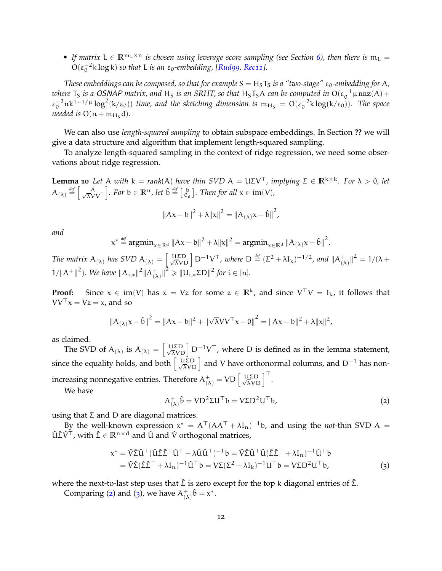• If matrix  $L \in \mathbb{R}^{m_L \times n}$  *is chosen using leverage score sampling (see Section [6](#page-27-0)), then there is*  $m_L =$  $O(\epsilon_0^{-2} \text{ k} \log \text{ k})$  *so that* L *is an*  $\epsilon_0$ -embedding, [\[Rud](#page-48-9)99, [Rec](#page-48-10)11].

*These embeddings can be composed, so that for example*  $S = H_S T_S$  *is a "two-stage"*  $\varepsilon_0$ -embedding for A, *where*  $T_S$  *is a OSNAP matrix, and*  $H_S$  *is an SRHT, so that*  $H_S T_S A$  *can be computed in*  $O(\epsilon_0^{-1} \mu n n z(A) +$  $\varepsilon_0^{-2}$ nk<sup>1+1/μ</sup>log<sup>2</sup>(k/ $\varepsilon_0$ )) *time, and the sketching dimension is*  $m_{H_s} = O(\varepsilon_0^{-2} k \log(k/\varepsilon_0))$ . The space *needed is*  $O(n + m_{Hs} d)$ *.* 

We can also use *length-squared sampling* to obtain subspace embeddings. In Section **??** we will give a data structure and algorithm that implement length-squared sampling.

<span id="page-12-2"></span>To analyze length-squared sampling in the context of ridge regression, we need some observations about ridge regression.

**Lemma 10** *Let* A *with*  $k = rank(A)$  *have thin SVD*  $A = U\Sigma V^{\top}$ *, implying*  $\Sigma \in \mathbb{R}^{k \times k}$ *. For*  $\lambda > 0$ *, let*  $A_{(\lambda)} \stackrel{\text{def}}{=} \left[ \frac{A}{\sqrt{\lambda}V} \right]$ λVV⊤ *charanceria E*  $\theta$ <sup>*def*</sup>  $\begin{bmatrix} 1 & 0 \\ 0 & 0 \end{bmatrix}$ *. Then for all*  $x \in \text{im}(V)$ *,* 

$$
||Ax - b||^{2} + \lambda ||x||^{2} = ||A_{(\lambda)}x - \hat{b}||^{2},
$$

*and*

$$
x^* \stackrel{\text{def}}{=} \operatorname{argmin}_{x \in \mathbb{R}^d} \|Ax - b\|^2 + \lambda \|x\|^2 = \operatorname{argmin}_{x \in \mathbb{R}^d} \|A_{(\lambda)}x - \hat{b}\|^2.
$$

The matrix  $A_{(\lambda)}$  has SVD  $A_{(\lambda)} = \begin{bmatrix} \text{UED} \\ \sqrt{\lambda} \text{VD} \end{bmatrix} D^{-1} V^{\top}$ , where  $D \stackrel{\text{def}}{=} (\Sigma^2 + \lambda I_k)^{-1/2}$ , and  $||A_{(\lambda)}^{\top}$  $\binom{+}{(\lambda)}$   $\big\|^2 = 1/(\lambda +$  $1/||A^+||^2$ ). We have  $||A_{i,*}||^2||A_{(2)}^+$  $\binom{+}{(\lambda)}$   $\|^2 \geqslant$   $\|u_{i,*}\Sigma D\|^2$  for  $i \in [n]$ *.* 

**Proof:** Since  $x \in im(V)$  has  $x = Vz$  for some  $z \in \mathbb{R}^k$ , and since  $V^{\top}V = I_k$ , it follows that  $VV^{\top}x = Vz = x$ , and so

$$
{\|A_{(\lambda)}x - \hat{b}\|}^2 = {\|Ax - b\|}^2 + {\|\sqrt{\lambda}VV^{\top}x - 0\|}^2 = {\|Ax - b\|}^2 + {\lambda \|x\|}^2,
$$

as claimed.

The SVD of  $A_{(\lambda)}$  is  $A_{(\lambda)} = \begin{bmatrix} U \Sigma D \\ \sqrt{\lambda} V D \end{bmatrix} D^{-1} V^{\top}$ , where D is defined as in the lemma statement, since the equality holds, and both  $\begin{bmatrix} u\bar{z}D \\ \sqrt{\lambda}VD \end{bmatrix}$  and V have orthonormal columns, and D<sup>−1</sup> has nonincreasing nonnegative entries. Therefore  $A^+_{(\lambda)} = V D \left[ \frac{U \Sigma D}{\sqrt{\lambda} V D} \right]^+.$ 

We have

<span id="page-12-1"></span><span id="page-12-0"></span>
$$
A^+_{(\lambda)}\hat{\mathbf{b}} = \mathbf{V} \mathbf{D}^2 \Sigma \mathbf{U}^\top \mathbf{b} = \mathbf{V} \Sigma \mathbf{D}^2 \mathbf{U}^\top \mathbf{b},\tag{2}
$$

using that  $\Sigma$  and  $D$  are diagonal matrices.

By the well-known expression  $x^* = A^{\top} (A A^{\top} + \lambda I_n)^{-1}$ b, and using the *not-*thin SVD A =  $\hat{U}\hat{\Sigma}\hat{V}^{\top}$ , with  $\hat{\Sigma} \in \mathbb{R}^{n \times d}$  and  $\hat{U}$  and  $\hat{V}$  orthogonal matrices,

$$
x^* = \hat{V}\hat{\Sigma}\hat{U}^\top (\hat{U}\hat{\Sigma}\hat{\Sigma}^\top \hat{U}^\top + \lambda \hat{U}\hat{U}^\top)^{-1} b = \hat{V}\hat{\Sigma}\hat{U}^\top \hat{U} (\hat{\Sigma}\hat{\Sigma}^\top + \lambda I_n)^{-1} \hat{U}^\top b
$$
  
=  $\hat{V}\hat{\Sigma} (\hat{\Sigma}\hat{\Sigma}^\top + \lambda I_n)^{-1} \hat{U}^\top b = V\Sigma (\Sigma^2 + \lambda I_k)^{-1} U^\top b = V\Sigma D^2 U^\top b,$  (3)

where the next-to-last step uses that  $\hat{\Sigma}$  is zero except for the top k diagonal entries of  $\hat{\Sigma}$ .

Comparing ([2](#page-12-0)) and ([3](#page-12-1)), we have  $A_{(2)}^+$  $_{(\lambda)}^+ \hat{\mathfrak{b}} = \mathfrak{x}^*.$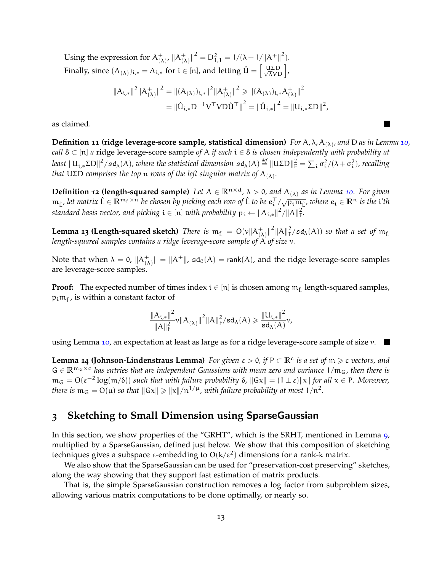Using the expression for  $A_{(2)}^+$  $(\lambda)$ ,  $||A_{(2)}^+||$  $\binom{+}{(\lambda)}$   $\big\|^2 = D_{1,1}^2 = 1/(\lambda + 1/||A^+||^2).$ Finally, since  $(A_{(\lambda)})_{i,*} = A_{i,*}$  for  $i \in [n]$ , and letting  $\hat{U} = \begin{bmatrix} U\Sigma D \\ \sqrt{\lambda}VD \end{bmatrix}$ ,

$$
\|A_{i,*}\|^2 \|A_{(\lambda)}^+\|^2 = \|(A_{(\lambda)})_{i,*}\|^2 \|A_{(\lambda)}^+\|^2 \ge \| (A_{(\lambda)})_{i,*} A_{(\lambda)}^+\|^2
$$
  
=  $\|\hat{u}_{i,*} D^{-1} V^\top V D \hat{u}^\top \|^2 = \|\hat{u}_{i,*}\|^2 = \|u_{i,*} \Sigma D\|^2,$ 

as claimed.

**Definition 11 (ridge leverage-score sample, statistical dimension)** *For* A, λ, A(λ) *, and* D *as in Lemma [10](#page-12-2), call* S ⊂ [n] *a* ridge leverage-score sample *of* A *if each* i ∈ S *is chosen independently with probability at* least  $\|U_{i,*}\Sigma D\|^2/sd_\lambda(A)$ , where the statistical dimension  $sd_\lambda(A)\stackrel{def}{=} \|U\Sigma D\|_F^2 = \sum_i \sigma_i^2/(\lambda + \sigma_i^2)$ , recalling *that* UΣD *comprises the top* n *rows of the left singular matrix of* A(λ) *.*

<span id="page-13-2"></span>**Definition 12 (length-squared sample)** Let  $A \in \mathbb{R}^{n \times d}$ ,  $\lambda > 0$ , and  $A_{(\lambda)}$  as in Lemma [10](#page-12-2). For given  $m_{\hat{L}}$ , let matrix  $\hat{L} \in \mathbb{R}^{m_L \times n}$  be chosen by picking each row of  $\hat{L}$  to be  $e_i^{\top}/\sqrt{p_i m_{\hat{L}}}$ , where  $e_i \in \mathbb{R}^n$  is the i'th standard basis vector, and picking  $\mathfrak{i}\in$  [n] with probability  $\mathfrak{p}_\mathfrak{i}\leftarrow \|{\mathsf A}_{\mathfrak{i},*}\|^2/\|{\mathsf A}\|_{\mathsf F}^2.$ 

<span id="page-13-1"></span>**Lemma 13 (Length-squared sketch)** There is  $m_{\hat{L}} = O(v||A^+_{(\lambda)}||^2||A||^2_F/sd_{\lambda}(A))$  so that a set of  $m_{\hat{L}}$ *length-squared samples contains a ridge leverage-score sample of* A *of size* v*.*

Note that when  $\lambda = 0$ ,  $||A^+_{(\lambda)}|| = ||A^+||$ , sd<sub>0</sub>(A) = rank(A), and the ridge leverage-score samples are leverage-score samples.

**Proof:** The expected number of times index  $i \in [n]$  is chosen among  $m_{\hat{L}}$  length-squared samples,  $\mathfrak{p}_\mathfrak{i}\mathfrak{m}_\mathfrak{f}$  , is within a constant factor of

$$
\frac{\|A_{i,*}\|^2}{\|A\|_F^2} \nu \|A_{(\lambda)}^+\|^2 \|A\|_F^2 / \text{sd}_\lambda(A) \geqslant \frac{\|U_{i,*}\|^2}{\text{sd}_\lambda(A)} \nu,
$$

<span id="page-13-0"></span>using Lemma [10](#page-12-2), an expectation at least as large as for a ridge leverage-score sample of size  $v$ .

**Lemma 14 (Johnson-Lindenstraus Lemma)** For given  $\varepsilon > 0$ , if  $P \subset \mathbb{R}^c$  is a set of  $m \geq c$  vectors, and  $G \in \mathbb{R}^{m_G \times c}$  *has entries that are independent Gaussians with mean zero and variance*  $1/m_G$ *, then there is*  $m_G = O(\epsilon^{-2} \log(m/\delta))$  *such that with failure probability*  $\delta$ ,  $||Gx|| = (1 \pm \epsilon)||x||$  *for all*  $x \in P$ *. Moreover, there is*  $m_G = O(\mu)$  *so that*  $||Gx|| \ge ||x||/n^{1/\mu}$ , with failure probability at most  $1/n^2$ .

# <span id="page-13-3"></span>**3 Sketching to Small Dimension using** SparseGaussian

In this section, we show properties of the "GRHT", which is the SRHT, mentioned in Lemma [9](#page-11-1), multiplied by a SparseGaussian, defined just below. We show that this composition of sketching techniques gives a subspace ε-embedding to  $O(k/\epsilon^2)$  dimensions for a rank-k matrix.

We also show that the SparseGaussian can be used for "preservation-cost preserving" sketches, along the way showing that they support fast estimation of matrix products.

That is, the simple SparseGaussian construction removes a log factor from subproblem sizes, allowing various matrix computations to be done optimally, or nearly so.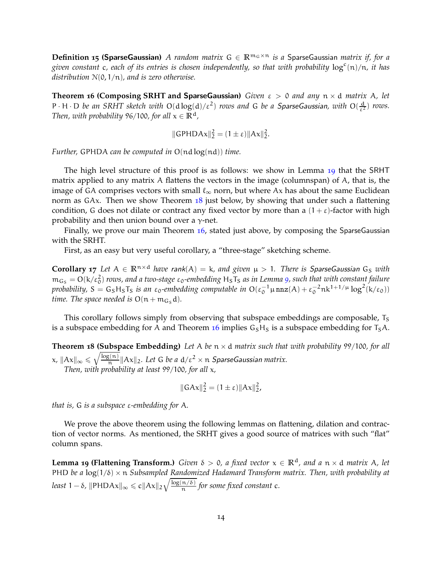**Definition 15 (SparseGaussian)** *A random matrix*  $G \in \mathbb{R}^{m_G \times n}$  *is a* SparseGaussian *matrix if, for a* given constant c, each of its entries is chosen independently, so that with probability  $\log^c(n)/n$ , it has *distribution* N(0, 1/n)*, and is zero otherwise.*

<span id="page-14-0"></span>**Theorem 16 (Composing SRHT and** SparseGaussian**)** *Given* ε > 0 *and any* n × d *matrix* A*, let*  $P \cdot H \cdot D$  *be an SRHT sketch with*  $O(d \log(d)/\epsilon^2)$  *rows and* G *be a SparseGaussian, with*  $O(\frac{d}{\epsilon^2})$  *rows. Then, with probability* 96/100, for all  $x \in \mathbb{R}^d$ ,

$$
\|\text{GPHDAx}\|_2^2 = (1 \pm \varepsilon) \|\text{Ax}\|_2^2.
$$

*Further,* GPHDA *can be computed in* O(nd log(nd)) *time.*

The high level structure of this proof is as follows: we show in Lemma [19](#page-14-1) that the SRHT matrix applied to any matrix A flattens the vectors in the image (columnspan) of A, that is, the image of GA comprises vectors with small  $\ell_{\infty}$  norn, but where Ax has about the same Euclidean norm as  $GAx$ . Then we show Theorem  $18$  just below, by showing that under such a flattening condition, G does not dilate or contract any fixed vector by more than a  $(1 + \varepsilon)$ -factor with high probability and then union bound over a  $\gamma$ -net.

Finally, we prove our main Theorem [16](#page-14-0), stated just above, by composing the SparseGaussian with the SRHT.

<span id="page-14-3"></span>First, as an easy but very useful corollary, a "three-stage" sketching scheme.

**Corollary 17** *Let*  $A \in \mathbb{R}^{n \times d}$  *have* rank $(A) = k$ *, and given*  $\mu > 1$ *. There is SparseGaussian* G<sub>S</sub> *with*  $\rm m_{G_S} = O(k/\epsilon_0^2)$  rows, and a two-stage ε<sub>0</sub>-embedding H<sub>S</sub>T<sub>S</sub> as in Lemma [9](#page-11-1), such that with constant failure *probability,*  $S = G_S H_S T_S$  *is an*  $\varepsilon_0$ -embedding computable in  $O(\varepsilon_0^{-1} \mu n n z(A) + \varepsilon_0^{-2} n k^{1+1/\mu} \log^2(k/\varepsilon_0))$ *time. The space needed is*  $O(n + m_{G_S} d)$ *.* 

<span id="page-14-2"></span>This corollary follows simply from observing that subspace embeddings are composable, T<sub>S</sub> is a subspace embedding for A and Theorem  $16$  implies  $G<sub>S</sub>H<sub>S</sub>$  is a subspace embedding for  $T<sub>S</sub>A$ .

**Theorem 18 (Subspace Embedding)** *Let* A *be* n × d *matrix such that with probability* 99/100*, for all*  $x, \|Ax\|_{\infty} \leqslant \sqrt{\frac{\log(n)}{n}}$  $\frac{\mathcal{R}^{(n)}}{n} \|Ax\|_2$ . Let G be a  $d/\varepsilon^2 \times n$  SparseGaussian matrix. *Then, with probability at least* 99/100*, for all* x*,*

$$
\|GAx\|_2^2 = (1 \pm \varepsilon) \|Ax\|_2^2,
$$

*that is,* G *is a subspace* ε*-embedding for* A*.*

We prove the above theorem using the following lemmas on flattening, dilation and contraction of vector norms. As mentioned, the SRHT gives a good source of matrices with such "flat" column spans.

<span id="page-14-4"></span><span id="page-14-1"></span>**Lemma 19 (Flattening Transform.)** *Given*  $\delta > 0$ , a fixed vector  $x \in \mathbb{R}^d$ , and a  $n \times d$  *matrix* A, let PHD *be a* log(1/δ) × n *Subsampled Randomized Hadamard Transform matrix. Then, with probability at*  $\text{least } 1 - \delta$ ,  $\|\text{PHDAx}\|_{\infty} \leqslant c \|Ax\|_2 \sqrt{\frac{\log(n/\delta)}{n}}$  $\frac{f(t/\delta)}{f(t)}$  for some fixed constant c.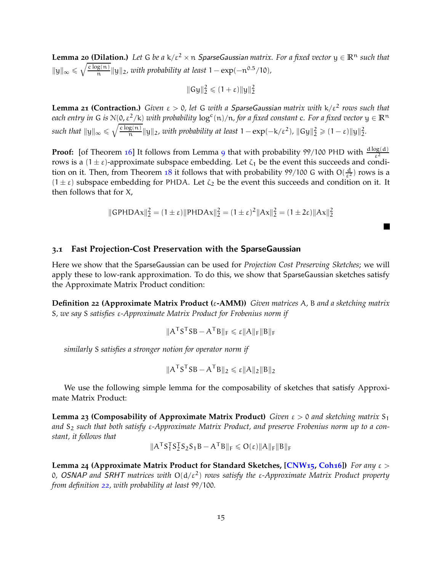**Lemma 20 (Dilation.)** *Let* G *be a* k/ $\varepsilon^2 \times n$  *SparseGaussian matrix. For a fixed vector*  $y \in \mathbb{R}^n$  *such that*  $||y||_{\infty} \leqslant \sqrt{\frac{c \log(n)}{n}}$  $\frac{g(n)}{n}$ ||y||<sub>2</sub>, with probability at least 1 − exp(− $n^{0.5}/10$ ),

$$
\|Gy\|_2^2\leqslant (1+\epsilon)\|y\|_2^2
$$

<span id="page-15-3"></span>**Lemma 21 (Contraction.)** *Given* ε > 0*, let* G *with a* SparseGaussian *matrix with* k/ε<sup>2</sup> *rows such that each entry in* G *is*  $N(0, \varepsilon^2/k)$  *with probability*  $\log^c(n)/n$ *, for a fixed constant* c. For a fixed vector  $y \in \mathbb{R}^n$ *such that*  $||y||_{\infty} \leq \sqrt{\frac{c \log(n)}{n}}$  $\frac{g(n)}{n} \|y\|_2$ , with probability at least  $1 - \exp(-k/\varepsilon^2)$ ,  $\|Gy\|_2^2 \geqslant (1-\varepsilon) \|y\|_2^2$ .

**Proof:** [of Theorem [16](#page-14-0)] It follows from Lemma [9](#page-11-1) that with probability 99/100 PHD with  $\frac{d \log(d)}{\varepsilon^2}$ rows is a  $(1 \pm \varepsilon)$ -approximate subspace embedding. Let  $\zeta_1$  be the event this succeeds and condi-tion on it. Then, from Theorem [18](#page-14-2) it follows that with probability  $99/100$  G with  $O(\frac{d}{\epsilon^2})$  rows is a  $(1 \pm \varepsilon)$  subspace embedding for PHDA. Let  $\zeta_2$  be the event this succeeds and condition on it. It then follows that for X,

$$
\|\text{GPHDAx}\|_2^2 = (1 \pm \varepsilon) \|\text{PHDAx}\|_2^2 = (1 \pm \varepsilon)^2 \|\text{Ax}\|_2^2 = (1 \pm 2\varepsilon) \|\text{Ax}\|_2^2
$$

П

### <span id="page-15-0"></span>**3.1 Fast Projection-Cost Preservation with the** SparseGaussian

Here we show that the SparseGaussian can be used for *Projection Cost Preserving Sketches*; we will apply these to low-rank approximation. To do this, we show that SparseGaussian sketches satisfy the Approximate Matrix Product condition:

<span id="page-15-1"></span>**Definition 22 (Approximate Matrix Product (**ε**-AMM))** *Given matrices* A*,* B *and a sketching matrix* S*, we say* S *satisfies* ε*-Approximate Matrix Product for Frobenius norm if*

$$
\|A^{\mathsf{T}}S^{\mathsf{T}}SB - A^{\mathsf{T}}B\|_{F} \leqslant \epsilon \|A\|_{F} \|B\|_{F}
$$

*similarly* S *satisfies a stronger notion for operator norm if*

$$
\|A^{\mathsf{T}}S^{\mathsf{T}}SB - A^{\mathsf{T}}B\|_2 \leqslant \varepsilon \|A\|_2 \|B\|_2
$$

<span id="page-15-4"></span>We use the following simple lemma for the composability of sketches that satisfy Approximate Matrix Product:

**Lemma 23 (Composability of Approximate Matrix Product)** *Given*  $\varepsilon > 0$  *and sketching matrix* S<sub>1</sub> and S<sub>2</sub> such that both satisfy ε-Approximate Matrix Product, and preserve Frobenius norm up to a con*stant, it follows that*

$$
\|A^{\mathsf{T}}S_1^{\mathsf{T}}S_2^{\mathsf{T}}S_2S_1B - A^{\mathsf{T}}B\|_{\mathsf{F}} \leqslant O(\varepsilon)\|A\|_{\mathsf{F}}\|B\|_{\mathsf{F}}
$$

<span id="page-15-5"></span><span id="page-15-2"></span>**Lemma 24 (Approximate Matrix Product for Standard Sketches, [\[CNW](#page-45-3)15, [Coh](#page-45-5)16])** *For any* ε > 0*,* OSNAP *and* SRHT *matrices with* O(d/ε<sup>2</sup> ) *rows satisfy the* ε*-Approximate Matrix Product property from definition [22](#page-15-1), with probability at least* 99/100*.*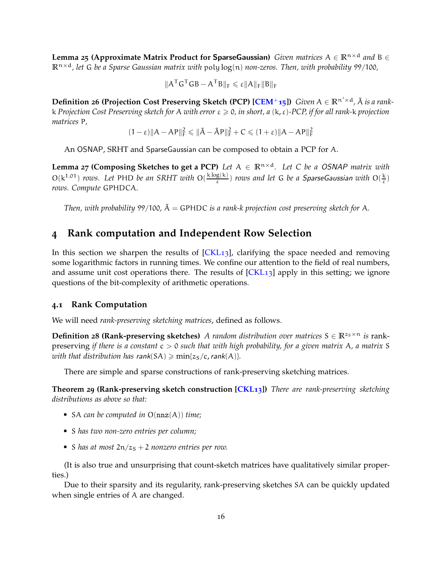**Lemma 25 (Approximate Matrix Product for SparseGaussian)** *Given matrices*  $A \in \mathbb{R}^{n \times d}$  *and*  $B \in$ **R**<sup>n</sup>×<sup>d</sup>*, let* G *be a Sparse Gaussian matrix with* poly log(n) *non-zeros. Then, with probability* 99/100*,*

$$
\|A^{\mathsf{T}}G^{\mathsf{T}}GB - A^{\mathsf{T}}B\|_{\mathsf{F}} \leqslant \varepsilon \|A\|_{\mathsf{F}} \|B\|_{\mathsf{F}}
$$

<span id="page-16-4"></span>**Definition 26 (Projection Cost Preserving Sketch (PCP)**  $[CEM^+15]$ **)** *Given*  $A \in \mathbb{R}^{n' \times d}$ ,  $\tilde{A}$  *is a rank*k *Projection Cost Preserving sketch for* A *with error* ε > 0*, in short, a* (k, ε)*-PCP, if for all rank-*k *projection matrices* P*,*

$$
(1-\epsilon) \|A - AP\|_F^2 \leqslant \|\tilde{A} - \tilde{A}P\|_F^2 + C \leqslant (1+\epsilon) \|A - AP\|_F^2
$$

<span id="page-16-3"></span>An OSNAP, SRHT and SparseGaussian can be composed to obtain a PCP for A.

**Lemma 27 (Composing Sketches to get a PCP)** *Let*  $A \in \mathbb{R}^{n \times d}$ *. Let C be a OSNAP matrix with*  $O(k^{1.01})$  *rows. Let* PHD *be an SRHT with*  $O(\frac{k \log(k)}{s})$  $\frac{g(\kappa)}{\varepsilon}$ ) *rows and let* G *be a SparseGaussian with* O( $\frac{\kappa}{\varepsilon}$ ) *rows. Compute* GPHDCA*.*

*Then, with probability* 99/100,  $\tilde{A} = GPHDC$  *is a rank-k projection cost preserving sketch for* A.

# <span id="page-16-0"></span>**4 Rank computation and Independent Row Selection**

In this section we sharpen the results of [\[CKL](#page-45-2)13], clarifying the space needed and removing some logarithmic factors in running times. We confine our attention to the field of real numbers, and assume unit cost operations there. The results of  $[CKL13]$  apply in this setting; we ignore questions of the bit-complexity of arithmetic operations.

#### **4.1 Rank Computation**

We will need *rank-preserving sketching matrices*, defined as follows.

**Definition 28 (Rank-preserving sketches)** *A random distribution over matrices*  $S \in \mathbb{R}^{z_S \times n}$  *is* rankpreserving *if there is a constant* c > 0 *such that with high probability, for a given matrix* A*, a matrix* S *with that distribution has rank* $(SA) \geq min\{z_S/c, rank(A)\}.$ 

<span id="page-16-2"></span>There are simple and sparse constructions of rank-preserving sketching matrices.

**Theorem 29 (Rank-preserving sketch construction [\[CKL](#page-45-2)13])** *There are rank-preserving sketching distributions as above so that:*

- SA *can be computed in* O(nnz(A)) *time;*
- S *has two non-zero entries per column;*
- S has at most  $2n/z<sub>S</sub> + 2$  *nonzero entries per row.*

(It is also true and unsurprising that count-sketch matrices have qualitatively similar properties.)

<span id="page-16-1"></span>Due to their sparsity and its regularity, rank-preserving sketches SA can be quickly updated when single entries of A are changed.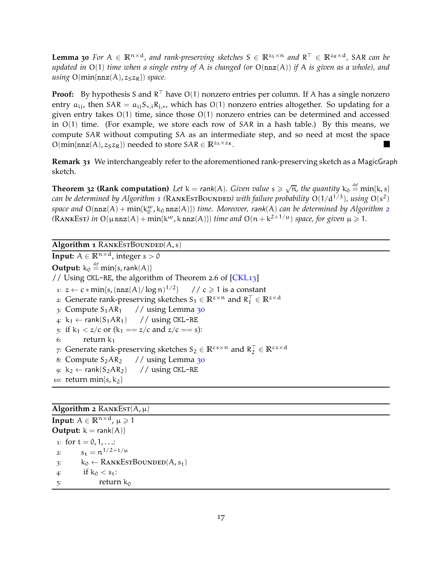**Lemma 30** *For*  $A \in \mathbb{R}^{n \times d}$ , and rank-preserving sketches  $S \in \mathbb{R}^{z_S \times n}$  and  $R^{\top} \in \mathbb{R}^{z_R \times d}$ , SAR can be *updated in* O(1) *time when a single entry of* A *is changed (or* O(nnz(A)) *if* A *is given as a whole), and using*  $O(min\{nnz(A), z_Sz_R\})$  *space.* 

**Proof:** By hypothesis S and R<sup>⊥</sup> have O(1) nonzero entries per column. If A has a single nonzero entry  $a_{ii}$ , then  $SAR = a_{ii}S_{*,i}R_{i,*}$ , which has  $O(1)$  nonzero entries altogether. So updating for a given entry takes O(1) time, since those O(1) nonzero entries can be determined and accessed in  $O(1)$  time. (For example, we store each row of SAR in a hash table.) By this means, we compute SAR without computing SA as an intermediate step, and so need at most the space  $O(\min\{nnz(A), z_Sz_R\})$  needed to store  $SAR \in \mathbb{R}^{z_S \times z_R}$ .

**Remark 31** We interchangeably refer to the aforementioned rank-preserving sketch as a MagicGraph sketch.

<span id="page-17-0"></span>**Theorem 32 (Rank computation)** Let  $k = rank(A)$ . Given value  $s \ge \sqrt{n}$ , the quantity  $k_0 \stackrel{\text{def}}{=} min\{k, s\}$ *can be determined by Algorithm [1](#page-17-1) (*RankEstBounded*) with failure probability* O(1/d1/3)*, using* O(s 2 )  $p$  space and  $O(nnz(A) + min{k_0^{\omega}}, k_0 nnz(A))$  *time. Moreover, rank*(A) *can be determined by Algorithm* [2](#page-17-2)  $(RANKEst)$  in  $O(\mu nnz(A) + min{k^{\omega}, knnz(A)})$  *time and*  $O(n + k^{2+1/\mu})$  *space, for given*  $\mu \geq 1$ *.* 

<span id="page-17-1"></span> $\overline{\text{Algorithm 1} }$  RANKESTBOUNDED(A, s)

<span id="page-17-3"></span>**Input:**  $A \in \mathbb{R}^{n \times d}$ , integer s > 0  $\mathsf{Output:} \ \mathsf{k_0} \stackrel{\mathit{def}}{=} \min\{\mathsf{s},\mathsf{rank}(\mathsf{A})\}$ // Using CKL-RE, the algorithm of Theorem 2.6 of  $[CKL<sub>13</sub>]$ 1:  $z \leftarrow c * min\{s, (nnz(A)/log n)^{1/2}\}$ //  $c \ge 1$  is a constant 2: Generate rank-preserving sketches  $S_1 \in \mathbb{R}^{z \times n}$  and  $R_1^{\top} \in \mathbb{R}^{z \times d}$ 3: Compute  $S_1AR_1$  // using Lemma [30](#page-16-1) 4:  $k_1$  ← rank $(S_1AR_1)$  // using CKL-RE 5: if  $k_1 < z/c$  or  $(k_1 == z/c$  and  $z/c == s)$ : 6: return  $k_1$ 7: Generate rank-preserving sketches  $S_2 \in \mathbb{R}^{c s \times n}$  and  $\mathbb{R}_2^{\top} \in \mathbb{R}^{c s \times d}$ 8: Compute  $S_2AR_2$  // using Lemma [30](#page-16-1) 9:  $k_2 \leftarrow \text{rank}(S_2AR_2)$  // using CKL-RE 10: return min $\{s, k_2\}$ 

### <span id="page-17-2"></span> $\overline{\text{Algorithm}}$  **2** RANKEST( $A, \mu$ )

**Input:**  $A \in \mathbb{R}^{n \times d}$ ,  $\mu \ge 1$ **Output:**  $k = rank(A)$ } 1: for  $t = 0, 1, ...$ : 2:  $s_t = n^{1/2 + t/\mu}$ 3:  $k_0 \leftarrow$  RANKESTBOUNDED(A,  $s_t$ ) 4: if  $k_0 < s_t$ : 5: return  $k_0$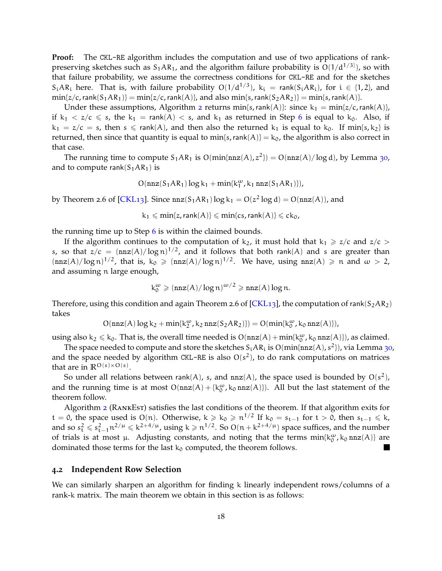**Proof:** The CKL-RE algorithm includes the computation and use of two applications of rankpreserving sketches such as  $S_1AR_1$ , and the algorithm failure probability is  $O(1/d^{1/3})$ , so with that failure probability, we assume the correctness conditions for CKL-RE and for the sketches  $S_iAR_i$  here. That is, with failure probability  $O(1/d^{1/3})$ ,  $k_i = \text{rank}(S_iAR_i)$ , for  $i \in \{1,2\}$ , and  $\min\{z/c, \text{rank}(S_1AR_1)\} = \min\{z/c, \text{rank}(A)\}$ , and also  $\min\{s, \text{rank}(S_2AR_2)\} = \min\{s, \text{rank}(A)\}$ .

Under these assumptions, Algorithm [2](#page-17-2) returns  $min{s, rank(A)}$ : since  $k_1 = min{z/c, rank(A)}$ , if  $k_1 < z/c \le s$ , the  $k_1 = \text{rank}(A) < s$ , and  $k_1$  as returned in Step [6](#page-17-3) is equal to  $k_0$ . Also, if  $k_1 = z/c = s$ , then  $s \le rank(A)$ , and then also the returned  $k_1$  is equal to  $k_0$ . If min{s, k<sub>2</sub>} is returned, then since that quantity is equal to  $min{s, rank(A)} = k_0$ , the algorithm is also correct in that case.

The running time to compute  $S_1AR_1$  is  $O(min{\{nnz(A), z^2\}}) = O(nnz(A)/\log d)$ , by Lemma [30](#page-16-1), and to compute rank( $S_1AR_1$ ) is

$$
O(nnz(S_1AR_1)\log k_1 + min\{k_1^{\omega}, k_1\,nnz(S_1AR_1)\}),
$$

by Theorem 2.6 of [\[CKL](#page-45-2)13]. Since  $nnz(S_1AR_1)log k_1 = O(z^2 log d) = O(nnz(A))$ , and

 $k_1 \leqslant \min\{z,\text{rank}(A)\} \leqslant \min\{cs,\text{rank}(A)\} \leqslant ck_0$ ,

the running time up to Step  $6$  is within the claimed bounds.

If the algorithm continues to the computation of  $k_2$ , it must hold that  $k_1 \geq z/c$  and  $z/c >$ s, so that  $z/c = (\text{nnz}(A)/\log n)^{1/2}$ , and it follows that both rank(A) and s are greater than  $(\text{nnz}(A)/\log n)^{1/2}$ , that is,  $k_0 \geq (\text{nnz}(A)/\log n)^{1/2}$ . We have, using  $\text{nnz}(A) \geq n$  and  $\omega > 2$ , and assuming n large enough,

$$
k_0^{\omega} \geqslant (\text{nnz}(A)/\log n)^{\omega/2} \geqslant \text{nnz}(A)\log n.
$$

Therefore, using this condition and again Theorem 2.6 of  $[CKL<sub>13</sub>]$ , the computation of rank $(S<sub>2</sub>AR<sub>2</sub>)$ takes

$$
O(nnz(A)\log k_2 + min\{k_2^\omega, k_2\,nnz(S_2AR_2)\}) = O(min\{k_0^\omega, k_0\,nnz(A)\}),
$$

using also  $k_2 \le k_0$ . That is, the overall time needed is  $O(nnz(A) + min\{k_0^{\omega}, k_0 nnz(A)\})$ , as claimed.

The space needed to compute and store the sketches  $\mathcal S_i\mathcal A\mathcal R_i$  is  $\mathsf O(\text{min}\{\texttt{nnz}(\mathcal A),\mathcal s^2\})$ , via Lemma [30](#page-16-1), and the space needed by algorithm CKL-RE is also  $O(s^2)$ , to do rank computations on matrices that are in  $\mathbb{R}^{\mathcal{O}(s)\times\mathcal{O}(s)}$ .

So under all relations between rank(A), s, and  $nnz(A)$ , the space used is bounded by  $O(s^2)$ , and the running time is at most  $O(nnz(A) + \{k_0^{\omega}, k_0 nnz(A)\})$ . All but the last statement of the theorem follow.

Algorithm [2](#page-17-2) (RANKEST) satisfies the last conditions of the theorem. If that algorithm exits for t = 0, the space used is O(n). Otherwise,  $k \geq k_0 \geq n^{1/2}$  If  $k_0 = s_{t-1}$  for  $t > 0$ , then  $s_{t-1} \leq k$ , and so  $s_t^2 \leqslant s_{t-1}^2 n^{2/\mu} \leqslant k^{2+4/\mu}$ , using  $k \geqslant n^{1/2}$ . So  $O(n + k^{2+4/\mu})$  space suffices, and the number of trials is at most  $\mu$ . Adjusting constants, and noting that the terms  $min\{k_0^{\omega}, k_0 \text{nnz}(A)\}$  are dominated those terms for the last  $k_0$  computed, the theorem follows. 

#### **4.2 Independent Row Selection**

<span id="page-18-0"></span>We can similarly sharpen an algorithm for finding k linearly independent rows/columns of a rank-k matrix. The main theorem we obtain in this section is as follows: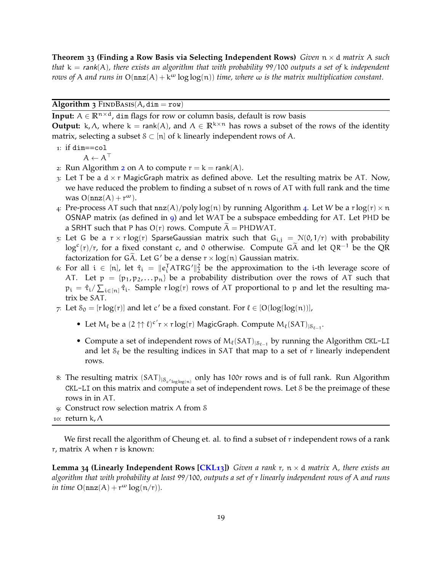**Theorem 33 (Finding a Row Basis via Selecting Independent Rows)** *Given* n × d *matrix* A *such that* k = rank(A)*, there exists an algorithm that with probability* 99/100 *outputs a set of* k *independent rows of* A *and runs in*  $O(nnz(A) + k^{\omega} \log \log(n))$  *time, where*  $\omega$  *is the matrix multiplication constant.* 

#### <span id="page-19-0"></span>**Algorithm 3** FINDBASIS( $A$ , dim = row)

**Input:**  $A \in \mathbb{R}^{n \times d}$ , dim flags for row or column basis, default is row basis

**Output:** k,  $\Lambda$ , where k = rank(A), and  $\Lambda \in \mathbb{R}^{k \times n}$  has rows a subset of the rows of the identity matrix, selecting a subset  $S \subset [n]$  of k linearly independent rows of A.

 $1:$  if dim==col

$$
A \leftarrow A^\top
$$

- [2](#page-17-2): Run Algorithm 2 on A to compute  $r = k = rank(A)$ .
- 3: Let T be a  $d \times r$  MagicGraph matrix as defined above. Let the resulting matrix be AT. Now, we have reduced the problem to finding a subset of  $n$  rows of AT with full rank and the time was  $O(nnz(A) + r^{\omega}).$
- [4](#page-20-0): Pre-process AT such that  $nnz(A)/polylog(n)$  by running Algorithm 4. Let W be a r log(r)  $\times n$ OSNAP matrix (as defined in [9](#page-11-1)) and let WAT be a subspace embedding for AT. Let PHD be a SRHT such that P has  $O(r)$  rows. Compute A = PHDWAT.
- 5: Let G be a  $r \times r \log(r)$  SparseGaussian matrix such that  $G_{i,j} = N(0, 1/r)$  with probability  $\log^c(r)/r$ , for a fixed constant c, and 0 otherwise. Compute G $\widetilde{A}$  and let QR<sup>-1</sup> be the QR factorization for GA. Let G' be a dense  $r \times log(n)$  Gaussian matrix.
- 6: For all  $i \in [n]$ , let  $\hat{\tau}_i = ||e_i^T ATRG'||_2^2$  be the approximation to the *i*-th leverage score of AT. Let  $p = {p_1, p_2,...p_n}$  be a probability distribution over the rows of AT such that  $p_i = \hat{\tau}_i / \sum_{i \in [n]} \hat{\tau}_i$ . Sample r log(r) rows of AT proportional to p and let the resulting matrix be SAT.
- 7: Let  $S_0 = [r \log(r)]$  and let c' be a fixed constant. For  $\ell \in [O(\log(\log(n))],$ 
	- Let  $M_{\ell}$  be a  $(2 \uparrow \uparrow \ell)^{c'} r \times r \log(r)$  MagicGraph. Compute  $M_{\ell}(SAT)_{|S_{\ell-1}}$ .
	- Compute a set of independent rows of  $M_{\ell}(SAT)_{|S_{\ell-1}}$  by running the Algorithm CKL-LI and let  $\mathcal{S}_{\ell}$  be the resulting indices in SAT that map to a set of r linearly independent rows.
- 8: The resulting matrix (SAT)<sub>|Sc'loglog(n)</sub> only has 100r rows and is of full rank. Run Algorithm CKL-LI on this matrix and compute a set of independent rows. Let S be the preimage of these rows in in AT.
- 9: Construct row selection matrix Λ from S
- 10: return k, Λ

<span id="page-19-1"></span>We first recall the algorithm of Cheung et. al. to find a subset of  $r$  independent rows of a rank r, matrix A when r is known:

**Lemma 34 (Linearly Independent Rows [\[CKL](#page-45-2)13])** *Given a rank* r*,* n × d *matrix* A*, there exists an algorithm that with probability at least* 99/100*, outputs a set of* r *linearly independent rows of* A *and runs in time*  $O(nnz(A) + r^{\omega} \log(n/r)).$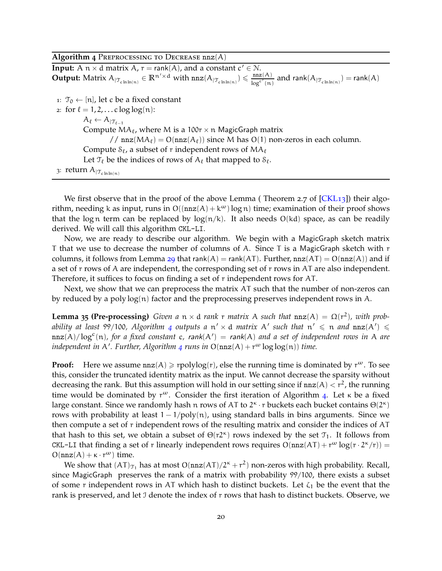<span id="page-20-0"></span>Algorithm  $4$  PREPROCESSING TO DECREASE  $nnz(A)$ 

**Input:** A  $n \times d$  matrix A,  $r = \text{rank}(A)$ , and a constant  $c' \in \mathbb{N}$ . **Output:** Matrix  $A_{\vert \mathcal{T}_{\text{chhn}(n)}} \in \mathbb{R}^{n' \times d}$  with  $\text{nnz}(A_{\vert \mathcal{T}_{\text{chhn}(n)}}) \leqslant \frac{\text{nnz}(A)}{\text{ln}e^{c'}(n)}$  $\frac{\text{nnz}(A)}{\text{log}^{c'}(n)}$  and rank $(A_{|\mathcal{T}_{\text{c}} \text{ln} \text{ln}(n)})$  = rank $(A)$ 

1:  $\mathcal{T}_0 \leftarrow [n]$ , let c be a fixed constant

2: for  $l = 1, 2, ...$  c log log(n):  $A_{\ell} \leftarrow A_{|\mathcal{T}_{\ell-1}|}$ Compute  $MA_{\ell}$ , where M is a 100r  $\times$  n MagicGraph matrix // nnz $(MA_{\ell}) = O(nnz(A_{\ell}))$  since M has  $O(1)$  non-zeros in each column. Compute  $\mathcal{S}_{\ell}$ , a subset of r independent rows of  $MA_{\ell}$ Let  $\mathcal{T}_{\ell}$  be the indices of rows of  $A_{\ell}$  that mapped to  $\mathcal{S}_{\ell}$ . 3: return  $A_{|\mathcal{T}_{\text{chhn}(n)}}$ 

We first observe that in the proof of the above Lemma (Theorem 2.7 of  $[CKL13]$  $[CKL13]$ ) their algorithm, needing k as input, runs in  $O((nnz(A) + k^{\omega})log n)$  time; examination of their proof shows that the log n term can be replaced by  $log(n/k)$ . It also needs  $O(kd)$  space, as can be readily derived. We will call this algorithm CKL-LI.

Now, we are ready to describe our algorithm. We begin with a MagicGraph sketch matrix T that we use to decrease the number of columns of A. Since T is a MagicGraph sketch with r columns, it follows from Lemma [29](#page-16-2) that rank(A) = rank(AT). Further,  $nnz(AT) = O(nnz(A))$  and if a set of r rows of A are independent, the corresponding set of r rows in AT are also independent. Therefore, it suffices to focus on finding a set of r independent rows for AT.

<span id="page-20-1"></span>Next, we show that we can preprocess the matrix AT such that the number of non-zeros can by reduced by a poly  $log(n)$  factor and the preprocessing preserves independent rows in A.

**Lemma 35 (Pre-processing)** *Given a*  $n \times d$  *rank* r *matrix* A *such that*  $nnz(A) = \Omega(r^2)$ *, with prob-*ability at least 99/100, Algorithm [4](#page-20-0) outputs a  $\mathfrak{n}' \times d$  *matrix* A' such that  $\mathfrak{n}' \leqslant \mathfrak{n}$  and  $\mathtt{nnz}(\mathsf{A}') \leqslant$  $\texttt{nnz}(A)/\log^c(n)$ , for a fixed constant c, rank $(A') = \text{rank}(A)$  and a set of independent rows in A are *independent in* A′ *. Further, Algorithm [4](#page-20-0) runs in* O(nnz(A) + r<sup>ω</sup> log log(n)) *time.*

**Proof:** Here we assume  $nnz(A) \geq rpolylog(r)$ , else the running time is dominated by  $r^{\omega}$ . To see this, consider the truncated identity matrix as the input. We cannot decrease the sparsity without decreasing the rank. But this assumption will hold in our setting since if  $nnz(A) < r^2$ , the running time would be dominated by  $r^{\omega}$ . Consider the first iteration of Algorithm [4](#page-20-0). Let  $\kappa$  be a fixed large constant. Since we randomly hash n rows of AT to  $2^k \cdot r$  buckets each bucket contains  $\Theta(2^k)$ rows with probability at least  $1 - 1/poly(n)$ , using standard balls in bins arguments. Since we then compute a set of r independent rows of the resulting matrix and consider the indices of AT that hash to this set, we obtain a subset of  $\Theta(r2^k)$  rows indexed by the set  $\mathcal{T}_1$ . It follows from CKL-LI that finding a set of r linearly independent rows requires  $O(nnz(AT) + r^{\omega} \log(r \cdot 2^{\kappa}/r)) =$  $O(nnz(A) + \kappa \cdot r^{\omega})$  time.

We show that  $(AT)_{\mathcal{T}_1}$  has at most  $O(nnz(AT)/2^{\kappa} + r^2)$  non-zeros with high probability. Recall, since MagicGraph preserves the rank of a matrix with probability 99/100, there exists a subset of some r independent rows in AT which hash to distinct buckets. Let  $\zeta_1$  be the event that the rank is preserved, and let J denote the index of r rows that hash to distinct buckets. Observe, we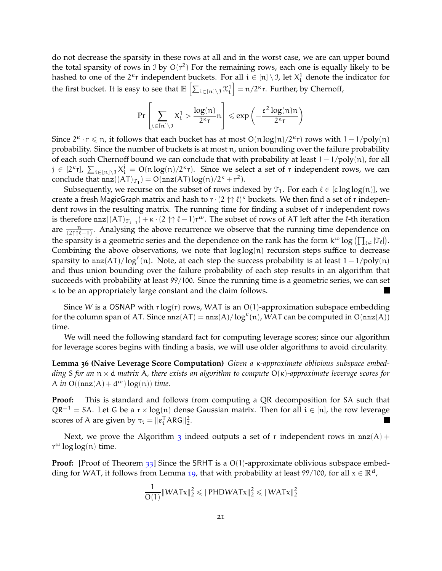do not decrease the sparsity in these rows at all and in the worst case, we are can upper bound the total sparsity of rows in  $\text{I}$  by  $O(r^2)$  For the remaining rows, each one is equally likely to be hashed to one of the  $2^k r$  independent buckets. For all  $i \in [n] \setminus \mathcal{I}$ , let  $X_i^1$  denote the indicator for the first bucket. It is easy to see that  $\mathbb{E}\left[\sum_{\mathfrak{i}\in[\mathfrak{n}]\setminus\mathfrak{I}}\chi_\mathfrak{i}^1\right]$  $\Big] = n/2^k r$ . Further, by Chernoff,

$$
Pr\left[\sum_{i \in [n] \setminus \mathcal{I}} X^1_i > \frac{log(n)}{2^\kappa r} n \right] \leqslant exp\left(-\frac{\epsilon^2 \log(n) n}{2^\kappa r}\right)
$$

Since  $2^k \cdot r \leq n$ , it follows that each bucket has at most  $O(n \log(n)/2^{\kappa} r)$  rows with  $1 - 1/\text{poly}(n)$ probability. Since the number of buckets is at most n, union bounding over the failure probability of each such Chernoff bound we can conclude that with probability at least  $1 - 1$ /poly(n), for all  $j \in [2^{\kappa}r]$ ,  $\sum_{i \in [n] \setminus \mathcal{I}} X_i^j = O(n \log(n)/2^{\kappa}r)$ . Since we select a set of r independent rows, we can conclude that  $nnz((AT)_{\tau_1}) = O(nnz(AT)log(n)/2^{\kappa} + r^2)$ .

Subsequently, we recurse on the subset of rows indexed by  $\mathcal{T}_1$ . For each  $\ell \in [\text{c}\log\log(n)]$ , we create a fresh MagicGraph matrix and hash to  $r \cdot (2 \uparrow \uparrow \ell)^{\kappa}$  buckets. We then find a set of r independent rows in the resulting matrix. The running time for finding a subset of r independent rows is therefore  $nnz((AT)_{\mathcal{T}_{\ell-1}})+\kappa\cdot(2\uparrow\uparrow\ell-1)r^{\omega}$ . The subset of rows of AT left after the  $\ell$ -th iteration are  $\frac{n}{(2\uparrow\uparrow\ell-1)}$ . Analysing the above recurrence we observe that the running time dependence on the sparsity is a geometric series and the dependence on the rank has the form  $k^{\omega} \log (\prod_{\ell \in} |\mathcal{T}_{\ell}|)$ . Combining the above observations, we note that  $log log(n)$  recursion steps suffice to decrease sparsity to  $nnz(AT)/log<sup>c</sup>(n)$ . Note, at each step the success probability is at least  $1-1/poly(n)$ and thus union bounding over the failure probability of each step results in an algorithm that succeeds with probability at least 99/100. Since the running time is a geometric series, we can set κ to be an appropriately large constant and the claim follows. **Inches** 

Since W is a OSNAP with  $r \log(r)$  rows, WAT is an O(1)-approximation subspace embedding for the column span of AT. Since  $nnz(AT) = nnz(A)/log<sup>c</sup>(n)$ , WAT can be computed in  $O(nnz(A))$ time.

<span id="page-21-0"></span>We will need the following standard fact for computing leverage scores; since our algorithm for leverage scores begins with finding a basis, we will use older algorithms to avoid circularity.

**Lemma 36 (Naive Leverage Score Computation)** *Given a* κ*-approximate oblivious subspace embedding* S *for an* n × d *matrix* A*, there exists an algorithm to compute* O(κ)*-approximate leverage scores for* A *in*  $O((nnz(A) + d^{\omega})log(n))$  *time.* 

**Proof:** This is standard and follows from computing a QR decomposition for SA such that  $QR^{-1}$  = SA. Let G be a r × log(n) dense Gaussian matrix. Then for all  $i \in [n]$ , the row leverage scores of A are given by  $\tau_i = ||e_i^T \text{ARG}||_2^2$ . I.

Next, we prove the Algorithm [3](#page-19-0) indeed outputs a set of r independent rows in  $nnz(A)$  +  $r^{\omega}$  log log(n) time.

**Proof:** [Proof of Theorem [33](#page-18-0)] Since the SRHT is a O(1)-approximate oblivious subspace embed-ding for WAT, it follows from Lemma [19](#page-14-1), that with probability at least 99/100, for all  $x \in \mathbb{R}^d$ ,

$$
\frac{1}{O(1)} \|WATx\|_2^2 \le \|PHDWATx\|_2^2 \le \|WATx\|_2^2
$$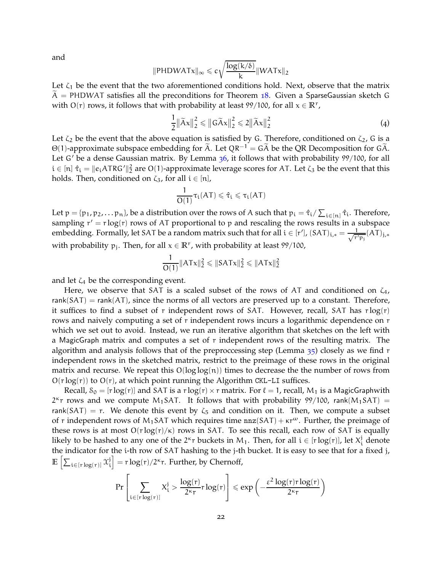and

$$
\|PHDWATx\|_{\infty} \leqslant c\sqrt{\frac{\log(k/\delta)}{k}}\|WATx\|_2
$$

Let  $\zeta_1$  be the event that the two aforementioned conditions hold. Next, observe that the matrix  $\ddot{A}$  = PHDWAT satisfies all the preconditions for Theorem [18](#page-14-2). Given a SparseGaussian sketch G with  $O(r)$  rows, it follows that with probability at least 99/100, for all  $x \in \mathbb{R}^r$ ,

$$
\frac{1}{2} \|\widetilde{A}x\|_2^2 \le \|G\widetilde{A}x\|_2^2 \le 2 \|\widetilde{A}x\|_2^2 \tag{4}
$$

Let  $\zeta_2$  be the event that the above equation is satisfied by G. Therefore, conditioned on  $\zeta_2$ , G is a Θ(1)-approximate subspace embedding for  $\tilde{A}$ . Let QR<sup>-1</sup> = G $\tilde{A}$  be the QR Decomposition for G $\tilde{A}$ . Let G' be a dense Gaussian matrix. By Lemma  $36$ , it follows that with probability  $99/100$ , for all  $i \in [n]$   $\hat{\tau}_i = \|e_i \text{ATRG}'\|_2^2$  are O(1)-approximate leverage scores for AT. Let  $\zeta_3$  be the event that this holds. Then, conditioned on  $\zeta_3$ , for all  $i \in [n]$ ,

$$
\frac{1}{O(1)}\tau_i(AT) \leqslant \hat{\tau}_i \leqslant \tau_i(AT)
$$

Let  $p = \{p_1, p_2, \dots, p_n\}$ , be a distribution over the rows of A such that  $p_i = \hat{\tau}_i / \sum_{i \in [n]} \hat{\tau}_i$ . Therefore, sampling  $r' = r \log(r)$  rows of AT proportional to p and rescaling the rows results in a subspace embedding. Formally, let SAT be a random matrix such that for all  $i \in [r']$ ,  $(SAT)_{i,*} = \frac{1}{\sqrt{r'}}$  $\frac{1}{r'p_j}(AT)_{j,*}$ with probability  $p_j$ . Then, for all  $x \in \mathbb{R}^r$ , with probability at least 99/100,

$$
\frac{1}{O(1)} \|ATx\|_2^2 \le \|SATx\|_2^2 \le \|ATx\|_2^2
$$

and let  $\zeta_4$  be the corresponding event.

Here, we observe that SAT is a scaled subset of the rows of AT and conditioned on  $\zeta_4$ , rank(SAT) = rank(AT), since the norms of all vectors are preserved up to a constant. Therefore, it suffices to find a subset of r independent rows of SAT. However, recall, SAT has  $r \log(r)$ rows and naively computing a set of r independent rows incurs a logarithmic dependence on r which we set out to avoid. Instead, we run an iterative algorithm that sketches on the left with a MagicGraph matrix and computes a set of r independent rows of the resulting matrix. The algorithm and analysis follows that of the preproccessing step (Lemma  $35$ ) closely as we find r independent rows in the sketched matrix, restrict to the preimage of these rows in the original matrix and recurse. We repeat this  $O(log log(n))$  times to decrease the the number of rows from  $O(r \log(r))$  to  $O(r)$ , at which point running the Algorithm CKL-LI suffices.

Recall,  $S_0 = [r \log(r)]$  and SAT is a  $r \log(r) \times r$  matrix. For  $\ell = 1$ , recall,  $M_1$  is a MagicGraphwith  $2<sup>k</sup>r$  rows and we compute M<sub>1</sub>SAT. It follows that with probability 99/100, rank(M<sub>1</sub>SAT) = rank(SAT) = r. We denote this event by  $\zeta_5$  and condition on it. Then, we compute a subset of r independent rows of M<sub>1</sub>SAT which requires time  $nnz(SAT) + kr^{\omega}$ . Further, the preimage of these rows is at most  $O(r \log(r)/\kappa)$  rows in SAT. To see this recall, each row of SAT is equally likely to be hashed to any one of the 2<sup>k</sup>r buckets in M<sub>1</sub>. Then, for all  $i \in [r \log(r)]$ , let  $X_i^j$ <sup>)</sup><sub>i</sub> denote the indicator for the i-th row of SAT hashing to the j-th bucket. It is easy to see that for a fixed j,  $\mathbb{E}\left[\sum_{\mathfrak{i}\in[\mathfrak{r}\log(\mathfrak{r})]}\chi_{\mathfrak{i}}^{\mathfrak{j}}\right]$ i  $\vert = r \log(r) / 2^{\kappa} r$ . Further, by Chernoff,

$$
Pr\left[\sum_{i \in [\mathrm{r}\log(\mathrm{r})]} X_i^j > \frac{\log(\mathrm{r})}{2^\kappa r} \mathrm{r}\log(\mathrm{r})\right] \leqslant exp\left(-\frac{\epsilon^2\log(\mathrm{r})\mathrm{r}\log(\mathrm{r})}{2^\kappa r}\right)
$$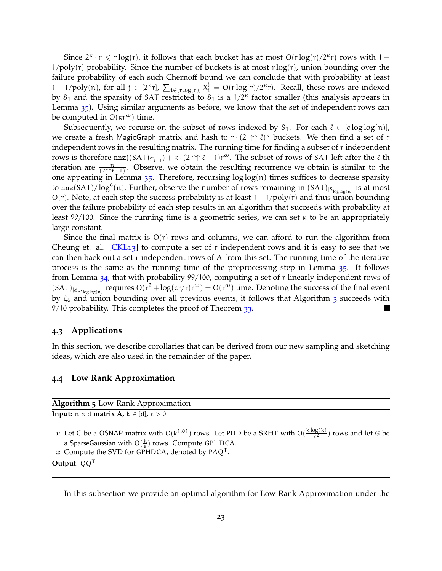Since  $2^k \cdot r \leq r \log(r)$ , it follows that each bucket has at most  $O(r \log(r) / 2^{\kappa} r)$  rows with  $1 1/poly(r)$  probability. Since the number of buckets is at most r log(r), union bounding over the failure probability of each such Chernoff bound we can conclude that with probability at least 1 − 1/poly(n), for all  $j \in [2^{\kappa}r]$ ,  $\sum_{i \in [r \log(r)]} X_i^j = O(r \log(r)/2^{\kappa}r)$ . Recall, these rows are indexed by  $S_1$  and the sparsity of SAT restricted to  $S_1$  is a  $1/2<sup>\kappa</sup>$  factor smaller (this analysis appears in Lemma [35](#page-20-1)). Using similar arguments as before, we know that the set of independent rows can be computed in  $O(\kappa r^{\omega})$  time.

Subsequently, we recurse on the subset of rows indexed by  $S_1$ . For each  $\ell \in [c \log \log(n)]$ , we create a fresh MagicGraph matrix and hash to  $r \cdot (2 \uparrow \uparrow \ell)^{\kappa}$  buckets. We then find a set of r independent rows in the resulting matrix. The running time for finding a subset of r independent rows is therefore  $nnz((SAT)_{\mathcal{T}_{\ell-1}})+\kappa\cdot(2\uparrow\uparrow\ell-1)r^{\omega}$ . The subset of rows of SAT left after the  $\ell$ -th iteration are  $\frac{n}{(2\uparrow \uparrow \ell - 1)}$ . Observe, we obtain the resulting recurrence we obtain is similar to the one appearing in Lemma  $35$ . Therefore, recursing  $log log(n)$  times suffices to decrease sparsity to nnz(SAT)/ $\log^c(n)$ . Further, observe the number of rows remaining in (SAT)<sub>|S<sub>loglog(n)</sub> is at most</sub> O(r). Note, at each step the success probability is at least  $1 - 1$ /poly(r) and thus union bounding over the failure probability of each step results in an algorithm that succeeds with probability at least 99/100. Since the running time is a geometric series, we can set κ to be an appropriately large constant.

Since the final matrix is  $O(r)$  rows and columns, we can afford to run the algorithm from Cheung et. al.  $[CKL<sub>13</sub>]$  $[CKL<sub>13</sub>]$  to compute a set of r independent rows and it is easy to see that we can then back out a set r independent rows of A from this set. The running time of the iterative process is the same as the running time of the preprocessing step in Lemma [35](#page-20-1). It follows from Lemma [34](#page-19-1), that with probability 99/100, computing a set of r linearly independent rows of  $(SAT)_{|S_{c'log log(n)}}$  requires  $O(r^2 + log(c r/r)r^{\omega}) = O(r^{\omega})$  time. Denoting the success of the final event by  $\zeta_6$  and union bounding over all previous events, it follows that Algorithm  $_3$  $_3$  succeeds with 9/10 probability. This completes the proof of Theorem [33](#page-18-0).

### **4.3 Applications**

In this section, we describe corollaries that can be derived from our new sampling and sketching ideas, which are also used in the remainder of the paper.

#### **4.4 Low Rank Approximation**

<span id="page-23-0"></span>**Algorithm 5** Low-Rank Approximation **Input:**  $n \times d$  **matrix A**,  $k \in [d]$ ,  $\epsilon > 0$ 

1: Let C be a OSNAP matrix with  $O(k^{1.01})$  rows. Let PHD be a SRHT with  $O(\frac{k \log(k)}{s^2})$  $\frac{\log(\kappa)}{\epsilon^2}$ ) rows and let G be a SparseGaussian with  $O(\frac{k}{\varepsilon})$  rows. Compute GPHDCA.

2: Compute the SVD for GPHDCA, denoted by  $P\Lambda Q^{T}$ .

**Output**: QQ<sup>T</sup>

In this subsection we provide an optimal algorithm for Low-Rank Approximation under the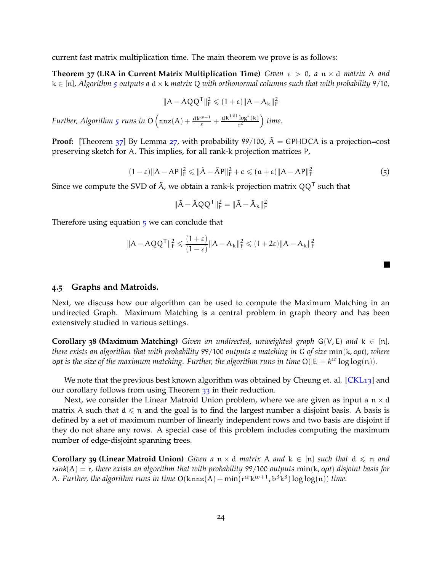current fast matrix multiplication time. The main theorem we prove is as follows:

**Theorem 37 (LRA in Current Matrix Multiplication Time)** *Given* ε > 0*, a* n × d *matrix* A *and*  $k \in [n]$ , Algorithm *[5](#page-23-0)* outputs a  $d \times k$  *matrix* Q *with orthonormal columns such that with probability* 9/10,

<span id="page-24-0"></span>
$$
\|A - AQQ^T\|_F^2 \leqslant (1+\epsilon) \|A - A_k\|_F^2
$$

*Further, Algorithm [5](#page-23-0) runs in*  $O\left(\max(A) + \frac{dk^{\omega-1}}{\varepsilon} + \frac{dk^{1.01} \log^c(k)}{\varepsilon^2}\right)$ ε2 *time.*

**Proof:** [Theorem [37](#page-24-0)] By Lemma [27](#page-16-3), with probability 99/100,  $\tilde{A}$  = GPHDCA is a projection=cost preserving sketch for A. This implies, for all rank-k projection matrices P,

<span id="page-24-2"></span>
$$
(1 - \varepsilon) \|A - AP\|_{\mathrm{F}}^2 \le \| \tilde{A} - \tilde{A}P \|_{\mathrm{F}}^2 + c \le (a + \varepsilon) \|A - AP\|_{\mathrm{F}}^2
$$
\n
$$
\tag{5}
$$

n

Since we compute the SVD of  $\tilde{\mathsf{A}}$ , we obtain a rank-k projection matrix  $\mathsf{Q} \mathsf{Q}^\mathsf{T}$  such that

$$
\|\tilde{A} - \tilde{A}QQ^{\mathsf{T}}\|_{\mathrm{F}}^2 = \|\tilde{A} - \tilde{A}_k\|_{\mathrm{F}}^2
$$

Therefore using equation  $\frac{1}{2}$  we can conclude that

$$
\|A - AQQ^T\|_F^2 \leqslant \frac{(1+\epsilon)}{(1-\epsilon)} \|A - A_k\|_F^2 \leqslant (1+2\epsilon) \|A - A_k\|_F^2
$$

#### <span id="page-24-1"></span>**4.5 Graphs and Matroids.**

Next, we discuss how our algorithm can be used to compute the Maximum Matching in an undirected Graph. Maximum Matching is a central problem in graph theory and has been extensively studied in various settings.

**Corollary 38 (Maximum Matching)** *Given an undirected, unweighted graph*  $G(V,E)$  *and*  $k \in [n]$ *, there exists an algorithm that with probability* 99/100 *outputs a matching in* G *of size* min(k, opt)*, where* opt is the size of the maximum matching. Further, the algorithm runs in time  $O(|E| + k^{\omega} \log \log(n))$ .

We note that the previous best known algorithm was obtained by Cheung et. al. [\[CKL](#page-45-2)13] and our corollary follows from using Theorem [33](#page-18-0) in their reduction.

Next, we consider the Linear Matroid Union problem, where we are given as input a  $n \times d$ matrix A such that  $d \leq n$  and the goal is to find the largest number a disjoint basis. A basis is defined by a set of maximum number of linearly independent rows and two basis are disjoint if they do not share any rows. A special case of this problem includes computing the maximum number of edge-disjoint spanning trees.

**Corollary 39 (Linear Matroid Union)** *Given a*  $n \times d$  *matrix* A *and*  $k \in [n]$  *such that*  $d \leq n$  *and* rank(A) = r*, there exists an algorithm that with probability* 99/100 *outputs* min(k, opt) *disjoint basis for* A. Further, the algorithm runs in time  $O(k \text{nnz}(A) + \text{min}(r^{\omega}k^{\omega+1}, b^3k^3) \log \log(n))$  time.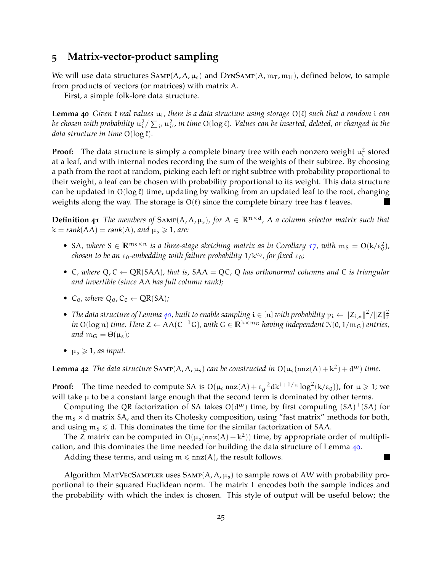# <span id="page-25-0"></span>**5 Matrix-vector-product sampling**

We will use data structures  $SAMP(A, \Lambda, \mu_s)$  and  $DYNSAMP(A, m_T, m_H)$ , defined below, to sample from products of vectors (or matrices) with matrix A.

<span id="page-25-1"></span>First, a simple folk-lore data structure.

**Lemma 40** *Given* ℓ *real values* ui*, there is a data structure using storage* O(ℓ) *such that a random* i *can* be chosen with probability  $u^2_i/\sum_{i'}u^2_{i'}$ , in time O( $\log \ell$ ). Values can be inserted, deleted, or changed in the *data structure in time* O(log ℓ)*.*

**Proof:** The data structure is simply a complete binary tree with each nonzero weight  $u_i^2$  stored at a leaf, and with internal nodes recording the sum of the weights of their subtree. By choosing a path from the root at random, picking each left or right subtree with probability proportional to their weight, a leaf can be chosen with probability proportional to its weight. This data structure can be updated in  $O(\log \ell)$  time, updating by walking from an updated leaf to the root, changing weights along the way. The storage is  $O(\ell)$  since the complete binary tree has  $\ell$  leaves.

<span id="page-25-2"></span>**Definition 41** *The members of*  $SAMP(A, \Lambda, \mu_s)$ *, for*  $A \in \mathbb{R}^{n \times d}$ *,*  $\Lambda$  *a column selector matrix such that*  $k = rank(A \Lambda) = rank(A)$ *, and*  $\mu_s \ge 1$ *, are:* 

- SA, where  $S \in \mathbb{R}^{m_S \times n}$  *is a three-stage sketching matrix as in Corollary [17](#page-14-3), with*  $m_S = O(k/\epsilon_0^2)$ , *chosen to be an* ε<sub>0</sub>-embedding with failure probability  $1/k<sup>c</sup>$ , for fixed ε<sub>0</sub>;
- C*, where* Q, C ← QR(SAΛ)*, that is,* SAΛ = QC*,* Q *has orthonormal columns and* C *is triangular and invertible (since* AΛ *has full column rank);*
- C<sub>0</sub>, where  $Q_0$ , C<sub>0</sub>  $\leftarrow$  QR(SA);
- *The data structure of Lemma [40](#page-25-1), built to enable sampling*  $i \in [n]$  *with probability*  $p_i \leftarrow \|Z_{i,*}\|^2 / \|Z\|_F^2$ *in* O(log n) *time. Here*  $Z \leftarrow A \Lambda (C^{-1}G)$ *, with*  $G \in \mathbb{R}^{k \times m_G}$  *having independent*  $\mathcal{N}(0, 1/m_G)$  *entries, and*  $m_G = \Theta(\mu_s)$ *;*
- $\mu_s \geq 1$ , as input.

<span id="page-25-3"></span>**Lemma** 42 The data structure  $SAMP(A, \Lambda, \mu_s)$  can be constructed in  $O(\mu_s(nnz(A) + k^2) + d^{\omega})$  time.

**Proof:** The time needed to compute SA is  $O(\mu_s n \alpha z(A) + \varepsilon_0^{-2} d k^{1+1/\mu} \log^2(k/\varepsilon_0))$ , for  $\mu \ge 1$ ; we will take  $\mu$  to be a constant large enough that the second term is dominated by other terms.

Computing the QR factorization of SA takes  $O(d^{\omega})$  time, by first computing  $(SA)^{\top} (SA)$  for the  $m_S \times d$  matrix SA, and then its Cholesky composition, using "fast matrix" methods for both, and using  $m<sub>S</sub> \le d$ . This dominates the time for the similar factorization of SA $\Lambda$ .

The Z matrix can be computed in  $O(\mu_s(nnz(A)+k^2))$  time, by appropriate order of multiplication, and this dominates the time needed for building the data structure of Lemma [40](#page-25-1).

Adding these terms, and using  $m \leq nnz(A)$ , the result follows.

Algorithm MATVECSAMPLER uses SAMP( $A$ ,  $Λ$ ,  $μ$ <sub>s</sub>) to sample rows of AW with probability proportional to their squared Euclidean norm. The matrix L encodes both the sample indices and the probability with which the index is chosen. This style of output will be useful below; the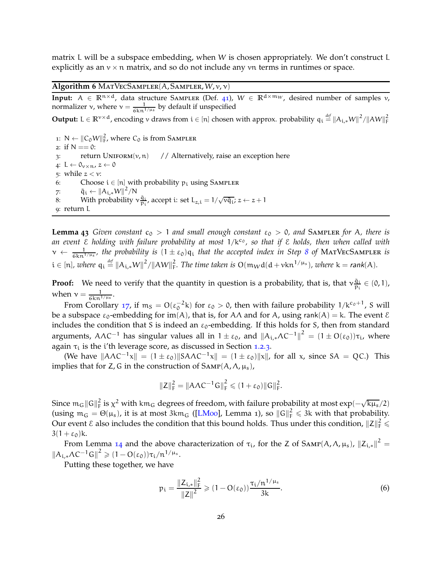matrix L will be a subspace embedding, when W is chosen appropriately. We don't construct L explicitly as an  $v \times n$  matrix, and so do not include any  $vn$  terms in runtimes or space.

<span id="page-26-2"></span>**Algorithm 6** MatVecSampler(A, Sampler, W, v, ν)

**Input:**  $A \in \overline{\mathbb{R}^{n \times d}}$ , data structure SAMPLER (Def. [41](#page-25-2)),  $W \in \mathbb{R}^{d \times m_W}$ , desired number of samples v, normalizer  $\nu$ , where  $\nu = \frac{1}{6 \kappa n^{1/\mu s}}$  by default if unspecified

**Output:** L ∈  $\mathbb{R}^{v \times d}$ , encoding v draws from  $i \in [n]$  chosen with approx. probability  $q_i \stackrel{\text{\it def}}{=} \|A_{i,*}W\|^2/\|AW\|_F^2$ 

1:  $N \leftarrow ||C_0W||_F^2$ , where  $C_0$  is from SAMPLER 2: if  $N == 0$ : 3: return  $\text{UNIFORM}(v, n)$  // Alternatively, raise an exception here 4: L  $\leftarrow \theta_{v \times n}$ ,  $z \leftarrow 0$ 5: while  $z < v$ : 6: Choose  $i \in [n]$  with probability  $p_i$  using SAMPLER 7:  $\tilde{q}_i \leftarrow ||A_{i,*}W||^2/N$ 8: With probability  $v \frac{\tilde{q}_i}{p_i}$ , accept i: set  $L_{z,i} = 1/\sqrt{v \tilde{q}_i}$ ;  $z \leftarrow z + 1$ 9: return L

<span id="page-26-3"></span><span id="page-26-0"></span>**Lemma 43** *Given constant*  $c_0 > 1$  *and small enough constant*  $\epsilon_0 > 0$ *, and* SAMPLER *for* A*, there is an event* E *holding with failure probability at most* 1/kc<sup>0</sup> *, so that if* E *holds, then when called with*  $\nu \leftarrow \frac{1}{6kn^{1/\mu_s}}$ , the probability is  $(1 \pm \varepsilon_0)q_i$  that the accepted index in Step [8](#page-26-0) of MATVECSAMPLER is  $\mathfrak{i} \in [n]$ , where  $q_i \stackrel{\text{def}}{=} ||A_{i,*}W||^2/||AW||_F^2$ . The time taken is  $O(m_Wd(d+ vkn^{1/\mu_s})$ , where  $k = rank(A)$ .

**Proof:** We need to verify that the quantity in question is a probability, that is, that  $v_{\text{in}}^{\tilde{q}_i}$  $\frac{q_i}{p_i} \in (0,1)$ , when  $v = \frac{1}{6 \text{kn}^{1/\mu_s}}$ .

From Corollary [17](#page-14-3), if  $m_S = O(\epsilon_0^{-2}k)$  for  $\epsilon_0 > 0$ , then with failure probability  $1/k^{c_0+1}$ , S will be a subspace  $\varepsilon_0$ -embedding for im(A), that is, for A $\Lambda$  and for A, using rank(A) = k. The event  $\mathcal E$ includes the condition that S is indeed an  $\varepsilon_0$ -embedding. If this holds for S, then from standard arguments,  $A\Lambda C^{-1}$  has singular values all in  $1\pm\varepsilon_0$ , and  $||A_{i,*}\Lambda C^{-1}||^2 = (1\pm O(\varepsilon_0))\tau_i$ , where again  $\tau_i$  is the *i*'th leverage score, as discussed in Section [1](#page-8-0).2.3.

(We have  $||A\Lambda C^{-1}x|| = (1 \pm \varepsilon_0)||S A\Lambda C^{-1}x|| = (1 \pm \varepsilon_0)||x||$ , for all x, since  $SA = QC$ .) This implies that for Z, G in the construction of  $SAMP(A, Λ, μ<sub>s</sub>)$ ,

$$
||Z||_F^2 = ||A\Lambda C^{-1}G||_F^2 \leq (1+\epsilon_0) ||G||_F^2.
$$

Since  $m_G ||G||_F^2$  is  $\chi^2$  with km<sub>G</sub> degrees of freedom, with failure probability at most exp( $-\sqrt{k\mu_s}/2$ ) (using  $m_G = \Theta(\mu_s)$ , it is at most 3km<sub>G</sub> ([\[LM](#page-47-11)oo], Lemma 1), so  $||G||_F^2 \le 3k$  with that probability. Our event  $\epsilon$  also includes the condition that this bound holds. Thus under this condition,  $\|Z\|_{\rm F}^2\leqslant$  $3(1 + \varepsilon_0)$ k.

From Lemma [14](#page-13-0) and the above characterization of  $\tau_i$ , for the Z of SAMP(A,  $\Lambda$ ,  $\mu_s$ ),  $||Z_{i,*}||^2 =$  $||A_{i,*}\Lambda C^{-1}G||^2 \geq (1 - O(\varepsilon_0))\tau_i/n^{1/\mu_s}.$ 

Putting these together, we have

<span id="page-26-1"></span>
$$
p_{i} = \frac{\|Z_{i,*}\|_{F}^{2}}{\|Z\|^{2}} \geqslant (1 - O(\epsilon_{0})) \frac{\tau_{i}/n^{1/\mu_{s}}}{3k}.
$$
\n<sup>(6)</sup>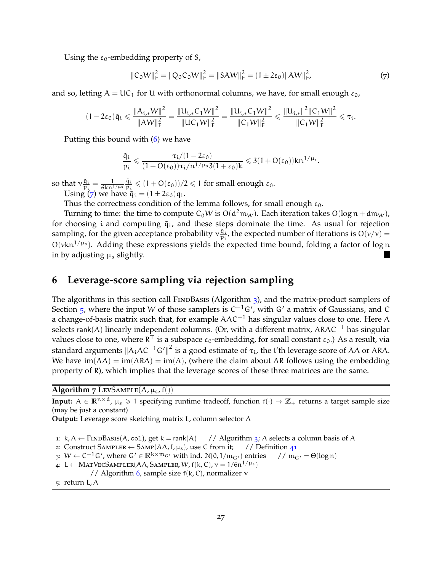Using the  $\varepsilon_0$ -embedding property of S,

<span id="page-27-1"></span>
$$
||C_0W||_F^2 = ||Q_0C_0W||_F^2 = ||SAW||_F^2 = (1 \pm 2\varepsilon_0)||AW||_F^2,
$$
\n(7)

and so, letting  $A = UC_1$  for U with orthonormal columns, we have, for small enough  $\varepsilon_0$ ,

$$
(1-2\epsilon_0)\tilde{q}_i \leqslant \frac{\|A_{i,*}W\|^2}{\|AW\|_F^2} = \frac{\|U_{i,*}C_1W\|^2}{\|UC_1W\|_F^2} = \frac{\|U_{i,*}C_1W\|^2}{\|C_1W\|_F^2} \leqslant \frac{\|U_{i,*}\|^2\|C_1W\|^2}{\|C_1W\|_F^2} \leqslant \tau_i.
$$

Putting this bound with ([6](#page-26-1)) we have

$$
\frac{\tilde{q}_i}{p_i} \leqslant \frac{\tau_i/(1-2\epsilon_0)}{(1-O(\epsilon_0))\tau_i/n^{1/\mu_s}3(1+\epsilon_0)k} \leqslant 3(1+O(\epsilon_0))kn^{1/\mu_s}.
$$

so that  $v_{n_i}^{\tilde{q}_i}$  $\frac{\tilde{q}_i}{p_i} = \frac{1}{6 \text{kn}^{1/\mu_s}}$  $\tilde{q}_i$  $\frac{q_i}{p_i} \leqslant (1 + O(\varepsilon_0))/2 \leqslant 1$  for small enough  $\varepsilon_0$ . Using ([7](#page-27-1)) we have  $\tilde{q}_i = (1 \pm 2\varepsilon_0)q_i$ .

Thus the correctness condition of the lemma follows, for small enough  $\varepsilon_0$ .

Turning to time: the time to compute C<sub>0</sub>W is O(d<sup>2</sup>m<sub>W</sub>). Each iteration takes O(log n + dm<sub>W</sub>), for choosing i and computing  $\tilde{q}_i$ , and these steps dominate the time. As usual for rejection sampling, for the given acceptance probability  $v_{n}^{\tilde{q}_i}$  $\frac{q_i}{p_i}$ , the expected number of iterations is  $O(v/v) =$  $O(\nu kn^{1/\mu_s})$ . Adding these expressions yields the expected time bound, folding a factor of log n in by adjusting  $\mu_s$  slightly.

# <span id="page-27-0"></span>**6 Leverage-score sampling via rejection sampling**

The algorithms in this section call FINDBASIS (Algorithm  $\frac{1}{3}$  $\frac{1}{3}$  $\frac{1}{3}$ ), and the matrix-product samplers of Section  $_5$  $_5$ , where the input W of those samplers is C<sup>-1</sup>G', with G' a matrix of Gaussians, and C a change-of-basis matrix such that, for example  $A\Lambda C^{-1}$  has singular values close to one. Here  $\Lambda$ selects rank(A) linearly independent columns. (Or, with a different matrix, AR $\Lambda$ C<sup>-1</sup> has singular values close to one, where R  $^+$  is a subspace  $\varepsilon_0$ -embedding, for small constant  $\varepsilon_0$ .) As a result, via standard arguments  $\|A_i\Lambda C^{-1}G'\|^2$  is a good estimate of  $\tau_i$ , the i'th leverage score of AΛ or ARΛ. We have  $\text{im}(A \Lambda) = \text{im}(A \Lambda) = \text{im}(A)$ , (where the claim about AR follows using the embedding property of R), which implies that the leverage scores of these three matrices are the same.

<span id="page-27-2"></span>Algorithm  $7$  LevSAMPLE(A,  $\mu_s$ , f())

**Input:**  $A \in \mathbb{R}^{n \times d}$ ,  $\mu_s \ge 1$  specifying runtime tradeoff, function  $f(\cdot) \to \mathbb{Z}_+$  returns a target sample size (may be just a constant)

**Output:** Leverage score sketching matrix L, column selector Λ

1: k,  $\Lambda \leftarrow$  FINDBASIS(A, col), get k = rank(A) // Algorithm [3](#page-19-0);  $\Lambda$  selects a column basis of A 2: Construct SAMPLER  $\leftarrow$  SAMP(A $\Lambda$ , I,  $\mu_s$ ), use C from it; // Definition 41

2: Construct SAMPLER  $\leftarrow$  SAMP(A $\Lambda$ , I,  $\mu_s$ ), use C from it;

$$
\text{3: } W \leftarrow C^{-1} \, G', \, \text{where } G' \in \mathbb{R}^{k \times m_G}, \text{ with ind. } \mathbb{N}(0, 1/m_{G'}) \text{ entries } \quad \text{ and } m_{G'} = \Theta(\log n)
$$

- <span id="page-27-3"></span>4: L ← MATVECSAMPLER(A $\Lambda$ , Sampler, W, f(k, C),  $\nu = 1/6n^{1/\mu_s}$ )
- // Algorithm [6](#page-26-2), sample size  $f(k, C)$ , normalizer  $\nu$

5: return L, Λ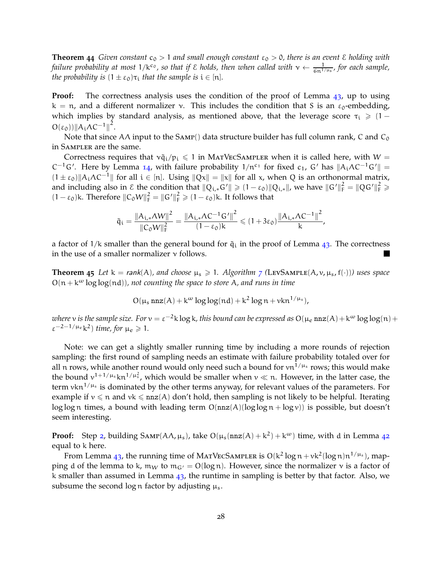**Theorem 44** *Given constant*  $c_0 > 1$  *and small enough constant*  $\epsilon_0 > 0$ *, there is an event*  $\epsilon$  *holding with failure probability at most*  $1/k^{c_0}$ , so that if  $\varepsilon$  holds, then when called with  $v \leftarrow \frac{1}{6n^{1/\mu_s}}$ , for each sample, *the probability is*  $(1 \pm \varepsilon_0)\tau_i$  *that the sample is*  $i \in [n]$ *.* 

**Proof:** The correctness analysis uses the condition of the proof of Lemma [43](#page-26-3), up to using  $k = n$ , and a different normalizer v. This includes the condition that S is an  $\epsilon_0$ -embedding, which implies by standard analysis, as mentioned above, that the leverage score  $\tau_i \geqslant (1 O(\varepsilon_0)\|\mathcal{A}_i\Lambda C^{-1}\|^2.$ 

Note that since A $\Lambda$  input to the SAMP() data structure builder has full column rank, C and C<sub>0</sub> in Sampler are the same.

Correctness requires that  $v\tilde{q}_i/p_i \leq 1$  in MATVECSAMPLER when it is called here, with W =  $C^{-1}G'$ . Here by Lemma [14](#page-13-0), with failure probability  $1/n^{c_1}$  for fixed  $c_1$ ,  $G'$  has  $||A_i \Lambda C^{-1}G'|| =$  $(1 \pm \varepsilon_0)$ ||A<sub>i</sub> $\Lambda C^{-1}$ || for all i ∈ [n]. Using  $\|\overline{Qx}\| = \|x\|$  for all x, when Q is an orthonormal matrix, and including also in  $\mathcal E$  the condition that  $||Q_{i,*}G'|| \geq (1-\epsilon_0)||Q_{i,*}||$ , we have  $||G'||_F^2 = ||QG'||_F^2 \geq$  $(1 - \varepsilon_0)$ k. Therefore  $||C_0W||_F^2 = ||G'||_F^2 \ge (1 - \varepsilon_0)$ k. It follows that

$$
\tilde{q}_i = \frac{\left\|A_{i,*}\Lambda W\right\|^2}{\left\|C_0 W\right\|_F^2} = \frac{\left\|A_{i,*}\Lambda C^{-1} G'\right\|^2}{(1-\epsilon_0)k} \leqslant (1+3\epsilon_0) \frac{\left\|A_{i,*}\Lambda C^{-1}\right\|^2}{k},
$$

a factor of  $1/k$  smaller than the general bound for  $\tilde{q}_i$  in the proof of Lemma [43](#page-26-3). The correctness in the use of a smaller normalizer  $\nu$  follows.

<span id="page-28-0"></span>**Theorem** 45 *Let*  $k = rank(A)$ *, and choose*  $\mu_s \geq 1$ *. Algorithm [7](#page-27-2)* (LEVSAMPLE(A, v,  $\mu_s$ , f(·))) uses space  $O(n + k^{\omega} \log \log(n d))$ , not counting the space to store A, and runs in time

$$
O(\mu_s \, \text{nnz}(A) + k^{\omega} \log \log (nd) + k^2 \log n + vkn^{1/\mu_s}),
$$

where  $v$  is the sample size. For  $v=\varepsilon^{-2}$ k  $\log$  k, this bound can be expressed as  $O(\mu_e \, \texttt{nnz}(A)+$ k $^\omega \log\log(n)+$  $\varepsilon^{-2-1/\mu_e}$ k<sup>2</sup>) time, for  $\mu_e \geq 1$ .

Note: we can get a slightly smaller running time by including a more rounds of rejection sampling: the first round of sampling needs an estimate with failure probability totaled over for all n rows, while another round would only need such a bound for  $vn^{1/\mu_s}$  rows; this would make the bound  $v^{1+1/\mu_s}$  kn<sup>1/ $\mu_s^2$ </sup>, which would be smaller when  $v \ll n$ . However, in the latter case, the term vkn $^{1/\mu_s}$  is dominated by the other terms anyway, for relevant values of the parameters. For example if  $v \le n$  and  $vk \le nnz(A)$  don't hold, then sampling is not likely to be helpful. Iterating log log n times, a bound with leading term  $O(nnz(A)(\log \log n + \log v))$  is possible, but doesn't seem interesting.

**Proof:** Step [2](#page-27-3), building  $SAMP(A\Lambda, \mu_s)$ , take  $O(\mu_s(nnz(A) + k^2) + k^{\omega})$  time, with d in Lemma [42](#page-25-3) equal to k here.

From Lemma [43](#page-26-3), the running time of MATVECSAMPLER is  $O(k^2 \log n + \nu k^2 (\log n) n^{1/\mu_s})$ , mapping d of the lemma to k,  $m_W$  to  $m_{G'} = O(\log n)$ . However, since the normalizer v is a factor of k smaller than assumed in Lemma  $43$ , the runtime in sampling is better by that factor. Also, we subsume the second log n factor by adjusting  $\mu_s$ .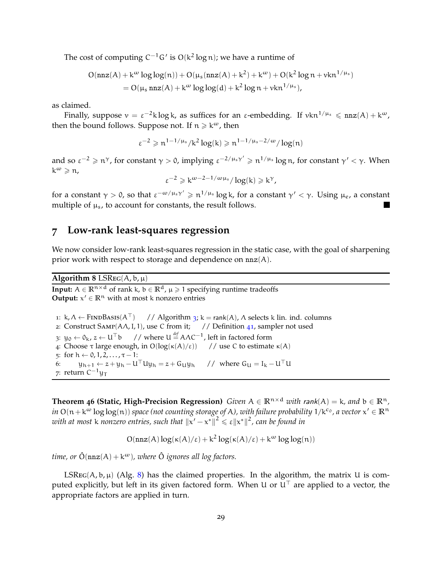The cost of computing  $C^{-1}G'$  is  $O(k^2 \log n)$ ; we have a runtime of

$$
O(nnz(A) + k\omega log log(n)) + O(\mu_s(nnz(A) + k2) + k\omega) + O(k2 log n + vkn1/\mu_s)
$$
  
= O(\mu\_s nnz(A) + k<sup>\omega</sup> log log(d) + k<sup>2</sup> log n + vkn<sup>1/\mu\_s</sup>),

as claimed.

Finally, suppose  $v = \varepsilon^{-2} k \log k$ , as suffices for an  $\varepsilon$ -embedding. If  $v k n^{1/\mu_s} \leqslant nnz(A) + k^{\omega}$ , then the bound follows. Suppose not. If  $n \geq k^{\omega}$ , then

$$
\epsilon^{-2}\geqslant n^{1-1/\mu_s}/k^2\log(k)\geqslant n^{1-1/\mu_s-2/\omega}/\log(n)
$$

and so  $\varepsilon^{-2} \geqslant \mathfrak{n}^\gamma$ , for constant  $\gamma > 0$ , implying  $\varepsilon^{-2/\mu_s \gamma'} \geqslant \mathfrak{n}^{1/\mu_s} \log \mathfrak{n}$ , for constant  $\gamma' < \gamma$ . When  $k^{\omega} \geqslant n$ ,

$$
\varepsilon^{-2} \geqslant k^{\omega - 2 - 1/\omega \mu_s} / \log(k) \geqslant k^{\gamma},
$$

for a constant  $\gamma >$  0, so that  $\varepsilon^{-\omega/\mu_s \gamma'} \geqslant n^{1/\mu_s} \log k$ , for a constant  $\gamma' < \gamma$ . Using  $\mu_e$ , a constant multiple of  $\mu_s$ , to account for constants, the result follows.

## **7 Low-rank least-squares regression**

We now consider low-rank least-squares regression in the static case, with the goal of sharpening prior work with respect to storage and dependence on  $nnz(A)$ .

### <span id="page-29-1"></span>**Algorithm** 8 LSREG( $A$ ,  $b$ ,  $\mu$ )

**Input:**  $A \in \mathbb{R}^{n \times d}$  of rank k,  $b \in \mathbb{R}^d$ ,  $\mu \ge 1$  specifying runtime tradeoffs **Output:**  $x' \in \mathbb{R}^n$  with at most k nonzero entries

1: k,  $\Lambda \leftarrow$  FINDBASIS( $A^{\top}$ ) // Algorithm [3](#page-19-0); k = rank(A),  $\Lambda$  selects k lin. ind. columns 2: Construct Samp(AΛ,I, 1), use C from it; // Definition [41](#page-25-2), sampler not used 3:  $y_0 \leftarrow 0_k$ ,  $z \leftarrow U^{\top}b$  // where  $U \stackrel{\text{def}}{=} A \Lambda C^{-1}$ , left in factored form 4: Choose  $\tau$  large enough, in  $O(log(\kappa(A)/\varepsilon))$  // use C to estimate  $\kappa(A)$ 5: for  $h \leftarrow 0, 1, 2, ..., \tau - 1$ :<br>6:  $u_{h+1} \leftarrow z + u_h - U$  $y_{h+1} \leftarrow z + y_h - U^{\top} U y_h = z + G_U y_h$  // where  $G_U = I_k - U^{\top} U$ 7: return C<sup>−1</sup>y⊺

<span id="page-29-0"></span>**Theorem 46 (Static, High-Precision Regression)** *Given*  $A \in \mathbb{R}^{n \times d}$  *with rank* $(A) = k$ *, and*  $b \in \mathbb{R}^n$ *,*  $i$ n O $(n+k^{\omega}\log\log(n))$  space (not counting storage of A), with failure probability  $1/k^{c_0}$ , a vector  $x'\in\mathbb{R}^n$ with at most **k** nonzero entries, such that  $||x' - x^*||^2 \le \varepsilon ||x^*||^2$ , can be found in

$$
O(nnz(A)\log(\kappa(A)/\epsilon) + k^2 \log(\kappa(A)/\epsilon) + k^{\omega} \log \log(n))
$$

*time, or*  $\hat{O}(\text{nnz}(A) + k^{\omega})$ *, where*  $\hat{O}$  *ignores all log factors.* 

LSREG( $A$ ,  $b$ ,  $\mu$ ) (Alg. [8](#page-29-1)) has the claimed properties. In the algorithm, the matrix U is computed explicitly, but left in its given factored form. When U or  $U<sup>T</sup>$  are applied to a vector, the appropriate factors are applied in turn.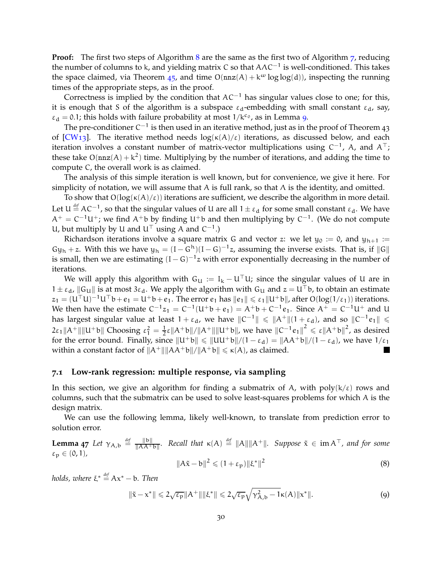**Proof:** The first two steps of Algorithm [8](#page-29-1) are the same as the first two of Algorithm [7](#page-27-2), reducing the number of columns to k, and yielding matrix C so that  $\mathsf{AAC}^{-1}$  is well-conditioned. This takes the space claimed, via Theorem [45](#page-28-0), and time  $O(nnz(A) + k^{\omega} \log \log(d))$ , inspecting the running times of the appropriate steps, as in the proof.

Correctness is implied by the condition that  $AC^{-1}$  has singular values close to one; for this, it is enough that S of the algorithm is a subspace  $\varepsilon_d$ -embedding with small constant  $\varepsilon_d$ , say,  $\varepsilon_d = 0.1$ ; this holds with failure probability at most  $1/k^{c_0}$ , as in Lemma [9](#page-11-1).

The pre-conditioner C $^{-1}$  is then used in an iterative method, just as in the proof of Theorem 43 of [\[CW](#page-46-6)13]. The iterative method needs  $log(\kappa(A)/\varepsilon)$  iterations, as discussed below, and each iteration involves a constant number of matrix-vector multiplications using C<sup>-1</sup>, A, and A<sup>⊤</sup>; these take  $O(nnz(A) + k^2)$  time. Multiplying by the number of iterations, and adding the time to compute C, the overall work is as claimed.

The analysis of this simple iteration is well known, but for convenience, we give it here. For simplicity of notation, we will assume that A is full rank, so that  $\Lambda$  is the identity, and omitted.

To show that  $O(log(\kappa(A)/\varepsilon))$  iterations are sufficient, we describe the algorithm in more detail. Let  $U \stackrel{\text{def}}{=} AC^{-1}$ , so that the singular values of U are all  $1 \pm \varepsilon_d$  for some small constant  $\varepsilon_d$ . We have  $A^+ = C^{-1}U^+$ ; we find  $A^+$ b by finding U<sup>+</sup>b and then multiplying by C<sup>-1</sup>. (We do not compute U, but multiply by U and  $U^{\top}$  using A and  $C^{-1}$ .)

Richardson iterations involve a square matrix G and vector z: we let  $y_0 := 0$ , and  $y_{h+1} :=$  $Gy_h + z$ . With this we have  $y_h = (I - G^h)(I - G)^{-1}z$ , assuming the inverse exists. That is, if  $||G||$ is small, then we are estimating  $(I - G)^{-1}z$  with error exponentially decreasing in the number of iterations.

We will apply this algorithm with  $G_U := I_k - U^{\top}U$ ; since the singular values of U are in  $1 \pm \varepsilon_d$ ,  $\|G_U\|$  is at most 3 $\varepsilon_d$ . We apply the algorithm with  $G_U$  and  $z = U^\top b$ , to obtain an estimate  $z_1 = (U^\top U)^{-1}U^\top b + e_1 = U^+b + e_1$ . The error  $e_1$  has  $||e_1|| \leq \varepsilon_1 ||U^+b||$ , after  $O(log(1/\varepsilon_1))$  iterations. We then have the estimate  $C^{-1}z_1 = C^{-1}(U^+b + e_1) = A^+b + C^{-1}e_1$ . Since  $A^+ = C^{-1}U^+$  and U has largest singular value at least  $1+\varepsilon_d$ , we have  $\|C^{-1}\| \leqslant \|A^+\|(1+\varepsilon_d)$ , and so  $\|C^{-1}e_1\| \leqslant$  $2\varepsilon_1 ||A^+|| ||U^+b||$  Choosing  $\varepsilon_1^2 = \frac{1}{2}\varepsilon ||A^+b||/||A^+|| ||U^+b||$ , we have  $||C^{-1}e_1||^2 \leq \varepsilon ||A^+b||^2$ , as desired for the error bound. Finally, since  $\|\mathbf{U}^+\mathbf{b}\| \leq \|\mathbf{U}\mathbf{U}^+\mathbf{b}\|/(1 - \varepsilon_d) = \|AA^+\mathbf{b}\|/(1 - \varepsilon_d)$ , we have  $1/\varepsilon_1$ within a constant factor of  $||A^+|| ||AA^+b||/||A^+b|| \le \kappa(A)$ , as claimed.

#### **7.1 Low-rank regression: multiple response, via sampling**

In this section, we give an algorithm for finding a submatrix of A, with  $poly(k/\epsilon)$  rows and columns, such that the submatrix can be used to solve least-squares problems for which A is the design matrix.

<span id="page-30-1"></span>We can use the following lemma, likely well-known, to translate from prediction error to solution error.

**Lemma**  $47$  *Let*  $\gamma_{A,b} \stackrel{\text{def}}{=} \frac{\|\mathbf{b}\|}{\|\mathbf{A}\|^2 \|\mathbf{b}\|}$ . Recall that  $\kappa(A) \stackrel{\text{def}}{=} \|\mathbf{A}\| \|\mathbf{A}^+\|$ . Suppose  $\tilde{\mathbf{x}} \in \text{im } \mathbf{A}^\top$ , and for some  $\varepsilon_p \in (0,1)$ ,  $||A\tilde{x} - b||^2 \le (1 + \varepsilon_p) ||\xi^*||^2$ (8)

*holds, where* ξ\*  $\stackrel{\textit{def}}{=}$  Ax\* − b. *Then* 

<span id="page-30-0"></span>
$$
\|\tilde{\mathbf{x}} - \mathbf{x}^*\| \leq 2\sqrt{\varepsilon_{\mathbf{p}}} \|A^+\| \|\xi^*\| \leq 2\sqrt{\varepsilon_{\mathbf{p}}} \sqrt{\gamma_{A,b}^2 - 1} \kappa(A) \| \mathbf{x}^*\|.
$$
 (9)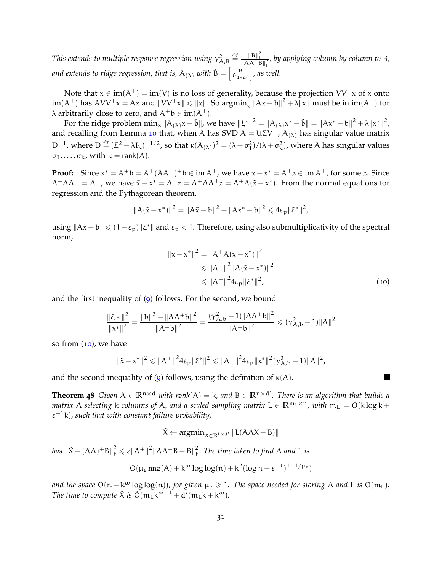This extends to multiple response regression using  $\gamma_{\rm A,B}^2$ *def* = kBk 2 F <sup>k</sup>AA+B<sup>k</sup> 2 F *, by applying column by column to* B*,* and extends to ridge regression, that is,  $\bm{\mathsf{A}}_{(\bm{\lambda})}$  with  $\mathbf{\hat{B}} = \left[\begin{smallmatrix} \mathbf{B} \ \mathbf{0}_{\text{d} \times \text{d}'} \end{smallmatrix}\right]$  $\big]$ , as well.

Note that  $x \in im(A^{\top}) = im(V)$  is no loss of generality, because the projection  $VV^{\top}x$  of x onto  $\lim(A^\top)$  has  $AVV^\top x = Ax$  and  $\|VV^\top x\| \leqslant \|x\|$ . So  $\operatorname{argmin}_x \|Ax - b\|^2 + \lambda \|x\|$  must be in  $\operatorname{im}(A^\top)$  for  $\lambda$  arbitrarily close to zero, and  $A^+b \in im(A^{\top}).$ 

For the ridge problem  $\min_x \|A_{(\lambda)}x - \hat{b}\|$ , we have  $\|\xi^*\|^2 = \|A_{(\lambda)}x^* - \hat{b}\| = \|Ax^* - b\|^2 + \lambda \|x^*\|^2$ , and recalling from Lemma [10](#page-12-2) that, when A has SVD  $A = U\Sigma V^{\top}$ ,  $A_{(\lambda)}$  has singular value matrix D<sup>-1</sup>, where D<sup>def</sup> (Σ<sup>2</sup> + λI<sub>k</sub>)<sup>-1/2</sup>, so that  $\kappa(A_{(λ)})^2 = (\lambda + \sigma_1^2)/(\lambda + \sigma_k^2)$ , where A has singular values  $\sigma_1, \ldots, \sigma_k$ , with  $k = \text{rank}(A)$ .

**Proof:** Since  $x^* = A^+b = A^{\top} (AA^{\top})^+b \in \text{im } A^{\top}$ , we have  $\tilde{x} - x^* = A^{\top} z \in \text{im } A^{\top}$ , for some z. Since  $A^+AA^\top = A^\top$ , we have  $\tilde{x} - x^* = A^\top z = A^+AA^\top z = A^+A(\tilde{x} - x^*)$ . From the normal equations for regression and the Pythagorean theorem,

$$
||A(\tilde{x} - x^*)||^2 = ||A\tilde{x} - b||^2 - ||Ax^* - b||^2 \leq 4\varepsilon_p ||\xi^*||^2,
$$

using  $||A\tilde{x} - b|| \leq (1 + \varepsilon_p) ||\xi^*||$  and  $\varepsilon_p < 1$ . Therefore, using also submultiplicativity of the spectral norm,

<span id="page-31-1"></span>
$$
\|\tilde{x} - x^*\|^2 = \|A^+ A(\tilde{x} - x^*)\|^2
$$
  
\n
$$
\le \|A^+\|^2 \|A(\tilde{x} - x^*)\|^2
$$
  
\n
$$
\le \|A^+\|^2 4\varepsilon_p \|\xi^*\|^2,
$$
\n(10)

and the first inequality of  $(9)$  $(9)$  $(9)$  follows. For the second, we bound

$$
\frac{\left\|\xi * \right\|^2}{\left\|x^*\right\|^2} = \frac{\left\|b\right\|^2 - \left\|AA^+b\right\|^2}{\left\|A^+b\right\|^2} = \frac{(\gamma_{A,b}^2 - 1) \left\|AA^+b\right\|^2}{\left\|A^+b\right\|^2} \leqslant (\gamma_{A,b}^2 - 1) \left\|A\right\|^2
$$

so from  $(10)$  $(10)$  $(10)$ , we have

$$
\|\tilde{x}-x^*\|^2\leqslant \|A^+\|^24\epsilon_p\|\xi^*\|^2\leqslant \|A^+\|^24\epsilon_p\|x^*\|^2(\gamma_{A,b}^2-1)\|A\|^2,
$$

and the second inequality of ([9](#page-30-0)) follows, using the definition of  $\kappa(A)$ .

<span id="page-31-0"></span>**Theorem 48** *Given*  $A \in \mathbb{R}^{n \times d}$  *with rank*( $A$ ) = k, and  $B \in \mathbb{R}^{n \times d'}$ . There is an algorithm that builds a *matrix*  $\Lambda$  *selecting* k *columns of* A, and a *scaled sampling matrix*  $L \in \mathbb{R}^{m_L \times n}$ , with  $m_L = O(k \log k +$  $\varepsilon^{-1}$ k), such that with constant failure probability,

$$
\tilde{X} \leftarrow \text{argmin}_{X \in \mathbb{R}^{k \times d'}} \|L(AAX - B)\|
$$

 $\|K - (A\Lambda)^+B\|_F^2 \leqslant \varepsilon \|A^+\|^2 \|AA^+B - B\|_F^2$ F *. The time taken to find* Λ *and* L *is*

$$
O(\mu_e \, \mathtt{nnz}(A) + k^\omega \log\log(n) + k^2 (\log n + \epsilon^{-1})^{1+1/\mu_e})
$$

*and the space*  $O(n + k^{\omega} \log \log(n))$ *, for given*  $\mu_e \ge 1$ *. The space needed for storing*  $\Lambda$  *and* L *is*  $O(m_L)$ *. The time to compute*  $\tilde{X}$  *is*  $\tilde{O}(m_L k^{\omega-1} + d'(m_L k + k^{\omega}).$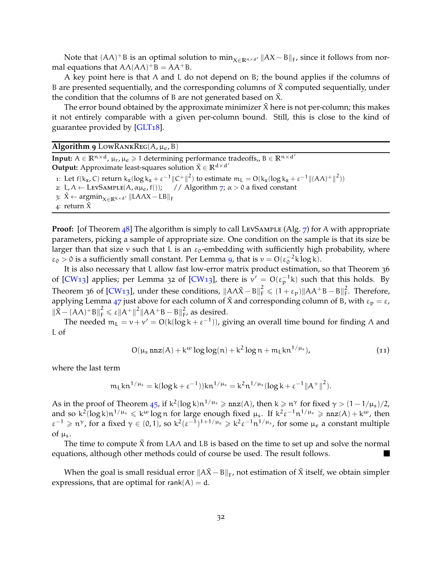Note that  $(A\Lambda)^+B$  is an optimal solution to  $\min_{X \in \mathbb{R}^{n \times d'}} ||AX - B||_F$ , since it follows from normal equations that  $A\Lambda(A\Lambda)^+B = AA^+B$ .

A key point here is that  $\Lambda$  and L do not depend on B; the bound applies if the columns of B are presented sequentially, and the corresponding columns of  $\tilde{X}$  computed sequentially, under the condition that the columns of B are not generated based on  $\chi$ .

The error bound obtained by the approximate minimizer  $\tilde{X}$  here is not per-column; this makes it not entirely comparable with a given per-column bound. Still, this is close to the kind of guarantee provided by [\[GLT](#page-46-2)18].

### <span id="page-32-1"></span>**Algorithm 9** LOWRANKREG( $A$ ,  $\mu_e$ ,  $B$ )

**Input:**  $A \in \mathbb{R}^{n \times d}$ ,  $\mu_r, \mu_e \geq 1$  determining performance tradeoffs,,  $B \in \mathbb{R}^{n \times d'}$ **Output:** Approximate least-squares solution  $\tilde{X} \in \mathbb{R}^{d \times d'}$ 1: Let  $f(k_x, C)$  return  $k_x(\log k_x + \varepsilon^{-1} ||C^+||^2)$  to estimate  $m_L = O(k_x(\log k_x + \varepsilon^{-1} ||(A\Lambda)^+||^2))$ 2: L, Λ ← LEVSAMPLE(A, αμ<sub>e</sub>, f()); // Algorithm [7](#page-27-2);  $\alpha > 0$  a fixed constant 3:  $X \leftarrow \text{argmin}_{X \in \mathbb{R}^{k \times d'}} ||LAAX - LB||_F$ 4: return  $\tilde{X}$ 

**Proof:** [of Theorem [48](#page-31-0)] The algorithm is simply to call LEVSAMPLE (Alg. [7](#page-27-2)) for A with appropriate parameters, picking a sample of appropriate size. One condition on the sample is that its size be larger than that size v such that L is an  $\varepsilon_0$ -embedding with sufficiently high probability, where  $\varepsilon_0 > 0$  is a sufficiently small constant. Per Lemma [9](#page-11-1), that is  $v = O(\varepsilon_0^{-2} k \log k)$ .

It is also necessary that L allow fast low-error matrix product estimation, so that Theorem 36 of  $[CW13]$  $[CW13]$  applies; per Lemma 32 of  $[CW13]$ , there is  $v' = O(\epsilon_p^{-1}k)$  such that this holds. By Theorem 36 of [\[CW](#page-46-6)13], under these conditions,  $\|A\Lambda\tilde{X} - B\|_F^2 \leqslant (1 + \varepsilon_p) \|AA^+B - B\|_F^2$  $\frac{2}{\text{F}}$ . Therefore, applying Lemma [47](#page-30-1) just above for each column of  $\tilde{X}$  and corresponding column of B, with  $\varepsilon_p = \varepsilon$ ,  $\|\tilde{X} - (A\Lambda)^+ B\|_F^2 \le \varepsilon \|A^+\|^2 \|AA^+B - B\|_F^2$  $\frac{2}{F}$ , as desired.

The needed  $m_L = v + v' = O(k(\log k + \epsilon^{-1}))$ , giving an overall time bound for finding  $\Lambda$  and L of

<span id="page-32-2"></span>
$$
O(\mu_s \operatorname{nnz}(A) + k^{\omega} \log \log(n) + k^2 \log n + m_L k n^{1/\mu_s}), \qquad (11)
$$

where the last term

$$
m_L k n^{1/\mu_s} = k(\log k + \varepsilon^{-1})) k n^{1/\mu_s} = k^2 n^{1/\mu_s} (\log k + \varepsilon^{-1} ||A^+||^2).
$$

As in the proof of Theorem [45](#page-28-0), if  $k^2(\log k)n^{1/\mu_s} \geqslant nnz(A)$ , then  $k \geqslant n^{\gamma}$  for fixed  $\gamma > (1-1/\mu_s)/2$ , and so  $k^2(\log k)n^{1/\mu_s} \leqslant k^{\omega} \log n$  for large enough fixed  $\mu_s$ . If  $k^2 \varepsilon^{-1} n^{1/\mu_s} \geqslant n \pi z(A) + k^{\omega}$ , then  $\varepsilon^{-1} \geq n^{\gamma}$ , for a fixed  $\gamma \in (0,1)$ , so  $k^2(\varepsilon^{-1})^{1+1/\mu_e} \geq k^2 \varepsilon^{-1} n^{1/\mu_s}$ , for some  $\mu_e$  a constant multiple of  $\mu_s$ .

The time to compute  $\tilde{X}$  from LAA and LB is based on the time to set up and solve the normal equations, although other methods could of course be used. The result follows.

<span id="page-32-0"></span>When the goal is small residual error  $\|\mathrm{A}\tilde{\mathrm{X}} - \mathrm{B}\|_{\mathrm{F}}$ , not estimation of  $\tilde{\mathrm{X}}$  itself, we obtain simpler expressions, that are optimal for rank $(A) = d$ .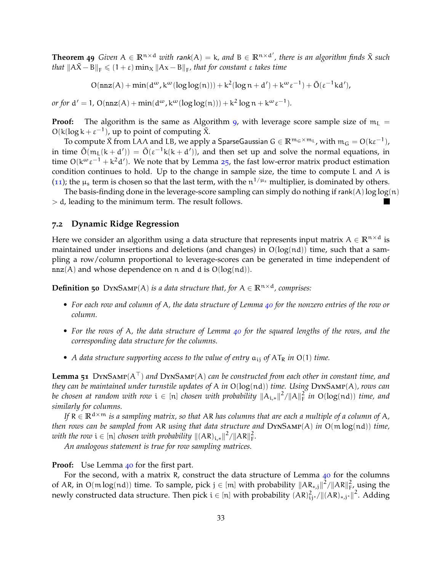**Theorem 49** *Given*  $A \in \mathbb{R}^{n \times d}$  *with rank*( $A$ ) = k, and  $B \in \mathbb{R}^{n \times d'}$ , there is an algorithm finds  $\tilde{X}$  *such that*  $\|A\tilde{X} - B\|_F \leqslant (1 + \varepsilon) \min_X \|Ax - B\|_F$ , that for constant  $\varepsilon$  takes time

 $O(nnz(A) + min(d^{\omega}, k^{\omega}(log log(n))) + k^2(log n + d') + k^{\omega} \varepsilon^{-1}) + \tilde{O}(\varepsilon^{-1}kd'),$ 

*or for*  $d' = 1$ ,  $O(nnz(A) + min(d^{\omega}, k^{\omega}(log log(n))) + k^2 log n + k^{\omega} \varepsilon^{-1})$ .

**Proof:** The algorithm is the same as Algorithm [9](#page-32-1), with leverage score sample size of  $m<sub>L</sub>$  =  $O(k(\log k + \varepsilon^{-1}))$ , up to point of computing  $\tilde{X}$ .

To compute  $\tilde{X}$  from LA $\Lambda$  and LB, we apply a SparseGaussian  $G \in \mathbb{R}^{m_G \times m_L}$ , with  $m_G = O(k\varepsilon^{-1})$ , in time  $\tilde{O}(m_L(k+d')) = \tilde{O}(\epsilon^{-1}k(k+d'))$ , and then set up and solve the normal equations, in time  $O(k^{\omega} \epsilon^{-1} + k^2 d')$ . We note that by Lemma [25](#page-15-2), the fast low-error matrix product estimation condition continues to hold. Up to the change in sample size, the time to compute L and  $\Lambda$  is ([11](#page-32-2)); the  $\mu_s$  term is chosen so that the last term, with the  $n^{1/\mu_s}$  multiplier, is dominated by others.

The basis-finding done in the leverage-score sampling can simply do nothing if  $rank(A)log log(n)$ > d, leading to the minimum term. The result follows.

#### **7.2 Dynamic Ridge Regression**

Here we consider an algorithm using a data structure that represents input matrix  $A \in \mathbb{R}^{n \times d}$  is maintained under insertions and deletions (and changes) in  $O(log(nd))$  time, such that a sampling a row/column proportional to leverage-scores can be generated in time independent of  $nnz(A)$  and whose dependence on n and d is  $O(log(nd)).$ 

<span id="page-33-0"></span>**Definition 50** DYNSAMP(A) *is a data structure that, for*  $A \in \mathbb{R}^{n \times d}$ *, comprises:* 

- *For each row and column of* A*, the data structure of Lemma [40](#page-25-1) for the nonzero entries of the row or column.*
- *For the rows of* A*, the data structure of Lemma [40](#page-25-1) for the squared lengths of the rows, and the corresponding data structure for the columns.*
- *A data structure supporting access to the value of entry*  $a_{ii}$  *of*  $AT_R$  *in*  $O(1)$  *time.*

<span id="page-33-1"></span>**Lemma 51** DynSamp(A⊤) *and* DynSamp(A) *can be constructed from each other in constant time, and they can be maintained under turnstile updates of* A *in* O(log(nd)) *time. Using* DynSamp(A)*, rows can be chosen at random with row*  $i \in [n]$  *chosen with probability*  $||A_{i,*}||^2 / ||A||_F^2$  *in*  $O(log(nd))$  *time, and similarly for columns.*

*If*  $R \in \mathbb{R}^{d \times m}$  *is a sampling matrix, so that* AR *has columns that are each a multiple of a column of* A, *then rows can be sampled from* AR *using that data structure and* DynSamp(A) *in* O(m log(nd)) *time, with the row*  $i \in [n]$  *chosen with probability*  $||(AR)_{i,*}||^2/||AR||_F^2$ .

*An analogous statement is true for row sampling matrices.*

#### Proof: Use Lemma [40](#page-25-1) for the first part.

For the second, with a matrix R, construct the data structure of Lemma  $40$  for the columns of AR, in O(mlog(nd)) time. To sample, pick  $j \in [m]$  with probability  $\|AR_{*,j}\|^2 / \|AR\|_{F}^2$ , using the newly constructed data structure. Then pick  $i \in [n]$  with probability  $(AR)_{ij}^2$  / $||(AR)_{*,j^*}||^2$ . Adding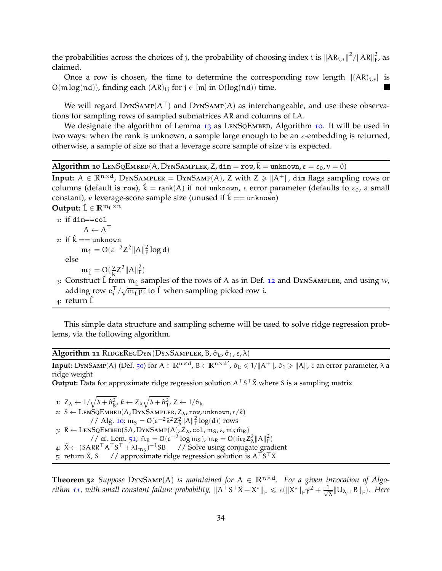the probabilities across the choices of j, the probability of choosing index i is  $\|AR_{i,*}\|^2/\|AR\|_F^2$ , as claimed.

Once a row is chosen, the time to determine the corresponding row length  $\|(AR)_{i,*}\|$  is  $O(m \log(nd))$ , finding each  $(AR)_{ii}$  for  $j \in [m]$  in  $O(\log(nd))$  time.

We will regard  $DYNSAMP(A^{\dagger})$  and  $DYNSAMP(A)$  as interchangeable, and use these observations for sampling rows of sampled submatrices AR and columns of LA.

We designate the algorithm of Lemma  $13$  as LENSQEMBED, Algorithm [10](#page-34-2). It will be used in two ways: when the rank is unknown, a sample large enough to be an  $\varepsilon$ -embedding is returned, otherwise, a sample of size so that a leverage score sample of size v is expected.

<span id="page-34-2"></span>**Algorithm 10** LENSQEMBED(A, DYNSAMPLER, Z, dim = row,  $\hat{k}$  = unknown,  $\varepsilon = \varepsilon_0$ ,  $v = 0$ )

**Input:**  $A \in \mathbb{R}^{n \times d}$ , DYNSAMPLER = DYNSAMP(A), Z with  $Z \ge ||A^+||$ , dim flags sampling rows or columns (default is row),  $\hat{k} = \text{rank}(A)$  if not unknown,  $\varepsilon$  error parameter (defaults to  $\varepsilon_0$ , a small constant), v leverage-score sample size (unused if  $\hat{k} ==$  unknown)

**Output:**  $\hat{L} \in \mathbb{R}^{m_{\hat{L}} \times n}$ 

1: if dim==col  
\n
$$
A \leftarrow A^T
$$
  
\n2: if  $\hat{k}$  == unknown  
\n $m_{\hat{L}} = O(\epsilon^{-2}Z^2 ||A||_F^2 \log d)$   
\nelse

 $m_{\hat{L}} = O(\frac{v}{\hat{k}} Z^2 ||A||_F^2)$ 

- 3: Construct L from  $m_f$  samples of the rows of A as in Def. [12](#page-13-2) and DYNSAMPLER, and using w, adding row  $e_i^{\top}/\sqrt{\mathfrak{m}_{\hat{L}}\mathfrak{p}_i}$  to  $\hat{L}$  when sampling picked row i.
- 4: return  $\hat{L}$

This simple data structure and sampling scheme will be used to solve ridge regression problems, via the following algorithm.

## <span id="page-34-0"></span>**Algorithm 11** RIDGEREGDYN(DYNSAMPLER, Β, στι, ε,λ)

**Input:** DynSamp(A) (Def. [50](#page-33-0)) for  $A \in \mathbb{R}^{n \times d}$ ,  $B \in \mathbb{R}^{n \times d'}$ ,  $\hat{\sigma}_k \leq 1/||A^+||$ ,  $\hat{\sigma}_1 \geq ||A||$ ,  $\varepsilon$  an error parameter,  $\lambda$  a ridge weight

**Output:** Data for approximate ridge regression solution A<sup>⊤</sup>S<sup>⊤</sup> $\tilde{\chi}$  where S is a sampling matrix

1:  $Z_{\lambda} \leftarrow 1/\sqrt{\lambda + \hat{\sigma}_{k}^2}, \hat{\kappa} \leftarrow Z_{\lambda}\sqrt{\lambda + \hat{\sigma}_{1}^2}, Z \leftarrow 1/\hat{\sigma}_{k}$ 2:  $S \leftarrow$  LENSQEMBED(A, DYNSAMPLER,  $Z_{\lambda}$ , row, unknown,  $\varepsilon/\hat{\kappa}$ ) // Alg. [10](#page-34-2);  $m_S = O(\epsilon^{-2} \hat{\kappa}^2 Z_{\lambda}^2 ||A||_F^2 \log(d))$  rows 3:  $R \leftarrow$  LENSQEMBED(SA, DYNSAMP(A),  $Z_{\lambda}$ , col,  $m_S$ ,  $\varepsilon$ ,  $m_S$   $\hat{m}_R$ ) // cf. Lem. [51](#page-33-1);  $\hat{m}_R = O(\epsilon^{-2} \log m_S)$ ,  $m_R = O(\hat{m}_R Z_A^2 ||A||_F^2)$ 4:  $\tilde{X}$  ← (SARR<sup>⊤</sup>A<sup>⊤</sup>S<sup>⊤</sup> + λI<sub>ms</sub>)<sup>-1</sup>SB // Solve using conjugate gradient 5: return  $\tilde{X}$ , S  $\quad$  // approximate ridge regression solution is A $^{\top}S^{\top}\tilde{X}$ 

<span id="page-34-1"></span>**Theorem** 52 *Suppose*  $DynSAMP(A)$  *is maintained for*  $A \in \mathbb{R}^{n \times d}$ *. For a given invocation of Algorithm* [11](#page-34-0), with small constant failure probability,  $\|A^\top S^\top \tilde{X} - X^*\|_F \leqslant \varepsilon (\|X^*\|_F \gamma^2 + \frac{1}{\sqrt{2}})$  $\frac{1}{\lambda} \| \mathsf{U}_{\lambda,\perp} \mathsf{B} \|_{\mathsf{F}}$ ). Here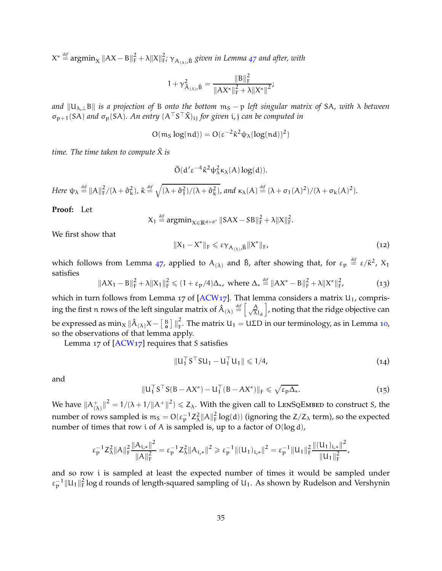$X^* \stackrel{\text{\it def}}{=} \operatorname{argmin}_X \|AX - B\|_F^2 + \lambda \|X\|_F^2;$   $\gamma_{A_{(\lambda)},\hat{B}}$  given in Lemma [47](#page-30-1) and after, with

$$
1 + \gamma_{\hat{A}_{(\lambda)}, \hat{B}}^2 = \frac{\|B\|_F^2}{\|AX^*\|_F^2 + \lambda \|X^*\|^2};
$$

*and*  $||U_{λ,⊥}B||$  *is a projection of* B *onto the bottom* m<sub>S</sub> − p *left singular matrix of* SA, *with*  $λ$  *between* σp+1(SA) *and* σp(SA)*. An entry* (A⊤S <sup>⊤</sup>X˜)ij *for given* i,j *can be computed in*

$$
O(m_S \log(nd)) = O(\epsilon^{-2} \hat{\kappa}^2 \psi_\lambda (\log(nd))^2)
$$

*time. The time taken to compute*  $\tilde{X}$  *is* 

$$
\tilde{O}(d'\epsilon^{-4}\hat{\kappa}^2\psi_\lambda^2\kappa_\lambda(A)\log(d)).
$$

 $Here \ \psi_{\lambda} \stackrel{\text{def}}{=} \|A\|_{\mathrm{F}}^2/(\lambda + \hat{\sigma}_{\mathrm{k}}^2)$ ,  $\hat{\kappa} \stackrel{\text{def}}{=} \sqrt{(\lambda + \hat{\sigma}_{1}^2)/(\lambda + \hat{\sigma}_{\mathrm{k}}^2)}$ , and  $\kappa_{\lambda}(A) \stackrel{\text{def}}{=} (\lambda + \sigma_1(A)^2)/(\lambda + \sigma_{\mathrm{k}}(A)^2)$ .

### **Proof:** Let

$$
X_1 \stackrel{\text{def}}{=} \operatorname{argmin}_{X \in \mathbb{R}^{d \times d'}} \|SAX - SB\|_F^2 + \lambda \|X\|_F^2.
$$

We first show that

<span id="page-35-3"></span>
$$
||X_1 - X^*||_F \leqslant \varepsilon \gamma_{A_{(\lambda)},\hat{B}} ||X^*||_F,
$$
\n(12)

which follows from Lemma [47](#page-30-1), applied to  $A_{(\lambda)}$  and  $\hat{B}$ , after showing that, for  $\varepsilon_p \stackrel{\text{\it def}}{=} \varepsilon/\hat{\kappa}^2$ ,  $X_1$ satisfies

<span id="page-35-2"></span>
$$
||AX_1 - B||_F^2 + \lambda ||X_1||_F^2 \le (1 + \varepsilon_p/4)\Delta_*, \text{ where } \Delta_* \stackrel{\text{def}}{=} ||AX^* - B||_F^2 + \lambda ||X^*||_F^2,
$$
 (13)

which in turn follows from Lemma 17 of [\[ACW](#page-44-10)17]. That lemma considers a matrix  $U_1$ , comprising the first n rows of the left singular matrix of  $\hat{A}_{(\lambda)} \stackrel{\text{def}}{=} \left[ \frac{A}{\sqrt{\lambda}} \right]$  $\lambda$ I $_{\rm d}$ i , noting that the ridge objective can be expressed as  $\min_{X} \|\hat{A}_{(\lambda)}X - \left[\begin{smallmatrix} B \ B \end{smallmatrix}\right]\|_{\text{F}}^2$  $\zeta_F$ . The matrix  $U_1 = U \Sigma D$  in our terminology, as in Lemma [10](#page-12-2), so the observations of that lemma apply.

Lemma 17 of  $[ACW17]$  requires that S satisfies

<span id="page-35-0"></span>
$$
||u_1^{\perp} S^{\perp} S u_1 - u_1^{\perp} u_1|| \leq 1/4, \tag{14}
$$

and

<span id="page-35-1"></span>
$$
||\mathbf{U}_1^\top \mathbf{S}^\top \mathbf{S}(\mathbf{B} - \mathbf{A}\mathbf{X}^*) - \mathbf{U}_1^\top (\mathbf{B} - \mathbf{A}\mathbf{X}^*)||_{\mathbf{F}} \leqslant \sqrt{\varepsilon_p \Delta_*}.
$$
\n(15)

We have  $\|A^+_{(2)}\|$  $\binom{+}{(\lambda)}\|^2 = 1/(\lambda + 1/\|A^+\|^2) \leqslant Z_{\lambda}$ . With the given call to LENSQEMBED to construct S, the number of rows sampled is  $m_S = O(\epsilon_p^{-1} Z_\lambda^2 ||A||_F^2 \log(d))$  (ignoring the Z/Z<sub> $\lambda$ </sub> term), so the expected number of times that row i of A is sampled is, up to a factor of O(log d),

$$
\epsilon_p^{-1} Z_\lambda^2 \|A\|_F^2 \frac{\|A_{i,*}\|^2}{\|A\|_F^2} = \epsilon_p^{-1} Z_\lambda^2 \|A_{i,*}\|^2 \geqslant \epsilon_p^{-1} \|(U_1)_{i,*}\|^2 = \epsilon_p^{-1} \|U_1\|_F^2 \frac{\|(U_1)_{i,*}\|^2}{\|U_1\|_F^2},
$$

and so row i is sampled at least the expected number of times it would be sampled under  $\epsilon_p^{-1}$   $||u_1||_F^2$  log d rounds of length-squared sampling of  $u_1$ . As shown by Rudelson and Vershynin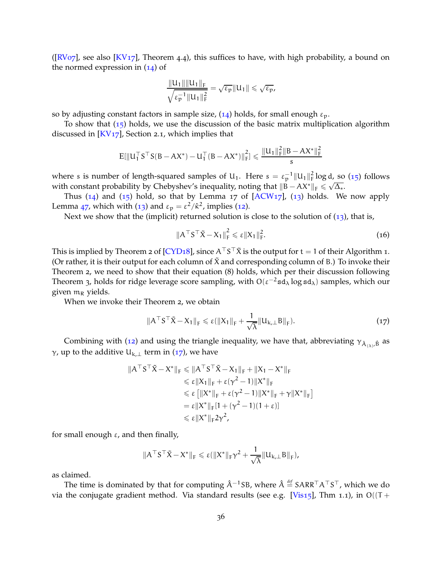$([RVo7]$  $([RVo7]$  $([RVo7]$ , see also  $[KV17]$  $[KV17]$ , Theorem 4.4), this suffices to have, with high probability, a bound on the normed expression in  $(14)$  $(14)$  $(14)$  of

$$
\frac{\|U_1\|\|U_1\|_F}{\sqrt{\varepsilon_p^{-1}\|U_1\|_F^2}} = \sqrt{\varepsilon_p}\|U_1\| \leqslant \sqrt{\varepsilon_p},
$$

so by adjusting constant factors in sample size,  $(14)$  $(14)$  $(14)$  holds, for small enough  $\varepsilon_p$ .

To show that  $(15)$  $(15)$  $(15)$  holds, we use the discussion of the basic matrix multiplication algorithm discussed in [\[KV](#page-47-2)17], Section 2.1, which implies that

$$
E[\|U_1^\top S^\top S(B - AX^*) - U_1^\top (B - AX^*)\|_F^2] \leqslant \frac{\|U_1\|_F^2 \|B - AX^*\|_F^2}{s}
$$

where s is number of length-squared samples of U<sub>1</sub>. Here  $s = \varepsilon_p^{-1} \|U_1\|_F^2 \log d$ , so ([15](#page-35-1)) follows with constant probability by Chebyshev's inequality, noting that  $||\vec{B} - AX^*||_F \le \sqrt{\Delta_*}$ .

Thus  $(14)$  $(14)$  $(14)$  and  $(15)$  $(15)$  $(15)$  hold, so that by Lemma 17 of  $[ACW17]$  $[ACW17]$ ,  $(13)$  $(13)$  $(13)$  holds. We now apply Lemma [47](#page-30-1), which with ([13](#page-35-2)) and  $\varepsilon_p = \varepsilon^2 / \hat{\kappa}^2$ , implies ([12](#page-35-3)).

Next we show that the (implicit) returned solution is close to the solution of  $(13)$  $(13)$  $(13)$ , that is,

<span id="page-36-0"></span>
$$
\|A^\top S^\top \tilde{X} - X_1\|_{\mathrm{F}}^2 \leqslant \varepsilon \|X_1\|_{\mathrm{F}}^2. \tag{16}
$$

This is implied by Theorem 2 of [\[CYD](#page-46-11)18], since  $A^\top S^\top \tilde X$  is the output for  $t=1$  of their Algorithm 1. (Or rather, it is their output for each column of  $\tilde{X}$  and corresponding column of B.) To invoke their Theorem 2, we need to show that their equation (8) holds, which per their discussion following Theorem 3, holds for ridge leverage score sampling, with  $O(\epsilon^{-2}sd_{\lambda}\log sd_{\lambda})$  samples, which our given  $m_R$  yields.

When we invoke their Theorem 2, we obtain

$$
\|A^{\top}S^{\top}\tilde{X} - X_1\|_{F} \le \varepsilon(\|X_1\|_{F} + \frac{1}{\sqrt{\lambda}}\|U_{k,\perp}B\|_{F}).
$$
\n(17)

Combining with ([12](#page-35-3)) and using the triangle inequality, we have that, abbreviating  $\gamma_{\hat{A}_{(\lambda)},\hat{B}}$  as γ, up to the additive  $U_{k,\perp}$  term in ([17](#page-36-0)), we have

$$
\|A^\top S^\top \tilde{X} - X^*\|_F \le \|A^\top S^\top \tilde{X} - X_1\|_F + \|X_1 - X^*\|_F
$$
  
\n
$$
\le \varepsilon \|X_1\|_F + \varepsilon (\gamma^2 - 1) \|X^*\|_F
$$
  
\n
$$
\le \varepsilon \left[ \|X^*\|_F + \varepsilon (\gamma^2 - 1) \|X^*\|_F + \gamma \|X^*\|_F \right]
$$
  
\n
$$
= \varepsilon \|X^*\|_F [1 + (\gamma^2 - 1)(1 + \varepsilon)]
$$
  
\n
$$
\le \varepsilon \|X^*\|_F 2\gamma^2,
$$

for small enough ε, and then finally,

$$
\|A^\top S^\top \tilde X - X^*\|_F \leqslant \epsilon(\|X^*\|_F \gamma^2 + \frac{1}{\sqrt{\lambda}} \|U_{k,\perp} B\|_F),
$$

as claimed.

The time is dominated by that for computing  $\hat{A}^{-1}SB$ , where  $\hat{A} \stackrel{\text{def}}{=} SARR^\top A^\top S^\top$ , which we do via the conjugate gradient method. Via standard results (see e.g. [\[Vis](#page-48-12)15], Thm 1.1), in  $O((T +$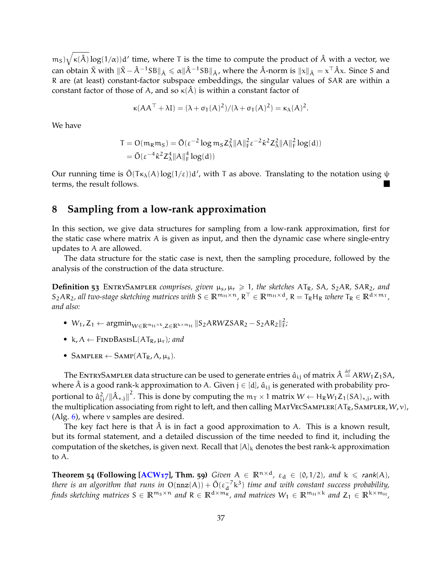$(m_S)\sqrt{\kappa(\hat{A})}\log(1/\alpha)$  d' time, where T is the time to compute the product of  $\hat{A}$  with a vector, we can obtain  $\tilde{X}$  with  $\|\tilde{X} - \hat{A}^{-1}SB\|_{\hat{A}} \leqslant \alpha \|\hat{A}^{-1}SB\|_{\hat{A}}$ , where the  $\hat{A}$ -norm is  $\|x\|_{\hat{A}} = x^\top \hat{A} x$ . Since S and R are (at least) constant-factor subspace embeddings, the singular values of SAR are within a constant factor of those of A, and so  $\kappa(\hat{A})$  is within a constant factor of

$$
\kappa(AA^{\top} + \lambda I) = (\lambda + \sigma_1(A)^2) / (\lambda + \sigma_1(A)^2) = \kappa_{\lambda}(A)^2.
$$

We have

$$
T = O(m_R m_S) = \tilde{O}(\varepsilon^{-2} \log m_S Z_\lambda^2 ||A||_F^2 \varepsilon^{-2} \hat{\kappa}^2 Z_\lambda^2 ||A||_F^2 \log(d))
$$
  
=  $\tilde{O}(\varepsilon^{-4} \hat{\kappa}^2 Z_\lambda^4 ||A||_F^4 \log(d))$ 

Our running time is  $\tilde{O}(T\kappa_\lambda(A)\log(1/\epsilon))d'$ , with T as above. Translating to the notation using  $\psi$ terms, the result follows.

# <span id="page-37-0"></span>**8 Sampling from a low-rank approximation**

In this section, we give data structures for sampling from a low-rank approximation, first for the static case where matrix  $A$  is given as input, and then the dynamic case where single-entry updates to A are allowed.

The data structure for the static case is next, then the sampling procedure, followed by the analysis of the construction of the data structure.

**Definition 53** ENTRYSAMPLER *comprises, given*  $\mu_s$ ,  $\mu_r \geq 1$ , the sketches AT<sub>R</sub>, SA, S<sub>2</sub>AR, SAR<sub>2</sub>, and  $S_2AR_2$ , all two-stage sketching matrices with  $S \in \mathbb{R}^{m_H \times n}$ ,  $R^{\top} \in \mathbb{R}^{m_H \times d}$ ,  $R = T_RH_R$  where  $T_R \in \mathbb{R}^{d \times m_T}$ , *and also:*

- $W_1, Z_1 \leftarrow \text{argmin}_{W \in \mathbb{R}^{m_H \times k}, Z \in \mathbb{R}^{k \times m_H}} ||S_2ARWZSAR_2 S_2AR_2||_F^2;$
- k,  $\Lambda \leftarrow$  FINDBASISL( $AT_R$ ,  $\mu_r$ ); and
- SAMPLER  $\leftarrow$  SAMP $(AT_R, \Lambda, \mu_s)$ .

The ENTRYSAMPLER data structure can be used to generate entries  $\hat a_{\rm ij}$  of matrix  $\hat A\stackrel{\rm def}{=}$  ARW<sub>1</sub>Z<sub>1</sub>SA, where  $\hat{A}$  is a good rank-k approximation to A. Given  $j \in [d]$ ,  $\hat{a}_{ij}$  is generated with probability proportional to  $\hat a_{ij}^2/\|\hat A_{*,j}\|^2$ . This is done by computing the  $m_{\sf T}\times 1$  matrix  $W\leftarrow H_{\sf R} W_1Z_1(S{\sf A})_{*,j}$ , with the multiplication associating from right to left, and then calling MATVECSAMPLER( $AT_R$ , SAMPLER,  $W$ ,  $v$ ), (Alg.  $6$ ), where v samples are desired.

The key fact here is that  $\hat{A}$  is in fact a good approximation to A. This is a known result, but its formal statement, and a detailed discussion of the time needed to find it, including the computation of the sketches, is given next. Recall that  $[A]_k$  denotes the best rank-k approximation to A.

**Theorem 54 (Following [\[ACW](#page-44-10)<sub>17</sub>], Thm. 59**) *Given*  $A \in \mathbb{R}^{n \times d}$ ,  $\varepsilon_d \in (0, 1/2)$ *, and*  $k \le rank(A)$ *, there is an algorithm that runs in*  $O(nnz(A)) + \tilde{O}(\epsilon_d^{-7}k^3)$  *time and with constant success probability, finds sketching matrices*  $S \in \mathbb{R}^{m_S \times n}$  *and*  $R \in \mathbb{R}^{d \times m_R}$ *, and matrices*  $W_1 \in \mathbb{R}^{m_H \times k}$  *and*  $Z_1 \in \mathbb{R}^{k \times m_H}$ *,*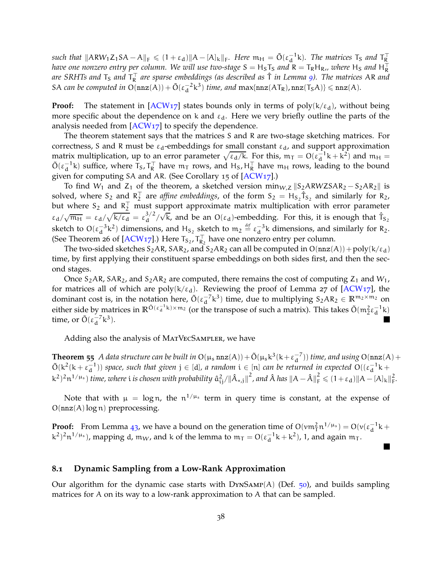$\| \text{snch that } \| \text{ARW}_1 \text{Z}_1 \text{SA} - \text{A} \|_{\text{F}} \leqslant (1 + \varepsilon_d) \| \text{A} - [\text{A}]_\text{k} \|_{\text{F}}$ . Here  $\mathfrak{m}_H = \tilde{\text{O}}(\varepsilon_d^{-1} \text{k})$ . The matrices  $\text{T}_S$  and  $\text{T}_R^{\top}$ *have one nonzero entry per column. We will use two-stage S =*  $H_S$ *T* $_S$  *and R = T* $_R$ *H* $_R$ *,, where*  $H_S$  *and*  $H_R^\top$ are SRHTs and T<sub>S</sub> and T<sub>R</sub> are sparse embeddings (as described as  $\hat{\tau}$  in Lemma [9](#page-11-1)). The matrices AR and SA *can be computed in*  $O(nnz(A)) + \tilde{O}(\varepsilon_d^{-2}k^3)$  *time, and*  $max\{nnz(AT_R),nnz(T_SA)\} \leqslant nnz(A)$ *.* 

**Proof:** The statement in  $[ACW17]$  states bounds only in terms of  $poly(k/\epsilon_d)$ , without being more specific about the dependence on k and  $\varepsilon_d$ . Here we very briefly outline the parts of the analysis needed from [\[ACW](#page-44-10)17] to specify the dependence.

The theorem statement says that the matrices S and R are two-stage sketching matrices. For correctness, S and R must be  $\varepsilon_d$ -embeddings for small constant  $\varepsilon_d$ , and support approximation matrix multiplication, up to an error parameter  $\sqrt{\epsilon_d/k}$ . For this,  $m_T = O(\epsilon_d^{-1}k + k^2)$  and  $m_H =$  $\tilde{O}(\epsilon_d^{-1}k)$  suffice, where  $T_S$ ,  $T_R^T$  have  $m_T$  rows, and  $H_S$ ,  $H_R^T$  have  $m_H$  rows, leading to the bound given for computing SA and AR. (See Corollary 15 of [\[ACW](#page-44-10)17].)

To find W<sub>1</sub> and Z<sub>1</sub> of the theorem, a sketched version min<sub>W,Z</sub>  $\|S_2ARWZSAR_2 - S_2AR_2\|$  is solved, where  $S_2$  and  $R_2^T$  are *affine embeddings*, of the form  $S_2 = H_{S_2} \hat{T}_{S_2}$  and similarly for  $R_2$ , but where  $S_2$  and  $R_2^+$  must support approximate matrix multiplication with error parameter  $\epsilon_{\rm d}/\sqrt{m_{\rm H}} = \epsilon_{\rm d}/\sqrt{k/\epsilon_{\rm d}} = \epsilon_{\rm d}^{3/2}$  $\frac{3}{2}$ / $\sqrt{k}$ , and be an O( $\epsilon$ <sub>d</sub>)-embedding. For this, it is enough that  $\hat{T}_{S_2}$ sketch to  $O(\epsilon_d^{-3}k^2)$  dimensions, and  $H_{S_2}$  sketch to  $m_2 \stackrel{\text{def}}{=} \epsilon_d^{-3}k$  dimensions, and similarly for R<sub>2</sub>. (See Theorem 26 of [\[ACW](#page-44-10)17].) Here  $T_{S_2}$ ,  $T_{R_2}^{\perp}$  have one nonzero entry per column.

The two-sided sketches  $S_2AR$ ,  $SAR_2$ , and  $S_2AR_2$  can all be computed in  $O(nnz(A)) + poly(k/\epsilon_d)$ time, by first applying their constituent sparse embeddings on both sides first, and then the second stages.

Once  $S_2AR$ ,  $SAR_2$ , and  $S_2AR_2$  are computed, there remains the cost of computing  $Z_1$  and  $W_1$ , for matrices all of which are  $poly(k/\epsilon_d)$ . Reviewing the proof of Lemma 27 of [\[ACW](#page-44-10)17], the dominant cost is, in the notation here,  $\tilde{O}(\epsilon_d^{-7}k^3)$  time, due to multiplying  $S_2AR_2 \in \mathbb{R}^{m_2 \times m_2}$  on either side by matrices in  $\mathbb{R}^{\tilde{O}(\epsilon_d^{-1}k)\times m_2}$  (or the transpose of such a matrix). This takes  $\tilde{O}(m_2^2\epsilon_d^{-1}k)$ time, or  $\tilde{O}(\varepsilon_d^{-7}k^3)$ .

<span id="page-38-0"></span>Adding also the analysis of MatVecSampler, we have

**Theorem 55** *A data structure can be built in*  $O(\mu_s n \alpha(A)) + \tilde{O}(\mu_s k^3(k + \epsilon_d^{-7}))$  *time, and using*  $O(n \alpha(A)) + O(n \alpha(A))$  $\tilde{O}(k^2(k+\epsilon_d^{-1}))$  space, such that given  $j \in [d]$ , a random  $i \in [n]$  can be returned in expected  $O((\epsilon_d^{-1}k +$  $(k^2)^2 n^{1/\mu_s}$ ) *time, where i is chosen with probability*  $\hat{a}_{ij}^2/\|\hat{A}_{*,j}\|^2$ , and  $\hat{A}$  has  $\|A - \hat{A}\|_F^2 \leq (1 + \varepsilon_d) \|A - [A]_k\|_F^2$ .

Note that with  $\mu = \log n$ , the  $n^{1/\mu_s}$  term in query time is constant, at the expense of  $O(nnz(A)log n)$  preprocessing.

**Proof:** From Lemma [43](#page-26-3), we have a bound on the generation time of  $O(\nu m_T^2 n^{1/\mu_s}) = O(\nu(\epsilon_d^{-1} k +$  $(k^2)^2 n^{1/\mu_s}$ ), mapping d, m<sub>W</sub>, and k of the lemma to  $m_T = O(\epsilon_d^{-1}k + k^2)$ , 1, and again  $m_T$ .

#### **8.1 Dynamic Sampling from a Low-Rank Approximation**

Our algorithm for the dynamic case starts with  $DYNSAMP(A)$  (Def. [50](#page-33-0)), and builds sampling matrices for A on its way to a low-rank approximation to A that can be sampled.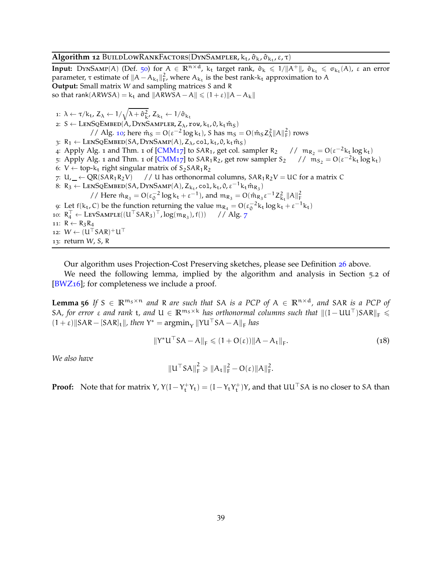### <span id="page-39-0"></span>**Algorithm 12** BuildLowRankFactors(DynSampler, k<sub>t</sub>, ô<sub>k</sub>, ô<sub>kt</sub>, ε, τ)

**Input:** DynSamp(A) (Def. [50](#page-33-0)) for  $A \in \mathbb{R}^{n \times d}$ , k<sub>t</sub> target rank,  $\hat{\sigma}_k \leq 1/||A^+||$ ,  $\hat{\sigma}_{k_t} \leq \sigma_{k_t}(A)$ ,  $\varepsilon$  an error parameter, τ estimate of  $||A - A_{k_t}||_F^2$ , where  $A_{k_t}$  is the best rank- $k_t$  approximation to A **Output:** Small matrix W and sampling matrices S and R so that rank(ARWSA) = k<sub>t</sub> and  $\|ARWSA - A\| \leq (1 + \varepsilon)\|A - A_k\|$ 

1:  $\lambda \leftarrow \tau/k_t$ ,  $Z_{\lambda} \leftarrow 1/\sqrt{\lambda + \hat{\sigma}_{k'}^2}$ ,  $Z_{k_t} \leftarrow 1/\hat{\sigma}_{k_t}$ 2:  $S \leftarrow$  LENSQEMBED(A, DYNSAMPLER,  $Z_{\lambda}$ , row,  $k_t$ , 0,  $k_t$  m<sup>2</sup><sub>S</sub>) // Alg. [10](#page-34-2); here  $\hat{m}_S = O(\epsilon^{-2} \log k_t)$ , S has  $m_S = O(\hat{m}_S Z_\lambda^2 ||A||_F^2)$  rows 3:  $R_1 \leftarrow$  LENSQEMBED(SA, DYNSAMP(A),  $Z_\lambda$ , col,  $k_t$ , 0,  $k_t$  m̂<sub>S</sub>) 4: Apply Alg. 1 and Thm. 1 of [\[CMM](#page-45-6)17] to SAR<sub>1</sub>, get col. sampler R<sub>2</sub> //  $m_{R_2} = O(\epsilon^{-2}k_t \log k_t)$ 5: Apply Alg. 1 and Thm. 1 of  $[CMM17]$  to  $SAR_1R_2$ , get row sampler  $S_2$  //  $m_{S_2} = O(\epsilon^{-2}k_t \log k_t)$ 6:  $V \leftarrow top-k_t$  right singular matrix of S<sub>2</sub>SAR<sub>1</sub>R<sub>2</sub><br>7: U,  $\angle$  ← QR(SAR<sub>1</sub>R<sub>2</sub>V) // U has orthonorma // U has orthonormal columns,  $SAR_1R_2V = UC$  for a matrix C 8: R<sub>3</sub>  $\leftarrow$  LenSqEmbed(SA, DynSamp(A), Z<sub>kt</sub>, col, k<sub>t</sub>, 0,  $\varepsilon^{-1}$  k<sub>t</sub>  $\hat{m}_{R_3}$ ) // Here  $\hat{m}_{R_3} = O(\epsilon_0^{-2} \log k_t + \epsilon^{-1})$ , and  $m_{R_3} = O(\hat{m}_{R_3} \epsilon^{-1} Z_{k_t}^2 ||A||_F^2)$ 9: Let  $f(k_t, C)$  be the function returning the value  $m_{R_4} = O(\varepsilon_0^{-2} k_t \log k_t + \varepsilon^{-1} k_t)$ 10:  $R_4^{\perp}$  ← LevSample((U<sup> $\perp$ </sup>SAR<sub>3</sub>)<sup> $\perp$ </sup>, log(m<sub>R<sub>3</sub></sub>), f()) // Alg. [7](#page-27-2) 11:  $R \leftarrow R_3R_4$ 12:  $W \leftarrow (U^{\top}SAR)^+U^{\top}$ 13: return W, S, R

Our algorithm uses Projection-Cost Preserving sketches, please see Definition [26](#page-16-4) above.

<span id="page-39-1"></span>We need the following lemma, implied by the algorithm and analysis in Section 5.2 of [\[BWZ](#page-45-10)16]; for completeness we include a proof.

**Lemma 56** *If*  $S \in \mathbb{R}^{m_S \times n}$  *and* R *are such that* SA *is a PCP of*  $A \in \mathbb{R}^{n \times d}$ *, and* SAR *is a PCP of* SA, for error  $\varepsilon$  and rank t, and  $U \in \mathbb{R}^{m_S \times k}$  has orthonormal columns such that  $||(I - UU^{\top})SAR||_F \le$  $(1 + \varepsilon)$ ||SAR – [SAR]<sub>t</sub>||, then Y\* =  $\operatorname{argmin}_{Y}$ ||YU <sup>|</sup> SA – A||<sub>F</sub> has

$$
||Y^*U^{\top}SA - A||_F \leq (1 + O(\varepsilon))||A - A_t||_F.
$$
 (18)

*We also have*

$$
\|U^{\top}SA\|_{F}^{2} \geqslant \|A_t\|_{F}^{2} - O(\epsilon)\|A\|_{F}^{2}.
$$

**Proof:** Note that for matrix Y,  $Y(I - Y_t^+Y_t) = (I - Y_tY_t^+)Y$ , and that  $UU^{\top}SA$  is no closer to SA than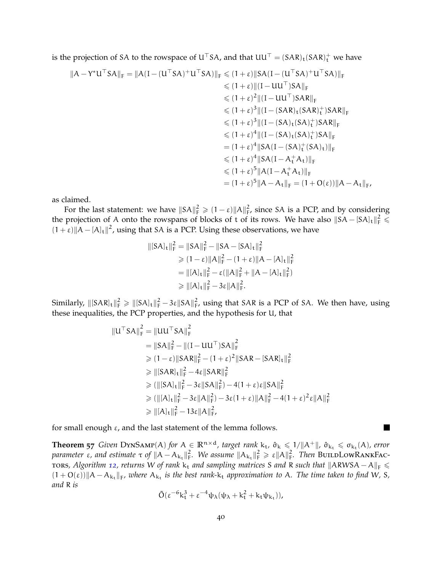is the projection of SA to the rowspace of U<sup>⊤</sup>SA, and that  $UU^{\top} = (SAR)_t(SAR)^+_t$  we have

$$
||A - Y^*U^\top SA||_F = ||A(I - (U^\top SA)^+U^\top SA)||_F \le (1 + \varepsilon)||SA(I - (U^\top SA)^+U^\top SA)||_F
$$
  
\n
$$
\le (1 + \varepsilon) ||(I - UU^\top)SA||_F
$$
  
\n
$$
\le (1 + \varepsilon)^2 ||(I - UU^\top)SAR||_F
$$
  
\n
$$
\le (1 + \varepsilon)^3 ||(I - (SAR)_t(SAR)_t^+)SAR||_F
$$
  
\n
$$
\le (1 + \varepsilon)^3 ||(I - (SA)_t(SA)_t^+)SAR||_F
$$
  
\n
$$
\le (1 + \varepsilon)^4 ||(I - (SA)_t(SA)_t^+)SA||_F
$$
  
\n
$$
= (1 + \varepsilon)^4 ||SA(I - (SA)_t^+(SA)_t)||_F
$$
  
\n
$$
\le (1 + \varepsilon)^4 ||SA(I - A_t^+ A_t)||_F
$$
  
\n
$$
= (1 + \varepsilon)^5 ||A(I - A_t^+ A_t)||_F
$$
  
\n
$$
= (1 + \varepsilon)^5 ||A - A_t||_F = (1 + O(\varepsilon)) ||A - A_t||_F
$$

as claimed.

For the last statement: we have  $||SA||_F^2 \geq (1 - \varepsilon) ||A||_F^2$ , since SA is a PCP, and by considering the projection of A onto the rowspans of blocks of t of its rows. We have also  $\|SA - [SA]_t\|_F^2 \le$  $(1 + \varepsilon) ||A - [A]_t||^2$ , using that SA is a PCP. Using these observations, we have

$$
\begin{aligned} ||[SA]_t||_F^2 &= ||SA||_F^2 - ||SA - [SA]_t||_F^2 \\ &\geq (1 - \varepsilon) ||A||_F^2 - (1 + \varepsilon) ||A - [A]_t||_F^2 \\ &= ||[A]_t||_F^2 - \varepsilon (||A||_F^2 + ||A - [A]_t||_F^2) \\ &\geq ||[A]_t||_F^2 - 3\varepsilon ||A||_F^2. \end{aligned}
$$

Similarly,  $\|[SAR]_t\|_F^2 \ge \|[SA]_t\|_F^2 - 3\varepsilon \|SA\|_F^2$ , using that SAR is a PCP of SA. We then have, using these inequalities, the PCP properties, and the hypothesis for U, that

$$
||U^{\top}SA||_{F}^{2} = ||UU^{\top}SA||_{F}^{2}
$$
  
\n
$$
= ||SA||_{F}^{2} - ||(I - UU^{\top})SA||_{F}^{2}
$$
  
\n
$$
\geq (1 - \varepsilon) ||SAR||_{F}^{2} - (1 + \varepsilon)^{2} ||SAR - [SAR]_{t}||_{F}^{2}
$$
  
\n
$$
\geq ||[SAR]_{t}||_{F}^{2} - 4\varepsilon ||SAR||_{F}^{2}
$$
  
\n
$$
\geq (||[SA]_{t}||_{F}^{2} - 3\varepsilon ||SA||_{F}^{2}) - 4(1 + \varepsilon)\varepsilon ||SA||_{F}^{2}
$$
  
\n
$$
\geq (||[A]_{t}||_{F}^{2} - 3\varepsilon ||A||_{F}^{2}) - 3\varepsilon(1 + \varepsilon) ||A||_{F}^{2} - 4(1 + \varepsilon)^{2} \varepsilon ||A||_{F}^{2}
$$
  
\n
$$
\geq ||[A]_{t}||_{F}^{2} - 13\varepsilon ||A||_{F}^{2},
$$

for small enough  $\varepsilon$ , and the last statement of the lemma follows.

<span id="page-40-0"></span>**Theorem 57** *Given* DynSAMP(A) *for*  $A \in \mathbb{R}^{n \times d}$ *, target rank*  $k_t$ ,  $\hat{\sigma}_k \leq 1/||A^+||$ ,  $\hat{\sigma}_{k_t} \leq \sigma_{k_t}(A)$ , error *parameter* ε, and estimate  $\tau$  of  $||A - A_{k_t}||_F^2$  $_{F}^{2}$ . We assume  $\|A_{k_{t}}\|_{F}^{2} \geq \varepsilon \|A\|_{F}^{2}$ . Then BuildLowRankFac-tors, Algorithm [12](#page-39-0), returns W of rank k<sub>t</sub> and sampling matrices S and R such that  $||ARWSA - A||_F$  ≤  $(1 + O(\varepsilon))$   $||A - A_{k_t}||_F$ , where  $A_{k_t}$  is the best rank- $k_t$  approximation to A. The time taken to find W, S, *and* R *is*

$$
\tilde{O}(\epsilon^{-6}k_t^3+\epsilon^{-4}\psi_{\lambda}(\psi_{\lambda}+k_t^2+k_t\psi_{k_t})),
$$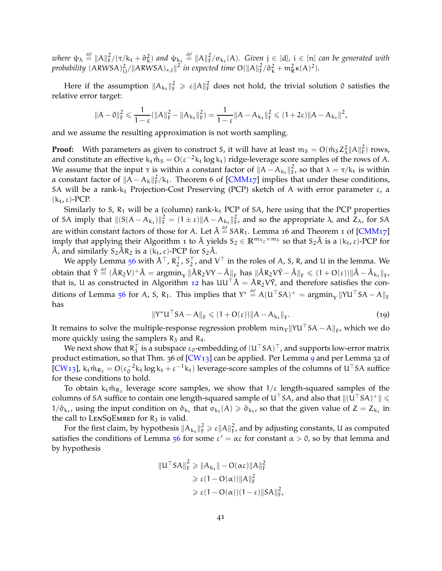$\omega$ *here*  $\psi_{\lambda} \stackrel{\text{def}}{=} ||A||_F^2/(\tau/k_t + \hat{\sigma}_k^2)$  and  $\psi_{k_t} \stackrel{\text{def}}{=} ||A||_F^2/\sigma_{k_t}(A)$ . Given  $j \in [d]$ ,  $i \in [n]$  can be generated with *probability*  $(ARWSA)_{ij}^2/||ARWSA)_{*,j}||^2$  *in expected time*  $O(||A||_F^2/\hat{\sigma}_k^2 + m_R^2\kappa(A)^2)$ *.* 

Here if the assumption  $||A_{k_t}||_F^2 \geq \varepsilon ||A||_F^2$  does not hold, the trivial solution 0 satisfies the relative error target:

$$
\|A-\mathbf{0}\|_F^2\leqslant \frac{1}{1-\epsilon}(\|A\|_F^2-\|A_{k_t}\|_F^2)=\frac{1}{1-\epsilon}\|A-A_{k_t}\|_F^2\leqslant (1+2\epsilon)\|A-A_{k_t}\|^2,
$$

and we assume the resulting approximation is not worth sampling.

**Proof:** With parameters as given to construct S, it will have at least  $m_S = O(\hat{m}_S Z_\lambda^2 ||A||_F^2)$  rows, and constitute an effective  $k_t \hat{m}_s = O(\epsilon^{-2} k_t \log k_t)$  ridge-leverage score samples of the rows of A. We assume that the input  $\tau$  is within a constant factor of  $||A - A_{k_t}||_F^2$  $\frac{2}{\text{F}}$ , so that  $\lambda = \tau/k_t$  is within a constant factor of  $||A - A_k||_F^2/k_t$ . Theorem 6 of [\[CMM](#page-45-6)17] implies that under these conditions, SA will be a rank- $k_t$  Projection-Cost Preserving (PCP) sketch of A with error parameter  $\varepsilon$ , a  $(k_t, \varepsilon)$ -PCP.

Similarly to S,  $R_1$  will be a (column) rank- $k_t$  PCP of SA, here using that the PCP properties of SA imply that  $||(S(A - A_{k_t})||_F^2 = (1 \pm \varepsilon)||A - A_{k_t}||_F^2$  $\frac{2}{F}$ , and so the appropriate  $\lambda$ , and  $Z_{\lambda}$ , for SA are within constant factors of those for A. Let  $\hat{A} \stackrel{\text{\it def}}{=}$  SAR<sub>1</sub>. Lemma 16 and Theorem 1 of [\[CMM](#page-45-6)17] imply that applying their Algorithm 1 to  $\hat{A}$  yields  $S_2 \in \mathbb{R}^{m_{S_2} \times m_S}$  so that  $S_2\hat{A}$  is a  $(k_t, \varepsilon)$ -PCP for  $\hat{A}$ , and similarly  $S_2 \hat{A} R_2$  is a  $(k_t, \varepsilon)$ -PCP for  $S_2 \hat{A}$ .

We apply Lemma [56](#page-39-1) with  $\hat{A}^\top$ ,  $R_2^\top$ ,  $S_2^\top$ , and  $V^\top$  in the roles of A, S, R, and U in the lemma. We  $\text{obtain that }\, \tilde{\Upsilon} \stackrel{\text{\tiny def}}{=} (\hat{A}R_2V)^+ \hat{A} = \text{argmin}_{\mathsf{Y}} \|\hat{A}R_2V\mathsf{Y} - \hat{A}\|_{\text{F}} \text{ has } \|\hat{A}R_2\mathsf{V}\tilde{\mathsf{Y}} - \hat{A}\|_{\text{F}} \leqslant (1+ \text{O}(\varepsilon)) \|\hat{A} - \hat{A}_{\mathsf{k}_\mathsf{t}}\|_{\text{F}}$ that is, U as constructed in Algorithm [12](#page-39-0) has  $UU^{\top} \hat{A} = \hat{A}R_2V\tilde{Y}$ , and therefore satisfies the con-ditions of Lemma [56](#page-39-1) for A, S, R<sub>1</sub>. This implies that  $Y^* \stackrel{\text{def}}{=} A(U^\top SA)^+ = \text{argmin}_Y \| Y U^\top SA - A \|_F$ has

<span id="page-41-0"></span>
$$
\|Y^*U^{\top}SA - A\|_F \leq (1 + O(\varepsilon)) \|A - A_{k_t}\|_F. \tag{19}
$$

,

It remains to solve the multiple-response regression problem  $\min_{Y} \|YU\|^rSA - A\|_{F}$ , which we do more quickly using the samplers  $R_3$  and  $R_4$ .

We next show that  $R_3^+$  is a subspace  $\varepsilon_0$ -embedding of  $({\sf U}^+{\sf S}{\sf A})^+$  , and supports low-error matrix product estimation, so that Thm. 36 of [\[CW](#page-46-6)13] can be applied. Per Lemma [9](#page-11-1) and per Lemma 32 of [\[CW](#page-46-6)<sub>13</sub>],  $k_t \hat{m}_{R_3} = O(\epsilon_0^{-2} k_t \log k_t + \epsilon^{-1} k_t)$  leverage-score samples of the columns of  $U^{\top} S A$  suffice for these conditions to hold.

To obtain  $k_t\hat{m}_{R_3}$  leverage score samples, we show that 1/ $\varepsilon$  length-squared samples of the columns of SA suffice to contain one length-squared sample of U<sup>⊤</sup>SA, and also that  $\|(U<sup>T</sup>SA)<sup>+</sup>\|\leq$  $1/\hat{\sigma}_{k_t}$ , using the input condition on  $\hat{\sigma}_{k_t}$  that  $\sigma_{k_t}(A) \geq \hat{\sigma}_{k_t}$ , so that the given value of  $Z = Z_{k_t}$  in the call to  $LENSQEMBED$  for  $R_3$  is valid.

For the first claim, by hypothesis  $||A_{k_t}||_F^2 \geq \varepsilon ||A||_F^2$ , and by adjusting constants, U as computed satisfies the conditions of Lemma [56](#page-39-1) for some  $\varepsilon' = \alpha \varepsilon$  for constant  $\alpha > 0$ , so by that lemma and by hypothesis

$$
\|U^{\top}SA\|_{F}^{2} \geq \|A_{k_{t}}\| - O(\alpha \varepsilon) \|A\|_{F}^{2}
$$
  
\n
$$
\geq \varepsilon (1 - O(\alpha)) \|A\|_{F}^{2}
$$
  
\n
$$
\geq \varepsilon (1 - O(\alpha))(1 - \varepsilon) \|SA\|_{F}^{2}
$$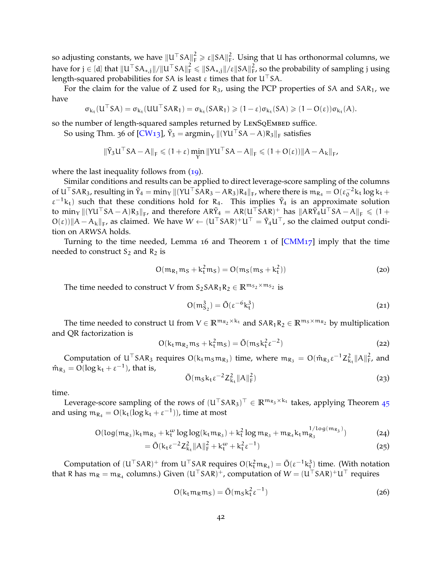so adjusting constants, we have  $\|U^\top SA\|_{\rm F}^2 \geqslant \epsilon \|SA\|_{\rm F}^2$ . Using that U has orthonormal columns, we have for  $j \in [d]$  that  $\|U^\top SA_{*,j}\|/\|U^\top SA\|_F^2 \leqslant \|SA_{*,j}\|/\epsilon \|SA\|_F^2$ , so the probability of sampling  $j$  using length-squared probabilities for SA is least  $\varepsilon$  times that for U<sup>⊤</sup>SA.

For the claim for the value of Z used for  $R_3$ , using the PCP properties of SA and SAR<sub>1</sub>, we have

$$
\sigma_{k_t}(U^{\top}SA) = \sigma_{k_t}(UU^{\top}SAR_1) = \sigma_{k_t}(SAR_1) \geq (1-\epsilon)\sigma_{k_t}(SA) \geq (1-O(\epsilon))\sigma_{k_t}(A).
$$

so the number of length-squared samples returned by LENSQEMBED suffice.

So using Thm. 36 of [\[CW](#page-46-6)13],  $\tilde{Y}_3 = \text{argmin}_{Y} ||(YU^{\top}SA - A)R_3||_F$  satisfies

$$
\|\tilde{\Upsilon}_3 \mathsf{U}^\top \mathsf{S} \mathsf{A} - \mathsf{A}\|_{\mathrm{F}} \leqslant (1+\varepsilon) \min_{\mathsf{Y}} \|\mathsf{Y} \mathsf{U}^\top \mathsf{S} \mathsf{A} - \mathsf{A}\|_{\mathrm{F}} \leqslant (1+\mathrm{O}(\varepsilon)) \|\mathsf{A} - \mathsf{A}_{\mathsf{k}}\|_{\mathrm{F}},
$$

where the last inequality follows from ([19](#page-41-0)).

Similar conditions and results can be applied to direct leverage-score sampling of the columns of  $U<sup>T</sup> SAR<sub>3</sub>$ , resulting in  $\tilde{Y}_4 = \min_{Y} ||(YU<sup>T</sup> SAR<sub>3</sub> - AR<sub>3</sub>)R<sub>4</sub>||_F$ , where there is  $m_{R_4} = O(\epsilon_0^{-2}k_t \log k_t +$  $\varepsilon^{-1}$ k<sub>t</sub>) such that these conditions hold for R<sub>4</sub>. This implies  $\tilde{Y}_4$  is an approximate solution to min<sub>Y</sub>  $\|(YU^{\top}SA-A)R_3\|_F$ , and therefore  $AR\tilde{Y}_4 = AR(U^{\top}SAR)^+$  has  $\|AR\tilde{Y}_4U^{\top}SA-A\|_F \leq 1+$  $O(\varepsilon)$ ||A – A<sub>k</sub>||<sub>F</sub>, as claimed. We have  $W \leftarrow (U^{\top}SAR)^+U^{\top} = \tilde{Y}_4U^{\top}$ , so the claimed output condition on ARWSA holds.

Turning to the time needed, Lemma 16 and Theorem 1 of  $[CMM17]$  imply that the time needed to construct  $S_2$  and  $R_2$  is

<span id="page-42-0"></span>
$$
O(m_{R_1}m_S + k_t^2m_S) = O(m_S(m_S + k_t^2))
$$
\n(20)

The time needed to construct V from  $S_2SAR_1R_2 \in \mathbb{R}^{m_{S_2} \times m_{S_2}}$  is

<span id="page-42-4"></span>
$$
O(m_{S_2}^3) = \tilde{O}(\varepsilon^{-6}k_t^3)
$$
\n(21)

The time needed to construct U from  $V \in \mathbb{R}^{m_{R_2} \times k_t}$  and  $SAR_1R_2 \in \mathbb{R}^{m_S \times m_{R_2}}$  by multiplication and QR factorization is

<span id="page-42-1"></span>
$$
O(ktmR2mS + kt2mS) = \tilde{O}(mSkt2 \varepsilon-2)
$$
\n(22)

Computation of  $U^{\top}SAR_3$  requires  $O(k_t m_S m_{R_3})$  time, where  $m_{R_3} = O(\hat{m}_{R_3} \varepsilon^{-1} Z_{k_t}^2 ||A||_F^2$ , and  $\hat{m}_{R_3} = O(\log k_t + \varepsilon^{-1})$ , that is,

<span id="page-42-5"></span><span id="page-42-2"></span>
$$
\tilde{O}(m_S k_t \varepsilon^{-2} Z_{k_t}^2 ||A||_F^2)
$$
\n(23)

time.

Leverage-score sampling of the rows of  $(U^{\top}SAR_3)^{\top} \in \mathbb{R}^{m_{R_3} \times k_t}$  takes, applying Theorem [45](#page-28-0) and using  $m_{R_4} = O(k_t (\log k_t + \varepsilon^{-1}))$ , time at most

$$
O(\log(m_{R_3})k_t m_{R_3} + k_t^{\omega} \log \log(k_t m_{R_3}) + k_t^2 \log m_{R_3} + m_{R_4} k_t m_{R_3}^{1/\log(m_{R_3})})
$$
(24)

$$
= \tilde{O}(k_t \varepsilon^{-2} Z_{k_t}^2 ||A||_F^2 + k_t^{\omega} + k_t^2 \varepsilon^{-1})
$$
\n(25)

Computation of  $(U<sup>T</sup> SAR)<sup>+</sup>$  from  $U<sup>T</sup> SAR$  requires  $O(k_t<sup>2</sup>m<sub>R<sub>4</sub></sub>) = \tilde{O}(\epsilon<sup>-1</sup>k_t<sup>3</sup>)$  time. (With notation that R has  $m_R = m_{R_4}$  columns.) Given  $(U^{\top}SAR)^+$ , computation of  $W = (U^{\top}SAR)^+U^{\top}$  requires

<span id="page-42-3"></span>
$$
O(k_t m_R m_S) = \tilde{O}(m_S k_t^2 \varepsilon^{-1})
$$
\n(26)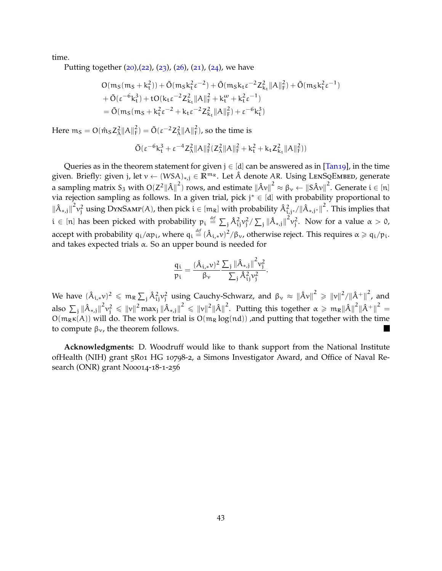time.

Putting together  $(20)$  $(20)$  $(20)$ ,  $(22)$  $(22)$  $(22)$ ,  $(23)$  $(23)$  $(23)$ ,  $(26)$  $(26)$  $(26)$ ,  $(21)$  $(21)$  $(21)$ ,  $(24)$  $(24)$  $(24)$ , we have

$$
\begin{aligned} &O(m_S(m_S + k_t^2)) + \tilde{O}(m_S k_t^2 \epsilon^{-2}) + \tilde{O}(m_S k_t \epsilon^{-2} Z_{k_t}^2 \|A\|_F^2) + \tilde{O}(m_S k_t^2 \epsilon^{-1}) \\ &+ \tilde{O}(\epsilon^{-6} k_t^3) + t O(k_t \epsilon^{-2} Z_{k_t}^2 \|A\|_F^2 + k_t^\omega + k_t^2 \epsilon^{-1}) \\ &= \tilde{O}(m_S(m_S + k_t^2 \epsilon^{-2} + k_t \epsilon^{-2} Z_{k_t}^2 \|A\|_F^2) + \epsilon^{-6} k_t^3) \end{aligned}
$$

Here  $m_S = O(\hat{m}_S Z_\lambda^2 ||A||_F^2) = \tilde{O}(\varepsilon^{-2} Z_\lambda^2 ||A||_F^2)$ , so the time is

$$
\tilde{O}(\epsilon^{-6}k_{t}^{3}+\epsilon^{-4}Z_{\lambda}^{2}\|A\|_{F}^{2}(Z_{\lambda}^{2}\|A\|_{F}^{2}+k_{t}^{2}+k_{t}Z_{k_{t}}^{2}\|A\|_{F}^{2}))
$$

Queries as in the theorem statement for given  $j \in [d]$  can be answered as in [\[Tan](#page-48-2)19], in the time given. Briefly: given <sup>j</sup>, let <sup>v</sup> <sup>←</sup> (WSA)∗,<sup>j</sup> <sup>∈</sup> **<sup>R</sup>**<sup>m</sup><sup>R</sup> . Let <sup>A</sup><sup>ˆ</sup> denote AR. Using LenSqEmbed, generate a sampling matrix  $S_3$  with  $O(Z^2{\|\hat{A}\|}^2)$  rows, and estimate  ${\|\hat{A}v\|}^2 \approx \beta_v \leftarrow {\|S\hat{A}v\|}^2$ . Generate  $i \in [n]$ via rejection sampling as follows. In a given trial, pick j <sup>∗</sup> ∈ [d] with probability proportional to  $\|\hat{A}_{*,j}\|^2 v_j^2$  using DYNSAMP(A), then pick  $i \in [m_R]$  with probability  $\hat{A}_{i,j*}^2/\|\hat{A}_{*,j*}\|^2$ . This implies that  $i \in [n]$  has been picked with probability  $p_i \stackrel{\textit{def}}{=} \sum_j \hat{A}_{ij}^2 v_j^2 / \sum_j \|\hat{A}_{*,j}\|^2 v_j^2$ . Now for a value  $\alpha > 0$ , accept with probability  $q_i/\alpha p_i$ , where  $q_i \stackrel{\text{def}}{=} (\hat{A}_{i,*}v)^2/\beta_v$ , otherwise reject. This requires  $\alpha \geqslant q_i/p_i$ . and takes expected trials  $\alpha$ . So an upper bound is needed for

$$
\frac{q_i}{p_i} = \frac{(\hat{A}_{i,*}\nu)^2}{\beta_\nu}\frac{\sum_j\left\|\hat{A}_{*,j}\right\|^2\nu_j^2}{\sum_j\hat{A}_{ij}^2\nu_j^2}.
$$

We have  $(\hat{A}_{i,*}v)^2 \leqslant m_R \sum_j \hat{A}_{ij}^2 v_j^2$  using Cauchy-Schwarz, and  $\beta_v \approx \left\|\hat{A}v\right\|^2 \geqslant \left\|v\right\|^2/\left\|\hat{A}^+\right\|^2$ , and also  $\sum_j\|\hat{A}_{*,j}\|^2v_j^2\leqslant\|v\|^2$ max $_j\|\hat{A}_{*,j}\|^2\leqslant\|v\|^2\|\hat{A}\|^2.$  Putting this together  $\alpha\geqslant\mathfrak{m}_\mathbb{R}\|\hat{A}\|^2\|\hat{A}^+\|^2=$  $O(m_R\kappa(A))$  will do. The work per trial is  $O(m_R \log(nd))$  , and putting that together with the time to compute  $β<sub>ν</sub>$ , the theorem follows.

**Acknowledgments:** D. Woodruff would like to thank support from the National Institute ofHealth (NIH) grant 5R01 HG 10798-2, a Simons Investigator Award, and Office of Naval Research (ONR) grant N00014-18-1-256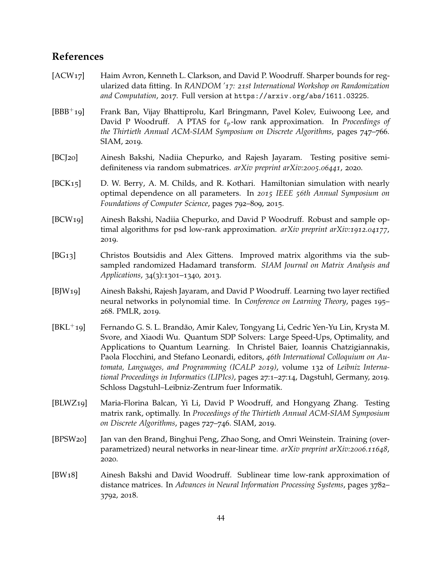# **References**

- <span id="page-44-10"></span>[ACW<sub>17</sub>] Haim Avron, Kenneth L. Clarkson, and David P. Woodruff. Sharper bounds for regularized data fitting. In *RANDOM '17: 21st International Workshop on Randomization and Computation*, 2017. Full version at https://arxiv.org/abs/1611.03225.
- <span id="page-44-2"></span>[BBB<sup>+</sup>19] Frank Ban, Vijay Bhattiprolu, Karl Bringmann, Pavel Kolev, Euiwoong Lee, and David P Woodruff. A PTAS for ℓp-low rank approximation. In *Proceedings of the Thirtieth Annual ACM-SIAM Symposium on Discrete Algorithms*, pages 747–766. SIAM, 2019.
- <span id="page-44-6"></span>[BCJ20] Ainesh Bakshi, Nadiia Chepurko, and Rajesh Jayaram. Testing positive semidefiniteness via random submatrices. *arXiv preprint arXiv:2005.06441*, 2020.
- <span id="page-44-1"></span>[BCK15] D. W. Berry, A. M. Childs, and R. Kothari. Hamiltonian simulation with nearly optimal dependence on all parameters. In *2015 IEEE 56th Annual Symposium on Foundations of Computer Science*, pages 792–809, 2015.
- <span id="page-44-7"></span>[BCW19] Ainesh Bakshi, Nadiia Chepurko, and David P Woodruff. Robust and sample optimal algorithms for psd low-rank approximation. *arXiv preprint arXiv:1912.04177*, 2019.
- <span id="page-44-9"></span>[BG13] Christos Boutsidis and Alex Gittens. Improved matrix algorithms via the subsampled randomized Hadamard transform. *SIAM Journal on Matrix Analysis and Applications*, 34(3):1301–1340, 2013.
- <span id="page-44-3"></span>[BJW19] Ainesh Bakshi, Rajesh Jayaram, and David P Woodruff. Learning two layer rectified neural networks in polynomial time. In *Conference on Learning Theory*, pages 195– 268. PMLR, 2019.
- <span id="page-44-0"></span>[BKL<sup>+</sup>19] Fernando G. S. L. Brandão, Amir Kalev, Tongyang Li, Cedric Yen-Yu Lin, Krysta M. Svore, and Xiaodi Wu. Quantum SDP Solvers: Large Speed-Ups, Optimality, and Applications to Quantum Learning. In Christel Baier, Ioannis Chatzigiannakis, Paola Flocchini, and Stefano Leonardi, editors, *46th International Colloquium on Automata, Languages, and Programming (ICALP 2019)*, volume 132 of *Leibniz International Proceedings in Informatics (LIPIcs)*, pages 27:1–27:14, Dagstuhl, Germany, 2019. Schloss Dagstuhl–Leibniz-Zentrum fuer Informatik.
- <span id="page-44-5"></span>[BLWZ19] Maria-Florina Balcan, Yi Li, David P Woodruff, and Hongyang Zhang. Testing matrix rank, optimally. In *Proceedings of the Thirtieth Annual ACM-SIAM Symposium on Discrete Algorithms*, pages 727–746. SIAM, 2019.
- <span id="page-44-4"></span>[BPSW20] Jan van den Brand, Binghui Peng, Zhao Song, and Omri Weinstein. Training (overparametrized) neural networks in near-linear time. *arXiv preprint arXiv:2006.11648*, 2020.
- <span id="page-44-8"></span>[BW18] Ainesh Bakshi and David Woodruff. Sublinear time low-rank approximation of distance matrices. In *Advances in Neural Information Processing Systems*, pages 3782– 3792, 2018.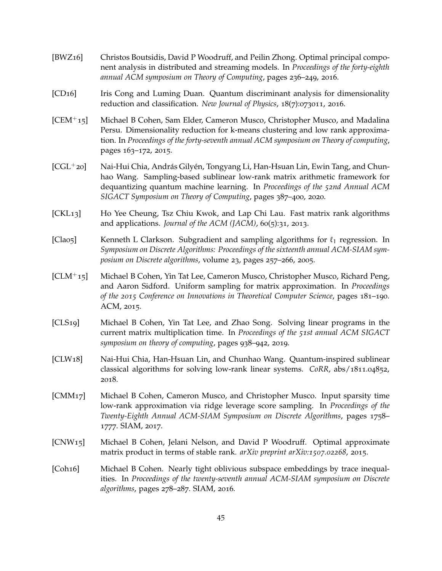- <span id="page-45-10"></span>[BWZ16] Christos Boutsidis, David P Woodruff, and Peilin Zhong. Optimal principal component analysis in distributed and streaming models. In *Proceedings of the forty-eighth annual ACM symposium on Theory of Computing*, pages 236–249, 2016.
- <span id="page-45-0"></span>[CD16] Iris Cong and Luming Duan. Quantum discriminant analysis for dimensionality reduction and classification. *New Journal of Physics*, 18(7):073011, 2016.
- <span id="page-45-9"></span>[CEM<sup>+</sup>15] Michael B Cohen, Sam Elder, Cameron Musco, Christopher Musco, and Madalina Persu. Dimensionality reduction for k-means clustering and low rank approximation. In *Proceedings of the forty-seventh annual ACM symposium on Theory of computing*, pages 163–172, 2015.
- <span id="page-45-8"></span> $[CGL + 20]$  Nai-Hui Chia, András Gilyén, Tongyang Li, Han-Hsuan Lin, Ewin Tang, and Chunhao Wang. Sampling-based sublinear low-rank matrix arithmetic framework for dequantizing quantum machine learning. In *Proceedings of the 52nd Annual ACM SIGACT Symposium on Theory of Computing*, pages 387–400, 2020.
- <span id="page-45-2"></span>[CKL13] Ho Yee Cheung, Tsz Chiu Kwok, and Lap Chi Lau. Fast matrix rank algorithms and applications. *Journal of the ACM (JACM)*,  $60(5):31$ , 2013.
- <span id="page-45-1"></span>[Clao5] Kenneth L Clarkson. Subgradient and sampling algorithms for  $\ell_1$  regression. In *Symposium on Discrete Algorithms: Proceedings of the sixteenth annual ACM-SIAM symposium on Discrete algorithms*, volume 23, pages 257–266, 2005.
- <span id="page-45-4"></span>[CLM<sup>+</sup>15] Michael B Cohen, Yin Tat Lee, Cameron Musco, Christopher Musco, Richard Peng, and Aaron Sidford. Uniform sampling for matrix approximation. In *Proceedings of the 2015 Conference on Innovations in Theoretical Computer Science*, pages 181–190. ACM, 2015.
- <span id="page-45-7"></span>[CLS19] Michael B Cohen, Yin Tat Lee, and Zhao Song. Solving linear programs in the current matrix multiplication time. In *Proceedings of the 51st annual ACM SIGACT symposium on theory of computing*, pages 938–942, 2019.
- [CLW18] Nai-Hui Chia, Han-Hsuan Lin, and Chunhao Wang. Quantum-inspired sublinear classical algorithms for solving low-rank linear systems. *CoRR*, abs/1811.04852, 2018.
- <span id="page-45-6"></span>[CMM17] Michael B Cohen, Cameron Musco, and Christopher Musco. Input sparsity time low-rank approximation via ridge leverage score sampling. In *Proceedings of the Twenty-Eighth Annual ACM-SIAM Symposium on Discrete Algorithms*, pages 1758– 1777. SIAM, 2017.
- <span id="page-45-3"></span>[CNW15] Michael B Cohen, Jelani Nelson, and David P Woodruff. Optimal approximate matrix product in terms of stable rank. *arXiv preprint arXiv:1507.02268*, 2015.
- <span id="page-45-5"></span>[Coh16] Michael B Cohen. Nearly tight oblivious subspace embeddings by trace inequalities. In *Proceedings of the twenty-seventh annual ACM-SIAM symposium on Discrete algorithms*, pages 278–287. SIAM, 2016.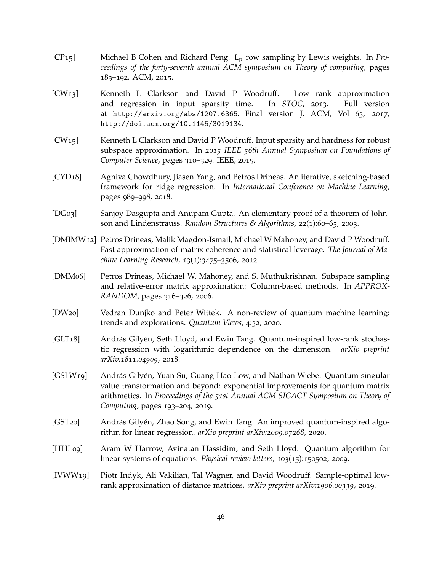- <span id="page-46-8"></span>[CP15] Michael B Cohen and Richard Peng. L<sup>p</sup> row sampling by Lewis weights. In *Proceedings of the forty-seventh annual ACM symposium on Theory of computing*, pages 183–192. ACM, 2015.
- <span id="page-46-6"></span>[CW13] Kenneth L Clarkson and David P Woodruff. Low rank approximation and regression in input sparsity time. In *STOC*, 2013. Full version at http://arxiv.org/abs/1207.6365. Final version J. ACM, Vol 63, 2017, http://doi.acm.org/10.1145/3019134.
- <span id="page-46-7"></span>[CW15] Kenneth L Clarkson and David P Woodruff. Input sparsity and hardness for robust subspace approximation. In *2015 IEEE 56th Annual Symposium on Foundations of Computer Science*, pages 310–329. IEEE, 2015.
- <span id="page-46-11"></span>[CYD18] Agniva Chowdhury, Jiasen Yang, and Petros Drineas. An iterative, sketching-based framework for ridge regression. In *International Conference on Machine Learning*, pages 989–998, 2018.
- <span id="page-46-12"></span>[DG03] Sanjoy Dasgupta and Anupam Gupta. An elementary proof of a theorem of Johnson and Lindenstrauss. *Random Structures & Algorithms*, 22(1):60–65, 2003.
- <span id="page-46-5"></span>[DMIMW12] Petros Drineas, Malik Magdon-Ismail, Michael W Mahoney, and David P Woodruff. Fast approximation of matrix coherence and statistical leverage. *The Journal of Machine Learning Research*, 13(1):3475–3506, 2012.
- <span id="page-46-4"></span>[DMM06] Petros Drineas, Michael W. Mahoney, and S. Muthukrishnan. Subspace sampling and relative-error matrix approximation: Column-based methods. In *APPROX-RANDOM*, pages 316–326, 2006.
- <span id="page-46-9"></span>[DW20] Vedran Dunjko and Peter Wittek. A non-review of quantum machine learning: trends and explorations. *Quantum Views*, 4:32, 2020.
- <span id="page-46-2"></span>[GLT18] András Gilyén, Seth Lloyd, and Ewin Tang. Quantum-inspired low-rank stochastic regression with logarithmic dependence on the dimension. *arXiv preprint arXiv:1811.04909*, 2018.
- <span id="page-46-1"></span>[GSLW19] András Gilyén, Yuan Su, Guang Hao Low, and Nathan Wiebe. Quantum singular value transformation and beyond: exponential improvements for quantum matrix arithmetics. In *Proceedings of the 51st Annual ACM SIGACT Symposium on Theory of Computing*, pages 193–204, 2019.
- <span id="page-46-3"></span>[GST20] András Gilyén, Zhao Song, and Ewin Tang. An improved quantum-inspired algorithm for linear regression. *arXiv preprint arXiv:2009.07268*, 2020.
- <span id="page-46-0"></span>[HHL09] Aram W Harrow, Avinatan Hassidim, and Seth Lloyd. Quantum algorithm for linear systems of equations. *Physical review letters*, 103(15):150502, 2009.
- <span id="page-46-10"></span>[IVWW19] Piotr Indyk, Ali Vakilian, Tal Wagner, and David Woodruff. Sample-optimal lowrank approximation of distance matrices. *arXiv preprint arXiv:1906.00339*, 2019.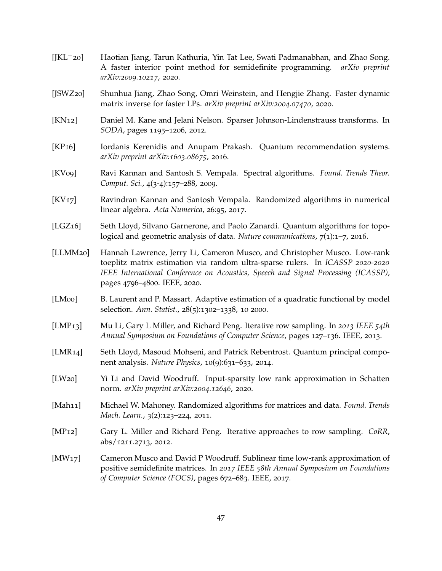- <span id="page-47-7"></span>[JKL<sup>+</sup>20] Haotian Jiang, Tarun Kathuria, Yin Tat Lee, Swati Padmanabhan, and Zhao Song. A faster interior point method for semidefinite programming. *arXiv preprint arXiv:2009.10217*, 2020.
- <span id="page-47-6"></span>[JSWZ20] Shunhua Jiang, Zhao Song, Omri Weinstein, and Hengjie Zhang. Faster dynamic matrix inverse for faster LPs. *arXiv preprint arXiv:2004.07470*, 2020.
- <span id="page-47-12"></span>[KN12] Daniel M. Kane and Jelani Nelson. Sparser Johnson-Lindenstrauss transforms. In *SODA*, pages 1195–1206, 2012.
- <span id="page-47-9"></span>[KP16] Iordanis Kerenidis and Anupam Prakash. Quantum recommendation systems. *arXiv preprint arXiv:1603.08675*, 2016.
- [KV09] Ravi Kannan and Santosh S. Vempala. Spectral algorithms. *Found. Trends Theor. Comput. Sci.*, 4(3-4):157–288, 2009.
- <span id="page-47-2"></span>[KV17] Ravindran Kannan and Santosh Vempala. Randomized algorithms in numerical linear algebra. *Acta Numerica*, 26:95, 2017.
- <span id="page-47-0"></span>[LGZ<sub>16</sub>] Seth Lloyd, Silvano Garnerone, and Paolo Zanardi. Quantum algorithms for topological and geometric analysis of data. *Nature communications*, 7(1):1–7, 2016.
- <span id="page-47-10"></span>[LLMM20] Hannah Lawrence, Jerry Li, Cameron Musco, and Christopher Musco. Low-rank toeplitz matrix estimation via random ultra-sparse rulers. In *ICASSP 2020-2020 IEEE International Conference on Acoustics, Speech and Signal Processing (ICASSP)*, pages 4796–4800. IEEE, 2020.
- <span id="page-47-11"></span>[LM00] B. Laurent and P. Massart. Adaptive estimation of a quadratic functional by model selection. *Ann. Statist.*, 28(5):1302–1338, 10 2000.
- <span id="page-47-4"></span>[LMP13] Mu Li, Gary L Miller, and Richard Peng. Iterative row sampling. In *2013 IEEE 54th Annual Symposium on Foundations of Computer Science*, pages 127–136. IEEE, 2013.
- <span id="page-47-1"></span>[LMR14] Seth Lloyd, Masoud Mohseni, and Patrick Rebentrost. Quantum principal component analysis. *Nature Physics*, 10(9):631–633, 2014.
- <span id="page-47-5"></span>[LW20] Yi Li and David Woodruff. Input-sparsity low rank approximation in Schatten norm. *arXiv preprint arXiv:2004.12646*, 2020.
- [Mah11] Michael W. Mahoney. Randomized algorithms for matrices and data. *Found. Trends Mach. Learn.*, 3(2):123–224, 2011.
- <span id="page-47-3"></span>[MP12] Gary L. Miller and Richard Peng. Iterative approaches to row sampling. *CoRR*, abs/1211.2713, 2012.
- <span id="page-47-8"></span>[MW17] Cameron Musco and David P Woodruff. Sublinear time low-rank approximation of positive semidefinite matrices. In *2017 IEEE 58th Annual Symposium on Foundations of Computer Science (FOCS)*, pages 672–683. IEEE, 2017.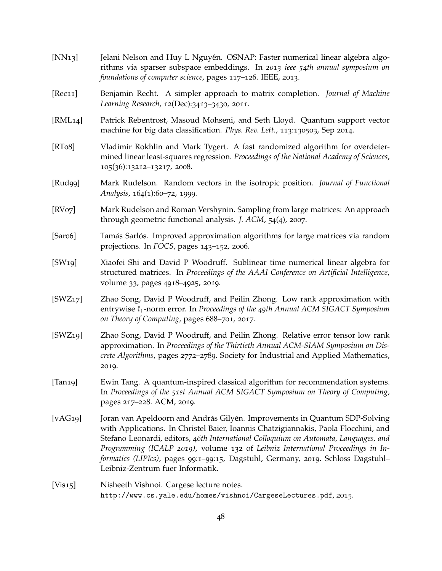<span id="page-48-12"></span><span id="page-48-11"></span><span id="page-48-10"></span><span id="page-48-9"></span><span id="page-48-8"></span><span id="page-48-7"></span><span id="page-48-6"></span><span id="page-48-5"></span><span id="page-48-4"></span><span id="page-48-3"></span><span id="page-48-2"></span><span id="page-48-1"></span><span id="page-48-0"></span>[NN13] Jelani Nelson and Huy L Nguyên. OSNAP: Faster numerical linear algebra algorithms via sparser subspace embeddings. In *2013 ieee 54th annual symposium on foundations of computer science*, pages 117–126. IEEE, 2013. [Rec11] Benjamin Recht. A simpler approach to matrix completion. *Journal of Machine Learning Research*, 12(Dec):3413–3430, 2011. [RML14] Patrick Rebentrost, Masoud Mohseni, and Seth Lloyd. Quantum support vector machine for big data classification. *Phys. Rev. Lett.*, 113:130503, Sep 2014. [RT08] Vladimir Rokhlin and Mark Tygert. A fast randomized algorithm for overdetermined linear least-squares regression. *Proceedings of the National Academy of Sciences*, 105(36):13212–13217, 2008. [Rud99] Mark Rudelson. Random vectors in the isotropic position. *Journal of Functional Analysis*, 164(1):60–72, 1999. [RV07] Mark Rudelson and Roman Vershynin. Sampling from large matrices: An approach through geometric functional analysis. *J. ACM*, 54(4), 2007. [Saro6] Tamás Sarlós. Improved approximation algorithms for large matrices via random projections. In *FOCS*, pages 143–152, 2006. [SW19] Xiaofei Shi and David P Woodruff. Sublinear time numerical linear algebra for structured matrices. In *Proceedings of the AAAI Conference on Artificial Intelligence*, volume 33, pages 4918–4925, 2019. [SWZ17] Zhao Song, David P Woodruff, and Peilin Zhong. Low rank approximation with entrywise ℓ1-norm error. In *Proceedings of the 49th Annual ACM SIGACT Symposium on Theory of Computing*, pages 688–701, 2017. [SWZ19] Zhao Song, David P Woodruff, and Peilin Zhong. Relative error tensor low rank approximation. In *Proceedings of the Thirtieth Annual ACM-SIAM Symposium on Discrete Algorithms*, pages 2772–2789. Society for Industrial and Applied Mathematics, 2019. [Tan19] Ewin Tang. A quantum-inspired classical algorithm for recommendation systems. In *Proceedings of the 51st Annual ACM SIGACT Symposium on Theory of Computing*, pages 217–228. ACM, 2019. [vAG19] Joran van Apeldoorn and András Gilyén. Improvements in Quantum SDP-Solving with Applications. In Christel Baier, Ioannis Chatzigiannakis, Paola Flocchini, and Stefano Leonardi, editors, *46th International Colloquium on Automata, Languages, and Programming (ICALP 2019)*, volume 132 of *Leibniz International Proceedings in Informatics (LIPIcs)*, pages 99:1–99:15, Dagstuhl, Germany, 2019. Schloss Dagstuhl– Leibniz-Zentrum fuer Informatik. [Vis15] Nisheeth Vishnoi. Cargese lecture notes. http://www.cs.yale.edu/homes/vishnoi/CargeseLectures.pdf, 2015.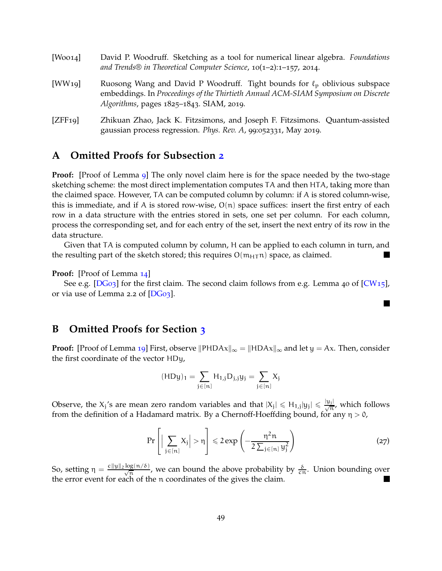<span id="page-49-2"></span><span id="page-49-1"></span>

| [Wood]              | David P. Woodruff. Sketching as a tool for numerical linear algebra. Foundations<br>and Trends® in Theoretical Computer Science, $10(1-2)$ :1-157, 2014.                                                         |  |  |  |
|---------------------|------------------------------------------------------------------------------------------------------------------------------------------------------------------------------------------------------------------|--|--|--|
| [WW <sub>19</sub> ] | Ruosong Wang and David P Woodruff. Tight bounds for $\ell_p$ oblivious subspace<br>embeddings. In Proceedings of the Thirtieth Annual ACM-SIAM Symposium on Discrete<br>Algorithms, pages 1825-1843. SIAM, 2019. |  |  |  |
| [ZFF19]             | Zhikuan Zhao, Jack K. Fitzsimons, and Joseph F. Fitzsimons. Quantum-assisted<br>gaussian process regression. Phys. Rev. A, 99:052331, May 2019.                                                                  |  |  |  |

# <span id="page-49-0"></span>**A Omitted Proofs for Subsection [2](#page-11-0)**

**Proof:** [Proof of Lemma [9](#page-11-1)] The only novel claim here is for the space needed by the two-stage sketching scheme: the most direct implementation computes TA and then HTA, taking more than the claimed space. However, TA can be computed column by column: if A is stored column-wise, this is immediate, and if A is stored row-wise,  $O(n)$  space suffices: insert the first entry of each row in a data structure with the entries stored in sets, one set per column. For each column, process the corresponding set, and for each entry of the set, insert the next entry of its row in the data structure.

Given that TA is computed column by column, H can be applied to each column in turn, and the resulting part of the sketch stored; this requires  $O(m_{H,T}n)$  space, as claimed.

#### **Proof:** [Proof of Lemma [14](#page-13-0)]

See e.g. [\[DG](#page-46-12)03] for the first claim. The second claim follows from e.g. Lemma 40 of [\[CW](#page-46-7)15], or via use of Lemma 2.2 of [\[DG](#page-46-12)03].

# **B Omitted Proofs for Section [3](#page-13-3)**

**Proof:** [Proof of Lemma [19](#page-14-1)] First, observe  $||$ PHDAx $||_{\infty} = ||$ HDAx $||_{\infty}$  and let  $y = Ax$ . Then, consider the first coordinate of the vector HDy,

$$
(\textrm{HD} y)_1 = \sum_{j \in [n]} H_{1,j} D_{j,j} y_j = \sum_{j \in [n]} X_j
$$

Observe, the  $X_j$ 's are mean zero random variables and that  $|X_j| \le H_{1,j}|y_j| \le \frac{|y_j|}{\sqrt{n}}$ , which follows from the definition of a Hadamard matrix. By a Chernoff-Hoeffding bound, for any  $\eta > 0$ ,

$$
\Pr\left[\Big|\sum_{j\in[n]}X_j\Big|>\eta\right]\leqslant 2\exp\left(-\frac{\eta^2n}{2\sum_{j\in[n]}y_j^2}\right)\tag{27}
$$

 $\blacksquare$ 

So, setting  $\eta = \frac{c\|y\|_2 \log(n/\delta)}{\sqrt{n}}$ , we can bound the above probability by  $\frac{\delta}{cn}$ . Union bounding over the error event for each of the n coordinates of the gives the claim.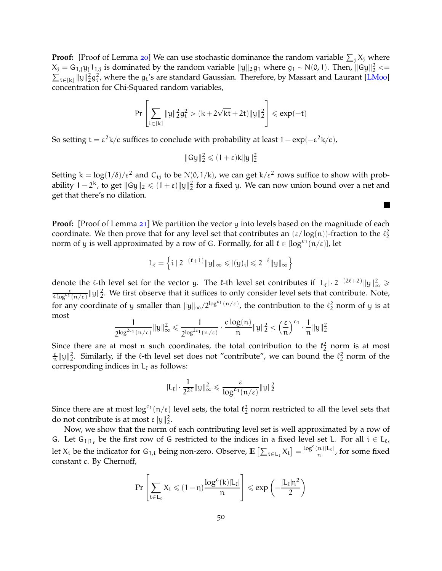**Proof:** [Proof of Lemma [20](#page-14-4)] We can use stochastic dominance the random variable  $\sum_j X_j$  where  $X_j = G_{1,j} y_j 1_{1,j}$  is dominated by the random variable  $||y||_2 g_1$  where  $g_1 \sim N(0, 1)$ . Then,  $||Gy||_2^2 \ll \sum_{j \in [k]} ||y||_2^2 g_j^2$ , where the  $g_j$ 's are standard Gaussian. Therefore, by Massart and Laurant [LMoo]  $\mathcal{L}_{i\in[k]} \|y\|_2^2 g_i^2$ , where the  $g_i$ 's are standard Gaussian. Therefore, by Massart and Laurant [\[LM](#page-47-11)oo] concentration for Chi-Squared random variables,

$$
\text{Pr}\left[ \sum_{i \in [k]} \|y\|_2^2 g_i^2 > (k + 2\sqrt{kt} + 2t) \|y\|_2^2 \right] \leqslant exp(-t)
$$

So setting t =  $\varepsilon^2$ k/c suffices to conclude with probability at least 1 – exp(– $\varepsilon^2$ k/c),

$$
||Gy||_2^2 \leqslant (1+\varepsilon)k||y||_2^2
$$

Setting  $k = \log(1/\delta)/\epsilon^2$  and C<sub>ij</sub> to be  $\mathcal{N}(0,1/k)$ , we can get k/ $\epsilon^2$  rows suffice to show with probability 1 − 2<sup>k</sup>, to get  $||Gy||_2 \le (1+\epsilon) ||y||_2^2$  for a fixed y. We can now union bound over a net and get that there's no dilation.

П

**Proof:** [Proof of Lemma [21](#page-15-3)] We partition the vector y into levels based on the magnitude of each coordinate. We then prove that for any level set that contributes an  $(\epsilon/\log(n))$ -fraction to the  $\ell_2^2$ norm of y is well approximated by a row of G. Formally, for all  $\ell \in [\log^{c_1}(n/\epsilon)]$ , let

$$
L_\ell=\left\{i\mid 2^{-(\ell+1)}\|y\|_\infty\leqslant |(y)_i|\leqslant 2^{-\ell}\|y\|_\infty\right\}
$$

denote the  $\ell$ -th level set for the vector y. The  $\ell$ -th level set contributes if  $|L_{\ell}| \cdot 2^{-(2\ell+2)} \|y\|_{\infty}^2 \ge$  $\frac{\varepsilon}{4\log^{c_1}(n/\varepsilon)}\|y\|_2^2$ . We first observe that it suffices to only consider level sets that contribute. Note, for any coordinate of y smaller than  $||y||_{\infty}/2^{\log^{c_1}(n/\epsilon)}$ , the contribution to the  $\ell_2^2$  norm of y is at most

$$
\frac{1}{2^{\log^{2c_1}(n/\epsilon)}}\|y\|_\infty^2\leqslant \frac{1}{2^{\log^{2c_1}(n/\epsilon)}}\cdot \frac{c\log(n)}{n}\|y\|_2^2<\left(\frac{\epsilon}{n}\right)^{c_1}\cdot \frac{1}{n}\|y\|_2^2
$$

Since there are at most n such coordinates, the total contribution to the  $\ell_2^2$  norm is at most  $\frac{\varepsilon}{n} \|y\|_2^2$ . Similarly, if the  $\ell$ -th level set does not "contribute", we can bound the  $\ell_2^2$  norm of the corresponding indices in  $L_{\ell}$  as follows:

$$
|\mathrm{L}_{\ell}| \cdot \frac{1}{2^{2\ell}} \|\mathrm{y}\|_{\infty}^2 \leqslant \frac{\epsilon}{\log^{c_1}(n/\epsilon)} \|\mathrm{y}\|_2^2
$$

Since there are at most  $\log^{c_1}(n/\epsilon)$  level sets, the total  $\ell_2^2$  norm restricted to all the level sets that do not contribute is at most  $\varepsilon ||y||_2^2$ .

Now, we show that the norm of each contributing level set is well approximated by a row of G. Let  $G_{1|L_{\ell}}$  be the first row of G restricted to the indices in a fixed level set L. For all  $i \in L_{\ell}$ , let  $X_i$  be the indicator for  $G_{1,i}$  being non-zero. Observe,  $\mathbb{E}\left[\sum_{i\in L_\ell} X_i\right] = \frac{\log^c(n)|L_\ell|}{n}$  $\frac{\pi}{n}$ , for some fixed constant c. By Chernoff,

$$
Pr\left[\sum_{i\in L_\ell}X_i\leqslant (1-\eta)\frac{\log^c(\mathsf{k})|L_\ell|}{n}\right]\leqslant exp\left(-\frac{|L_\ell|\eta^2}{2}\right)
$$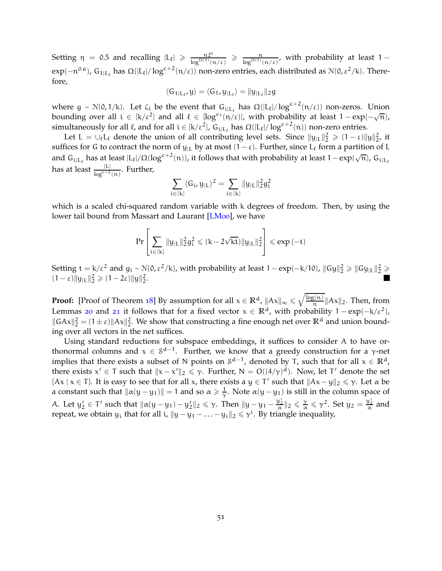Setting  $\eta = 0.5$  and recalling  $|L_{\ell}| \geq \frac{n2^{\ell}}{\log^{O(1)}(\ell)}$  $\frac{n2^{\kappa}}{\log^{O(1)}(n/\varepsilon)} \ge \frac{n}{\log^{O(1)}(n/\varepsilon)}$ , with probability at least 1 – exp(-n<sup>0.6</sup>), G<sub>1|L<sub>ℓ</sub> has Ω(|L<sub>ℓ</sub>|/log<sup>c+2</sup>(n/ε)) non-zero entries, each distributed as N(0,ε<sup>2</sup>/k). There-</sub> fore,

$$
\langle G_{1|L_{\ell}},y\rangle=\langle G_{1},y_{|L_{\ell}}\rangle=\|y_{|L_{\ell}}\|_{2}g
$$

where  $g \sim \mathcal{N}(0, 1/k)$ . Let  $\zeta_i$  be the event that  $G_{i|L_{\ell}}$  has  $\Omega(|L_{\ell}|/\log^{c+2}(n/\epsilon))$  non-zeros. Union bounding over all  $i \in [k/\varepsilon^2]$  and all  $\ell \in [\log^{c_1}(n/\varepsilon)]$ , with probability at least  $1 - \exp(-\sqrt{n})$ , simultaneously for all  $\ell$ , and for all  $i \in [\kappa/\varepsilon^2]$ ,  $G_{i|L_{\ell}}$  has  $\Omega(|L_{\ell}|/\log^{c+2}(n))$  non-zero entries.

Let  $L = \bigcup_{\ell} L_{\ell}$  denote the union of all contributing level sets. Since  $||y_{L}||_2^2 \geq (1 - \varepsilon) ||y||_2^2$ , it suffices for G to contract the norm of  $y_{\text{IL}}$  by at most  $(1 - \varepsilon)$ . Further, since L<sub>ℓ</sub> form a partition of L and  $G_{i|L_\ell}$  has at least  $|L_\ell|/\Omega(\log^{c+2}(n))$ , it follows that with probability at least  $1-\exp(\sqrt{n})$ ,  $G_{i|L_\ell}$ has at least  $\frac{|L|}{\log^{c+2}(n)}$ . Further,

$$
\sum_{i\in[k]}\langle G_i,y_{|L}\rangle^2=\sum_{i\in[k]}\|y_{|L}\|_2^2g_i^2
$$

which is a scaled chi-squared random variable with k degrees of freedom. Then, by using the lower tail bound from Massart and Laurant [\[LM](#page-47-11)00], we have

$$
Pr\left[\sum_{i\in[k]}\|y_{|L}\|_2^2g_i^2\leqslant (k-2\sqrt{kt})\|y_{|L}\|_2^2\right]\leqslant exp\left(-t\right)
$$

Setting t = k/ε<sup>2</sup> and g<sub>i</sub> ~ N(0, ε<sup>2</sup>/k), with probability at least 1 – exp(-k/10),  $||Gy||_2^2 \ge ||Gy_{|L}||_2^2 \ge$  $(1 - \varepsilon) \|y_{\vert L}\|_2^2 \geqslant (1 - 2\varepsilon) \|y\|_2^2.$ 

**Proof:** [Proof of Theorem [18](#page-14-2)] By assumption for all  $x \in \mathbb{R}^d$ ,  $||Ax||_{\infty} \le \sqrt{\frac{\log(n)}{n}}$  $\frac{f_1(\mathbf{R})}{n}$  ||Ax||<sub>2</sub>. Then, from Lemmas [20](#page-14-4) and [21](#page-15-3) it follows that for a fixed vector  $x \in \mathbb{R}^d$ , with probability  $1 - \exp(-k/\varepsilon^2)$ ,  $||GAx||_2^2 = (1 \pm \varepsilon) ||Ax||_2^2$ . We show that constructing a fine enough net over  $\mathbb{R}^d$  and union bounding over all vectors in the net suffices.

Using standard reductions for subspace embeddings, it suffices to consider A to have orthonormal columns and  $x \in S^{d-1}$ . Further, we know that a greedy construction for a γ-net implies that there exists a subset of N points on  $S^{d-1}$ , denoted by T, such that for all  $x \in \mathbb{R}^d$ , there exists  $x' \in T$  such that  $||x - x'||_2 \leq \gamma$ . Further,  $N = O((4/\gamma)^d)$ . Now, let T' denote the set {Ax | x ∈ T}. It is easy to see that for all x, there exists a  $y \in T'$  such that  $||Ax - y||_2 \leq \gamma$ . Let  $\alpha$  be a constant such that  $\|\alpha(y - y_1)\| = 1$  and so  $\alpha \ge \frac{1}{\gamma}$ . Note  $\alpha(y - y_1)$  is still in the column space of A. Let  $y'_2 \in T'$  such that  $\|\alpha(y - y_1) - y'_2\|_2 \leq \gamma$ . Then  $\|y - y_1 - \frac{y'_2}{\alpha}\|_2 \leq \frac{\gamma}{\alpha} \leq \gamma^2$ . Set  $y_2 = \frac{y'_2}{\alpha}$  and repeat, we obtain  $y_i$  that for all i,  $||y - y_1 - ... - y_i||_2 \leq \gamma^i$ . By triangle inequality,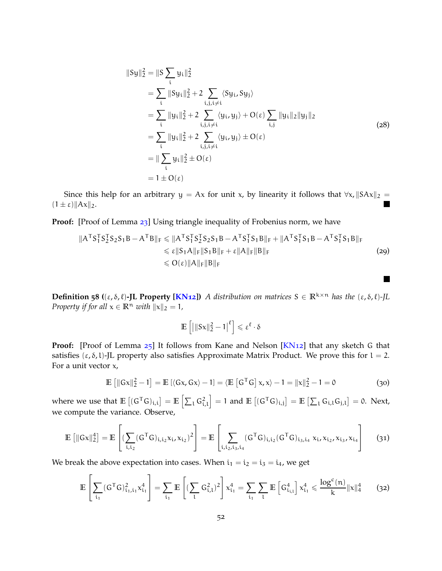$$
||Sy||_2^2 = ||S \sum_i y_i||_2^2
$$
  
=  $\sum_i ||Sy_i||_2^2 + 2 \sum_{i,j,i \neq i} \langle Sy_i, Sy_j \rangle$   
=  $\sum_i ||y_i||_2^2 + 2 \sum_{i,j,i \neq i} \langle y_i, y_j \rangle + O(\epsilon) \sum_{i,j} ||y_i||_2 ||y_j||_2$   
=  $\sum_i ||y_i||_2^2 + 2 \sum_{i,j,i \neq i} \langle y_i, y_j \rangle \pm O(\epsilon)$   
=  $||\sum_i y_i||_2^2 \pm O(\epsilon)$   
=  $1 \pm O(\epsilon)$  (28)

Since this help for an arbitrary  $y = Ax$  for unit x, by linearity it follows that  $\forall x, ||SAx||_2 = \pm \epsilon ||Ax||_3$  $(1 \pm \varepsilon)$ || $Ax$ ||<sub>2</sub>.

Proof: [Proof of Lemma [23](#page-15-4)] Using triangle inequality of Frobenius norm, we have

$$
||ATS1TS2TS2S1B - ATB||F  $\leq$   $||ATS1TS2TS2S1B - ATS1TS1B||F + ||ATS1TS1B - ATS1TS1B||F \n $\leq$   $\varepsilon$   $||S1A||F||S1B||F + \varepsilon ||A||F||B||F$  (29)  
\n $\leq$   $O(\varepsilon)$   $||A||F||B||F$$
$$

**In the first** 

**Definition 58**  $((\varepsilon, \delta, \ell)$ **-JL Property [\[KN](#page-47-12)12])** *A distribution on matrices*  $S \in \mathbb{R}^{k \times n}$  *has the*  $(\varepsilon, \delta, \ell)$ -*JL Property if for all*  $x \in \mathbb{R}^n$  *with*  $||x||_2 = 1$ *,* 

$$
\mathbb{E}\left[\left|\|Sx\|_2^2-1\right|^\ell\right]\leqslant \epsilon^\ell\cdot \delta
$$

**Proof:** [Proof of Lemma [25](#page-15-2)] It follows from Kane and Nelson [\[KN](#page-47-12)12] that any sketch G that satisfies  $(\varepsilon, \delta, l)$ -JL property also satisfies Approximate Matrix Product. We prove this for  $l = 2$ . For a unit vector  $x$ ,

$$
\mathbb{E}\left[\|\mathsf{G}\mathsf{x}\|_{2}^{2}-1\right]=\mathbb{E}\left[\langle\mathsf{G}\mathsf{x},\mathsf{G}\mathsf{x}\rangle-1\right]=\langle\mathbb{E}\left[\mathsf{G}^{\mathsf{T}}\mathsf{G}\right]\mathsf{x},\mathsf{x}\rangle-1=\|\mathsf{x}\|_{2}^{2}-1=0\tag{30}
$$

where we use that  $\mathbb{E}[(G^{\mathsf{T}}G)_{i,i}] = \mathbb{E}[\sum_i G_{i,l}^2]$  $\Big] = 1$  and  $\mathbb{E} \left[ (G^{\mathsf{T}}G)_{i,j} \right] = \mathbb{E} \left[ \sum_i G_{i,l} G_{j,l} \right] = 0$ . Next, we compute the variance. Observe,

$$
\mathbb{E}\left[\|Gx\|_2^4\right] = \mathbb{E}\left[\left(\sum_{i,i_2} (G^T G)_{i,i_2} x_{i}, x_{i_2}\right)^2\right] = \mathbb{E}\left[\sum_{i,i_2,i_3,i_4} (G^T G)_{i,i_2} (G^T G)_{i_3,i_4} x_{i}, x_{i_2}, x_{i_3}, x_{i_4}\right] \tag{31}
$$

We break the above expectation into cases. When  $i_1 = i_2 = i_3 = i_4$ , we get

$$
\mathbb{E}\left[\sum_{i_1}(G^{\mathsf{T}}G)_{i_1,i_1}^2x_{i_1}^4\right] = \sum_{i_1}\mathbb{E}\left[(\sum_{l}G_{i,l}^2)^2\right]x_{i_1}^4 = \sum_{i_1}\sum_{l}\mathbb{E}\left[G_{i_{l,l}}^4\right]x_{i_1}^4 \leqslant \frac{\log^c(n)}{k}\|x\|_4^4\qquad \textbf{(32)}
$$